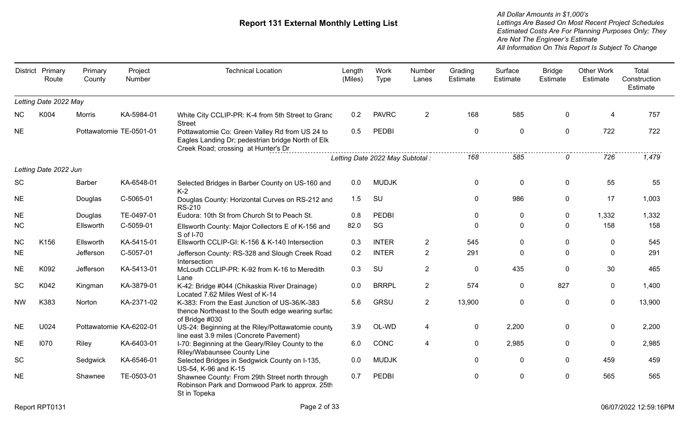|           | District Primary<br>Route | Primary<br>County | Project<br>Number       | <b>Technical Location</b>                                                                                                                  | Length<br>(Miles) | Work<br><b>Type</b>              | Number<br>Lanes | Grading<br>Estimate | Surface<br>Estimate | <b>Bridge</b><br>Estimate | <b>Other Work</b><br>Estimate | Total<br>Construction<br>Estimate |
|-----------|---------------------------|-------------------|-------------------------|--------------------------------------------------------------------------------------------------------------------------------------------|-------------------|----------------------------------|-----------------|---------------------|---------------------|---------------------------|-------------------------------|-----------------------------------|
|           | Letting Date 2022 May     |                   |                         |                                                                                                                                            |                   |                                  |                 |                     |                     |                           |                               |                                   |
| <b>NC</b> | K004                      | Morris            | KA-5984-01              | White City CCLIP-PR: K-4 from 5th Street to Grand<br><b>Street</b>                                                                         | 0.2               | <b>PAVRC</b>                     | $\overline{2}$  | 168                 | 585                 | $\mathbf{0}$              | 4                             | 757                               |
| <b>NE</b> |                           |                   | Pottawatomie TE-0501-01 | Pottawatomie Co: Green Valley Rd from US 24 to<br>Eagles Landing Dr; pedestrian bridge North of Elk<br>Creek Road; crossing at Hunter's Dr | 0.5               | PEDBI                            |                 | $\pmb{0}$           | 0                   | $\mathbf 0$               | 722                           | 722                               |
|           |                           |                   |                         |                                                                                                                                            |                   | Letting Date 2022 May Subtotal : |                 | 168                 | 585                 | 0                         | 726                           | 1,479                             |
|           | Letting Date 2022 Jun     |                   |                         |                                                                                                                                            |                   |                                  |                 |                     |                     |                           |                               |                                   |
| SC        |                           | Barber            | KA-6548-01              | Selected Bridges in Barber County on US-160 and<br>$K-2$                                                                                   | 0.0               | <b>MUDJK</b>                     |                 | $\mathbf 0$         | 0                   | $\mathbf{0}$              | 55                            | 55                                |
| <b>NE</b> |                           | Douglas           | C-5065-01               | Douglas County: Horizontal Curves on RS-212 and<br><b>RS-210</b>                                                                           | 1.5               | SU                               |                 | $\Omega$            | 986                 | $\mathbf 0$               | 17                            | 1,003                             |
| <b>NE</b> |                           | Douglas           | TE-0497-01              | Eudora: 10th St from Church St to Peach St.                                                                                                | 0.8               | <b>PEDBI</b>                     |                 | 0                   | $\mathbf{0}$        | $\mathbf 0$               | 1,332                         | 1,332                             |
| <b>NC</b> |                           | Ellsworth         | C-5059-01               | Ellsworth County: Major Collectors E of K-156 and<br>S of I-70                                                                             | 82.0              | SG                               |                 | $\mathbf{0}$        | $\Omega$            | $\mathbf{0}$              | 158                           | 158                               |
| <b>NC</b> | K156                      | Ellsworth         | KA-5415-01              | Ellsworth CCLIP-GI: K-156 & K-140 Intersection                                                                                             | 0.3               | <b>INTER</b>                     | $\overline{2}$  | 545                 | 0                   | $\mathbf{0}$              | $\Omega$                      | 545                               |
| <b>NE</b> |                           | Jefferson         | C-5057-01               | Jefferson County: RS-328 and Slough Creek Road<br>Intersection                                                                             | 0.2               | <b>INTER</b>                     | $\overline{2}$  | 291                 | $\Omega$            | $\Omega$                  | 0                             | 291                               |
| <b>NE</b> | K092                      | Jefferson         | KA-5413-01              | McLouth CCLIP-PR: K-92 from K-16 to Meredith<br>Lane                                                                                       | 0.3               | SU                               | $\overline{2}$  | $\mathbf 0$         | 435                 | $\mathbf 0$               | 30                            | 465                               |
| <b>SC</b> | K042                      | Kingman           | KA-3879-01              | K-42: Bridge #044 (Chikaskia River Drainage)<br>Located 7.62 Miles West of K-14                                                            | 0.0               | <b>BRRPL</b>                     | $\overline{2}$  | 574                 | 0                   | 827                       | $\mathbf{0}$                  | 1,400                             |
| <b>NW</b> | K383                      | Norton            | KA-2371-02              | K-383: From the East Junction of US-36/K-383<br>thence Northeast to the South edge wearing surfac<br>of Bridge #030                        | 5.6               | GRSU                             | $\overline{2}$  | 13,900              | 0                   | 0                         | 0                             | 13,900                            |
| <b>NE</b> | U024                      |                   | Pottawatomie KA-6202-01 | US-24: Beginning at the Riley/Pottawatomie county<br>line east 3.9 miles (Concrete Pavement)                                               | 3.9               | OL-WD                            | 4               | $\mathbf 0$         | 2,200               | $\mathbf{0}$              | 0                             | 2,200                             |
| <b>NE</b> | 1070                      | Riley             | KA-6403-01              | I-70: Beginning at the Geary/Riley County to the<br>Riley/Wabaunsee County Line                                                            | 6.0               | CONC                             | 4               | $\mathbf 0$         | 2,985               | $\Omega$                  | $\Omega$                      | 2,985                             |
| <b>SC</b> |                           | Sedgwick          | KA-6546-01              | Selected Bridges in Sedgwick County on I-135,<br>US-54, K-96 and K-15                                                                      | 0.0               | <b>MUDJK</b>                     |                 | $\Omega$            | 0                   | $\mathbf 0$               | 459                           | 459                               |
| <b>NE</b> |                           | Shawnee           | TE-0503-01              | Shawnee County: From 29th Street north through<br>Robinson Park and Dornwood Park to approx. 25th<br>St in Topeka                          | 0.7               | <b>PEDBI</b>                     |                 | $\mathbf{0}$        | 0                   | $\Omega$                  | 565                           | 565                               |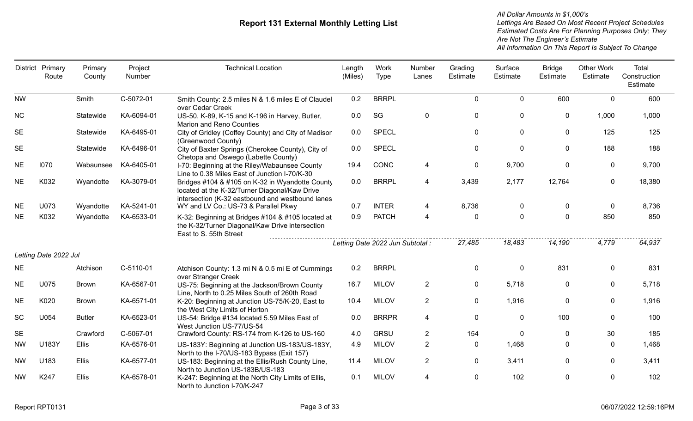|           | District Primary<br>Route | Primary<br>County | Project<br>Number | <b>Technical Location</b>                                                                                                                            | Length<br>(Miles) | Work<br><b>Type</b>              | Number<br>Lanes | Grading<br>Estimate | Surface<br>Estimate | <b>Bridge</b><br>Estimate | <b>Other Work</b><br>Estimate | Total<br>Construction<br>Estimate |
|-----------|---------------------------|-------------------|-------------------|------------------------------------------------------------------------------------------------------------------------------------------------------|-------------------|----------------------------------|-----------------|---------------------|---------------------|---------------------------|-------------------------------|-----------------------------------|
| <b>NW</b> |                           | Smith             | C-5072-01         | Smith County: 2.5 miles N & 1.6 miles E of Claudel<br>over Cedar Creek                                                                               | 0.2               | <b>BRRPL</b>                     |                 | $\mathbf 0$         | $\mathbf 0$         | 600                       | $\mathbf 0$                   | 600                               |
| <b>NC</b> |                           | Statewide         | KA-6094-01        | US-50, K-89, K-15 and K-196 in Harvey, Butler,<br><b>Marion and Reno Counties</b>                                                                    | 0.0               | SG                               | $\mathbf{0}$    | $\mathbf 0$         | 0                   | $\mathbf 0$               | 1,000                         | 1,000                             |
| <b>SE</b> |                           | Statewide         | KA-6495-01        | City of Gridley (Coffey County) and City of Madison<br>(Greenwood County)                                                                            | 0.0               | <b>SPECL</b>                     |                 | $\mathbf 0$         | 0                   | $\mathbf 0$               | 125                           | 125                               |
| <b>SE</b> |                           | Statewide         | KA-6496-01        | City of Baxter Springs (Cherokee County), City of<br>Chetopa and Oswego (Labette County)                                                             | 0.0               | <b>SPECL</b>                     |                 | $\mathbf 0$         | $\pmb{0}$           | $\mathbf 0$               | 188                           | 188                               |
| <b>NE</b> | 1070                      | Wabaunsee         | KA-6405-01        | I-70: Beginning at the Riley/Wabaunsee County<br>Line to 0.38 Miles East of Junction I-70/K-30                                                       | 19.4              | CONC                             | 4               | $\mathbf 0$         | 9,700               | $\mathbf 0$               | 0                             | 9,700                             |
| <b>NE</b> | K032                      | Wyandotte         | KA-3079-01        | Bridges #104 & #105 on K-32 in Wyandotte County<br>located at the K-32/Turner Diagonal/Kaw Drive<br>intersection (K-32 eastbound and westbound lanes | 0.0               | <b>BRRPL</b>                     | 4               | 3,439               | 2,177               | 12,764                    | $\mathbf 0$                   | 18,380                            |
| <b>NE</b> | U073                      | Wyandotte         | KA-5241-01        | WY and LV Co.: US-73 & Parallel Pkwy                                                                                                                 | 0.7               | <b>INTER</b>                     | 4               | 8,736               | $\mathbf 0$         | $\mathbf 0$               | $\mathbf{0}$                  | 8,736                             |
| <b>NE</b> | K032                      | Wyandotte         | KA-6533-01        | K-32: Beginning at Bridges #104 & #105 located at<br>the K-32/Turner Diagonal/Kaw Drive intersection<br>East to S. 55th Street                       | 0.9               | <b>PATCH</b>                     | 4               | $\mathbf 0$         | $\mathbf 0$         | $\mathbf 0$               | 850                           | 850                               |
|           |                           |                   |                   |                                                                                                                                                      |                   | Letting Date 2022 Jun Subtotal : |                 | 27,485              | 18,483              | 14,190                    | 4,779                         | 64,937                            |
|           | Letting Date 2022 Jul     |                   |                   |                                                                                                                                                      |                   |                                  |                 |                     |                     |                           |                               |                                   |
| <b>NE</b> |                           | Atchison          | C-5110-01         | Atchison County: 1.3 mi N & 0.5 mi E of Cummings<br>over Stranger Creek                                                                              | 0.2               | <b>BRRPL</b>                     |                 | $\mathbf 0$         | $\mathbf 0$         | 831                       | 0                             | 831                               |
| <b>NE</b> | U075                      | <b>Brown</b>      | KA-6567-01        | US-75: Beginning at the Jackson/Brown County<br>Line, North to 0.25 Miles South of 260th Road                                                        | 16.7              | <b>MILOV</b>                     | $\overline{2}$  | $\mathbf 0$         | 5,718               | $\mathbf 0$               | $\mathbf{0}$                  | 5,718                             |
| <b>NE</b> | K020                      | <b>Brown</b>      | KA-6571-01        | K-20: Beginning at Junction US-75/K-20, East to<br>the West City Limits of Horton                                                                    | 10.4              | <b>MILOV</b>                     | $\overline{2}$  | $\mathbf 0$         | 1,916               | $\mathbf 0$               | $\mathbf{0}$                  | 1,916                             |
| SC        | U054                      | <b>Butler</b>     | KA-6523-01        | US-54: Bridge #134 located 5.59 Miles East of<br>West Junction US-77/US-54                                                                           | 0.0               | <b>BRRPR</b>                     | 4               | $\mathbf 0$         | 0                   | 100                       | $\mathbf{0}$                  | 100                               |
| <b>SE</b> |                           | Crawford          | C-5067-01         | Crawford County: RS-174 from K-126 to US-160                                                                                                         | 4.0               | <b>GRSU</b>                      | $\overline{2}$  | 154                 | 0                   | $\mathbf 0$               | 30                            | 185                               |
| <b>NW</b> | U183Y                     | <b>Ellis</b>      | KA-6576-01        | US-183Y: Beginning at Junction US-183/US-183Y,<br>North to the I-70/US-183 Bypass (Exit 157)                                                         | 4.9               | <b>MILOV</b>                     | $\overline{2}$  | $\mathbf 0$         | 1,468               | $\mathbf{0}$              | $\Omega$                      | 1,468                             |
| <b>NW</b> | U183                      | <b>Ellis</b>      | KA-6577-01        | US-183: Beginning at the Ellis/Rush County Line,<br>North to Junction US-183B/US-183                                                                 | 11.4              | <b>MILOV</b>                     | $\overline{2}$  | $\mathbf 0$         | 3,411               | $\mathbf 0$               | $\mathbf{0}$                  | 3,411                             |
| <b>NW</b> | K247                      | Ellis             | KA-6578-01        | K-247: Beginning at the North City Limits of Ellis,<br>North to Junction I-70/K-247                                                                  | 0.1               | <b>MILOV</b>                     | 4               | 0                   | 102                 | $\mathbf 0$               | $\mathbf 0$                   | 102                               |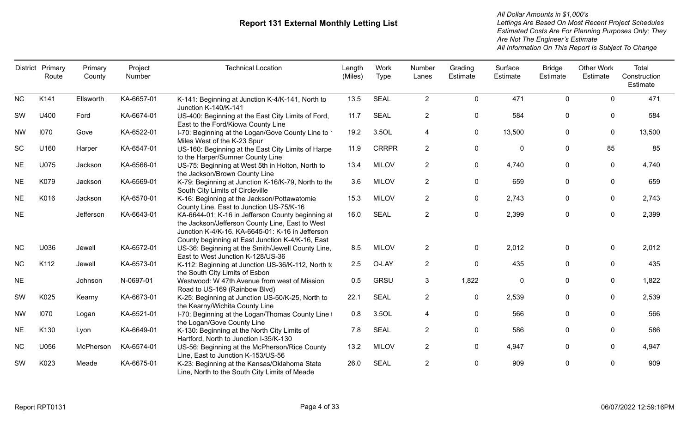|           | District Primary<br>Route | Primary<br>County | Project<br>Number | <b>Technical Location</b>                                                                                                                                                                                    | Length<br>(Miles) | Work<br><b>Type</b> | Number<br>Lanes | Grading<br>Estimate | Surface<br>Estimate | <b>Bridge</b><br>Estimate | <b>Other Work</b><br>Estimate | Total<br>Construction<br>Estimate |
|-----------|---------------------------|-------------------|-------------------|--------------------------------------------------------------------------------------------------------------------------------------------------------------------------------------------------------------|-------------------|---------------------|-----------------|---------------------|---------------------|---------------------------|-------------------------------|-----------------------------------|
| <b>NC</b> | K141                      | Ellsworth         | KA-6657-01        | K-141: Beginning at Junction K-4/K-141, North to                                                                                                                                                             | 13.5              | <b>SEAL</b>         | $\overline{2}$  | $\mathbf 0$         | 471                 | $\mathbf 0$               | $\Omega$                      | 471                               |
| <b>SW</b> | U400                      | Ford              | KA-6674-01        | Junction K-140/K-141<br>US-400: Beginning at the East City Limits of Ford,<br>East to the Ford/Kiowa County Line                                                                                             | 11.7              | <b>SEAL</b>         | $\overline{2}$  | $\pmb{0}$           | 584                 | $\mathbf{0}$              | 0                             | 584                               |
| <b>NW</b> | 1070                      | Gove              | KA-6522-01        | 1-70: Beginning at the Logan/Gove County Line to 1<br>Miles West of the K-23 Spur                                                                                                                            | 19.2              | 3.5OL               | 4               | $\mathbf 0$         | 13,500              | $\mathbf{0}$              | 0                             | 13,500                            |
| <b>SC</b> | U160                      | Harper            | KA-6547-01        | US-160: Beginning at the East City Limits of Harpe<br>to the Harper/Sumner County Line                                                                                                                       | 11.9              | <b>CRRPR</b>        | $\overline{2}$  | $\mathbf 0$         | 0                   | $\mathbf 0$               | 85                            | 85                                |
| <b>NE</b> | U075                      | Jackson           | KA-6566-01        | US-75: Beginning at West 5th in Holton, North to<br>the Jackson/Brown County Line                                                                                                                            | 13.4              | <b>MILOV</b>        | $\overline{2}$  | $\mathbf 0$         | 4,740               | $\mathbf 0$               | $\mathbf 0$                   | 4,740                             |
| <b>NE</b> | K079                      | Jackson           | KA-6569-01        | K-79: Beginning at Junction K-16/K-79, North to the<br>South City Limits of Circleville                                                                                                                      | 3.6               | <b>MILOV</b>        | $\overline{2}$  | 0                   | 659                 | $\mathbf{0}$              | 0                             | 659                               |
| <b>NE</b> | K016                      | Jackson           | KA-6570-01        | K-16: Beginning at the Jackson/Pottawatomie<br>County Line, East to Junction US-75/K-16                                                                                                                      | 15.3              | <b>MILOV</b>        | $\overline{2}$  | 0                   | 2,743               | $\mathbf{0}$              | 0                             | 2,743                             |
| <b>NE</b> |                           | Jefferson         | KA-6643-01        | KA-6644-01: K-16 in Jefferson County beginning at<br>the Jackson/Jefferson County Line, East to West<br>Junction K-4/K-16. KA-6645-01: K-16 in Jefferson<br>County beginning at East Junction K-4/K-16, East | 16.0              | <b>SEAL</b>         | $\overline{2}$  | $\mathbf 0$         | 2,399               | $\mathbf{0}$              | 0                             | 2,399                             |
| <b>NC</b> | U036                      | Jewell            | KA-6572-01        | US-36: Beginning at the Smith/Jewell County Line,<br>East to West Junction K-128/US-36                                                                                                                       | 8.5               | <b>MILOV</b>        | $\overline{2}$  | 0                   | 2,012               | $\mathbf 0$               | $\mathbf 0$                   | 2,012                             |
| <b>NC</b> | K112                      | Jewell            | KA-6573-01        | K-112: Beginning at Junction US-36/K-112, North to<br>the South City Limits of Esbon                                                                                                                         | 2.5               | O-LAY               | $2^{\circ}$     | $\mathbf 0$         | 435                 | $\mathbf{0}$              | $\mathbf{0}$                  | 435                               |
| <b>NE</b> |                           | Johnson           | N-0697-01         | Westwood: W 47th Avenue from west of Mission<br>Road to US-169 (Rainbow Blvd)                                                                                                                                | 0.5               | GRSU                | 3               | 1,822               | 0                   | $\Omega$                  | $\mathbf{0}$                  | 1,822                             |
| SW        | K025                      | Kearny            | KA-6673-01        | K-25: Beginning at Junction US-50/K-25, North to<br>the Kearny/Wichita County Line                                                                                                                           | 22.1              | <b>SEAL</b>         | $\overline{2}$  | $\pmb{0}$           | 2,539               | 0                         | 0                             | 2,539                             |
| <b>NW</b> | 1070                      | Logan             | KA-6521-01        | I-70: Beginning at the Logan/Thomas County Line 1<br>the Logan/Gove County Line                                                                                                                              | 0.8               | 3.5OL               | 4               | 0                   | 566                 | $\mathbf 0$               | 0                             | 566                               |
| <b>NE</b> | K130                      | Lyon              | KA-6649-01        | K-130: Beginning at the North City Limits of<br>Hartford, North to Junction I-35/K-130                                                                                                                       | 7.8               | <b>SEAL</b>         | $\overline{2}$  | 0                   | 586                 | 0                         | $\mathbf{0}$                  | 586                               |
| <b>NC</b> | U056                      | McPherson         | KA-6574-01        | US-56: Beginning at the McPherson/Rice County<br>Line, East to Junction K-153/US-56                                                                                                                          | 13.2              | <b>MILOV</b>        | $\overline{2}$  | $\pmb{0}$           | 4,947               | $\mathbf{0}$              | $\mathbf{0}$                  | 4,947                             |
| SW        | K023                      | Meade             | KA-6675-01        | K-23: Beginning at the Kansas/Oklahoma State<br>Line, North to the South City Limits of Meade                                                                                                                | 26.0              | <b>SEAL</b>         | $\overline{2}$  |                     | 909                 | $\Omega$                  | 0                             | 909                               |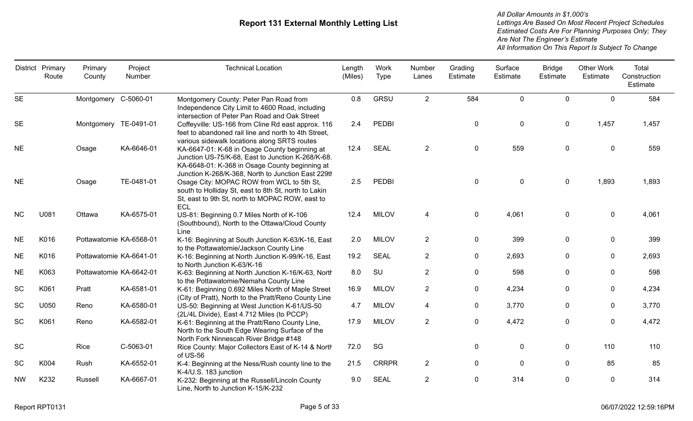|           | District Primary<br>Route | Primary<br>County       | Project<br>Number | <b>Technical Location</b>                                                                                                                                                                                  | Length<br>(Miles) | Work<br>Type | Number<br>Lanes | Grading<br>Estimate | Surface<br>Estimate | <b>Bridge</b><br>Estimate | <b>Other Work</b><br>Estimate | Total<br>Construction<br>Estimate |
|-----------|---------------------------|-------------------------|-------------------|------------------------------------------------------------------------------------------------------------------------------------------------------------------------------------------------------------|-------------------|--------------|-----------------|---------------------|---------------------|---------------------------|-------------------------------|-----------------------------------|
| <b>SE</b> |                           | Montgomery C-5060-01    |                   | Montgomery County: Peter Pan Road from<br>Independence City Limit to 4600 Road, including<br>intersection of Peter Pan Road and Oak Street                                                                 | 0.8               | <b>GRSU</b>  | $2^{\circ}$     | 584                 | $\mathbf 0$         | $\Omega$                  | $\Omega$                      | 584                               |
| <b>SE</b> |                           | Montgomery TE-0491-01   |                   | Coffeyville: US-166 from Cline Rd east approx. 116<br>feet to abandoned rail line and north to 4th Street,<br>various sidewalk locations along SRTS routes                                                 | 2.4               | <b>PEDBI</b> |                 | $\mathbf 0$         | $\pmb{0}$           | $\mathbf 0$               | 1,457                         | 1,457                             |
| <b>NE</b> |                           | Osage                   | KA-6646-01        | KA-6647-01: K-68 in Osage County beginning at<br>Junction US-75/K-68, East to Junction K-268/K-68.<br>KA-6648-01: K-368 in Osage County beginning at<br>Junction K-268/K-368, North to Junction East 229th | 12.4              | <b>SEAL</b>  | $\overline{2}$  | $\mathbf{0}$        | 559                 | 0                         | 0                             | 559                               |
| <b>NE</b> |                           | Osage                   | TE-0481-01        | Osage City: MOPAC ROW from WCL to 5th St,<br>south to Holliday St, east to 8th St, north to Lakin<br>St, east to 9th St, north to MOPAC ROW, east to<br><b>ECL</b>                                         | 2.5               | <b>PEDBI</b> |                 | $\mathbf 0$         | $\mathbf 0$         | $\mathbf 0$               | 1,893                         | 1,893                             |
| <b>NC</b> | U081                      | Ottawa                  | KA-6575-01        | US-81: Beginning 0.7 Miles North of K-106<br>(Southbound), North to the Ottawa/Cloud County<br>Line                                                                                                        | 12.4              | <b>MILOV</b> | 4               | $\mathbf 0$         | 4,061               | 0                         | $\mathbf 0$                   | 4,061                             |
| <b>NE</b> | K016                      | Pottawatomie KA-6568-01 |                   | K-16: Beginning at South Junction K-63/K-16, East<br>to the Pottawatomie/Jackson County Line                                                                                                               | 2.0               | <b>MILOV</b> | $\overline{2}$  | $\mathbf 0$         | 399                 | $\mathbf 0$               | $\mathbf 0$                   | 399                               |
| <b>NE</b> | K016                      | Pottawatomie KA-6641-01 |                   | K-16: Beginning at North Junction K-99/K-16, East<br>to North Junction K-63/K-16                                                                                                                           | 19.2              | <b>SEAL</b>  | $\overline{2}$  | $\mathbf 0$         | 2,693               | $\mathbf 0$               | $\mathbf 0$                   | 2,693                             |
| <b>NE</b> | K063                      | Pottawatomie KA-6642-01 |                   | K-63: Beginning at North Junction K-16/K-63, North<br>to the Pottawatomie/Nemaha County Line                                                                                                               | 8.0               | SU           | $\overline{2}$  | $\mathbf 0$         | 598                 | $\boldsymbol{0}$          | 0                             | 598                               |
| SC        | K061                      | Pratt                   | KA-6581-01        | K-61: Beginning 0.692 Miles North of Maple Street<br>(City of Pratt), North to the Pratt/Reno County Line                                                                                                  | 16.9              | <b>MILOV</b> | $\overline{2}$  | $\mathbf 0$         | 4,234               | $\mathbf 0$               | $\mathbf 0$                   | 4,234                             |
| <b>SC</b> | U050                      | Reno                    | KA-6580-01        | US-50: Beginning at West Junction K-61/US-50<br>(2L/4L Divide), East 4.712 Miles (to PCCP)                                                                                                                 | 4.7               | <b>MILOV</b> | 4               | $\mathbf 0$         | 3,770               | $\mathbf{0}$              | $\mathbf{0}$                  | 3,770                             |
| SC        | K061                      | Reno                    | KA-6582-01        | K-61: Beginning at the Pratt/Reno County Line,<br>North to the South Edge Wearing Surface of the<br>North Fork Ninnescah River Bridge #148                                                                 | 17.9              | <b>MILOV</b> | $\overline{2}$  | $\mathbf 0$         | 4,472               | $\mathbf 0$               | $\mathbf 0$                   | 4,472                             |
| <b>SC</b> |                           | Rice                    | C-5063-01         | Rice County: Major Collectors East of K-14 & North<br>of US-56                                                                                                                                             | 72.0              | SG           |                 | $\mathbf 0$         | 0                   | $\mathbf 0$               | 110                           | 110                               |
| <b>SC</b> | K004                      | Rush                    | KA-6552-01        | K-4: Beginning at the Ness/Rush county line to the<br>K-4/U.S. 183 junction                                                                                                                                | 21.5              | <b>CRRPR</b> | $\overline{2}$  | $\mathbf 0$         | $\mathbf{0}$        | $\mathbf 0$               | 85                            | 85                                |
| <b>NW</b> | K232                      | Russell                 | KA-6667-01        | K-232: Beginning at the Russell/Lincoln County<br>Line, North to Junction K-15/K-232                                                                                                                       | 9.0               | <b>SEAL</b>  | $\overline{2}$  | $\mathbf 0$         | 314                 | $\mathbf 0$               | 0                             | 314                               |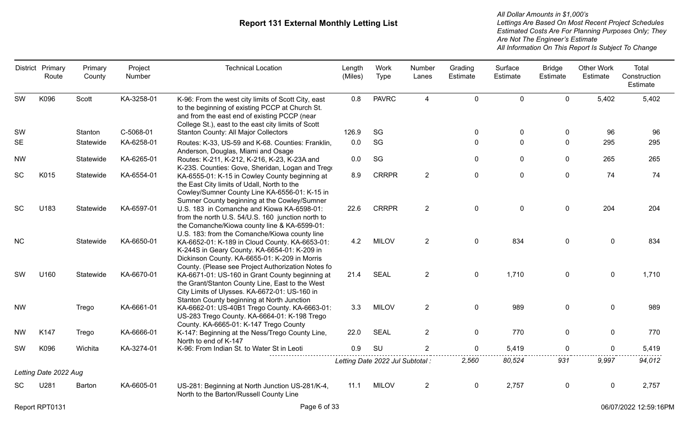|           | District Primary<br>Route | Primary<br>County | Project<br>Number | <b>Technical Location</b>                                                                                                                                                                                                                               | Length<br>(Miles) | Work<br><b>Type</b>              | Number<br>Lanes | Grading<br>Estimate | Surface<br>Estimate | <b>Bridge</b><br>Estimate | <b>Other Work</b><br>Estimate | Total<br>Construction<br>Estimate |
|-----------|---------------------------|-------------------|-------------------|---------------------------------------------------------------------------------------------------------------------------------------------------------------------------------------------------------------------------------------------------------|-------------------|----------------------------------|-----------------|---------------------|---------------------|---------------------------|-------------------------------|-----------------------------------|
| <b>SW</b> | K096                      | Scott             | KA-3258-01        | K-96: From the west city limits of Scott City, east<br>to the beginning of existing PCCP at Church St.<br>and from the east end of existing PCCP (near<br>College St.), east to the east city limits of Scott                                           | 0.8               | <b>PAVRC</b>                     | 4               | $\mathbf 0$         | $\pmb{0}$           | $\mathbf 0$               | 5,402                         | 5,402                             |
| SW        |                           | Stanton           | C-5068-01         | <b>Stanton County: All Major Collectors</b>                                                                                                                                                                                                             | 126.9             | SG                               |                 | 0                   | 0                   | $\mathbf 0$               | 96                            | 96                                |
| <b>SE</b> |                           | Statewide         | KA-6258-01        | Routes: K-33, US-59 and K-68. Counties: Franklin,<br>Anderson, Douglas, Miami and Osage                                                                                                                                                                 | 0.0               | SG                               |                 | $\mathbf 0$         | $\Omega$            | $\mathbf{0}$              | 295                           | 295                               |
| <b>NW</b> |                           | Statewide         | KA-6265-01        | Routes: K-211, K-212, K-216, K-23, K-23A and<br>K-23S. Counties: Gove, Sheridan, Logan and Trego                                                                                                                                                        | 0.0               | SG                               |                 | $\pmb{0}$           | $\mathbf 0$         | $\mathbf 0$               | 265                           | 265                               |
| SC        | K015                      | Statewide         | KA-6554-01        | KA-6555-01: K-15 in Cowley County beginning at<br>the East City limits of Udall, North to the<br>Cowley/Sumner County Line KA-6556-01: K-15 in<br>Sumner County beginning at the Cowley/Sumner                                                          | 8.9               | <b>CRRPR</b>                     | $\overline{2}$  | $\pmb{0}$           | $\mathbf 0$         | $\mathbf 0$               | 74                            | 74                                |
| <b>SC</b> | U183                      | Statewide         | KA-6597-01        | U.S. 183 in Comanche and Kiowa KA-6598-01:<br>from the north U.S. 54/U.S. 160 junction north to<br>the Comanche/Kiowa county line & KA-6599-01:                                                                                                         | 22.6              | <b>CRRPR</b>                     | $\overline{2}$  | $\mathbf 0$         | $\pmb{0}$           | $\mathbf 0$               | 204                           | 204                               |
| <b>NC</b> |                           | Statewide         | KA-6650-01        | U.S. 183: from the Comanche/Kiowa county line<br>KA-6652-01: K-189 in Cloud County. KA-6653-01:<br>K-244S in Geary County. KA-6654-01: K-209 in<br>Dickinson County. KA-6655-01: K-209 in Morris                                                        | 4.2               | <b>MILOV</b>                     | $\overline{2}$  | $\mathbf 0$         | 834                 | $\mathbf{0}$              | $\mathbf 0$                   | 834                               |
| <b>SW</b> | U160                      | Statewide         | KA-6670-01        | County. (Please see Project Authorization Notes fo<br>KA-6671-01: US-160 in Grant County beginning at<br>the Grant/Stanton County Line, East to the West<br>City Limits of Ulysses. KA-6672-01: US-160 in<br>Stanton County beginning at North Junction | 21.4              | <b>SEAL</b>                      | $\overline{2}$  | $\mathbf 0$         | 1,710               | $\mathbf 0$               | $\mathbf 0$                   | 1,710                             |
| <b>NW</b> |                           | Trego             | KA-6661-01        | KA-6662-01: US-40B1 Trego County. KA-6663-01:<br>US-283 Trego County. KA-6664-01: K-198 Trego<br>County. KA-6665-01: K-147 Trego County                                                                                                                 | 3.3               | <b>MILOV</b>                     | $\overline{2}$  | $\pmb{0}$           | 989                 | $\mathbf 0$               | 0                             | 989                               |
| <b>NW</b> | K147                      | Trego             | KA-6666-01        | K-147: Beginning at the Ness/Trego County Line,<br>North to end of K-147                                                                                                                                                                                | 22.0              | <b>SEAL</b>                      | $\overline{2}$  | $\mathbf 0$         | 770                 | $\mathbf 0$               | 0                             | 770                               |
| SW        | K096                      | Wichita           | KA-3274-01        | K-96: From Indian St. to Water St in Leoti                                                                                                                                                                                                              | 0.9               | SU                               | $\overline{2}$  | $\mathbf 0$         | 5,419               | 0                         | 0                             | 5,419                             |
|           |                           |                   |                   | .                                                                                                                                                                                                                                                       |                   | Letting Date 2022 Jul Subtotal : |                 | 2,560               | 80,524              | 931                       | 9,997                         | 94,012                            |
|           | Letting Date 2022 Aug     |                   |                   |                                                                                                                                                                                                                                                         |                   |                                  |                 |                     |                     |                           |                               |                                   |
| SC        | U281                      | Barton            | KA-6605-01        | US-281: Beginning at North Junction US-281/K-4,<br>North to the Barton/Russell County Line                                                                                                                                                              | 11.1              | <b>MILOV</b>                     | $\overline{2}$  | $\mathbf 0$         | 2,757               | $\mathbf 0$               | 0                             | 2,757                             |
|           | Report RPT0131            |                   |                   | Page 6 of 33                                                                                                                                                                                                                                            |                   |                                  |                 |                     |                     |                           |                               | 06/07/2022 12:59:16PM             |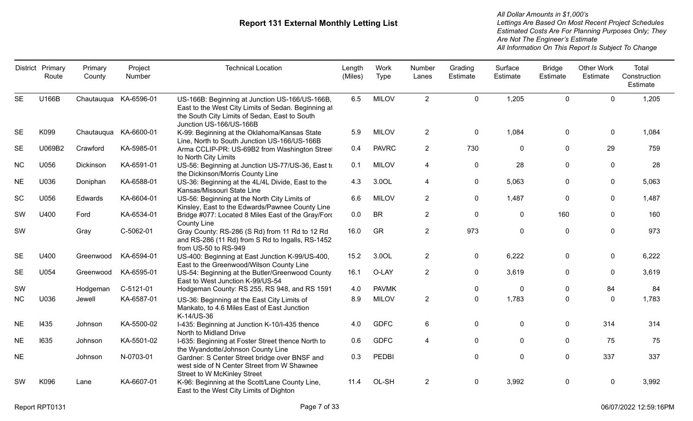|           | District Primary<br>Route | Primary<br>County     | Project<br>Number | <b>Technical Location</b>                                                                                                                                                         | Length<br>(Miles) | Work<br>Type | Number<br>Lanes | Grading<br>Estimate | Surface<br>Estimate | <b>Bridge</b><br>Estimate | <b>Other Work</b><br>Estimate | Total<br>Construction<br>Estimate |
|-----------|---------------------------|-----------------------|-------------------|-----------------------------------------------------------------------------------------------------------------------------------------------------------------------------------|-------------------|--------------|-----------------|---------------------|---------------------|---------------------------|-------------------------------|-----------------------------------|
| <b>SE</b> | U166B                     | Chautauqua KA-6596-01 |                   | US-166B: Beginning at Junction US-166/US-166B,<br>East to the West City Limits of Sedan. Beginning at<br>the South City Limits of Sedan, East to South<br>Junction US-166/US-166B | 6.5               | <b>MILOV</b> | 2               | $\mathbf 0$         | 1,205               | $\Omega$                  | $\Omega$                      | 1,205                             |
| <b>SE</b> | K099                      | Chautauqua KA-6600-01 |                   | K-99: Beginning at the Oklahoma/Kansas State<br>Line, North to South Junction US-166/US-166B                                                                                      | 5.9               | <b>MILOV</b> | $\overline{2}$  | $\boldsymbol{0}$    | 1,084               | 0                         | 0                             | 1,084                             |
| <b>SE</b> | U069B2                    | Crawford              | KA-5985-01        | Arma CCLIP-PR: US-69B2 from Washington Street<br>to North City Limits                                                                                                             | 0.4               | <b>PAVRC</b> | $\overline{2}$  | 730                 | 0                   | $\mathbf 0$               | 29                            | 759                               |
| <b>NC</b> | U056                      | Dickinson             | KA-6591-01        | US-56: Beginning at Junction US-77/US-36, East to<br>the Dickinson/Morris County Line                                                                                             | 0.1               | <b>MILOV</b> | 4               | $\mathbf 0$         | 28                  | $\Omega$                  | $\Omega$                      | 28                                |
| <b>NE</b> | U036                      | Doniphan              | KA-6588-01        | US-36: Beginning at the 4L/4L Divide, East to the<br>Kansas/Missouri State Line                                                                                                   | 4.3               | 3.0OL        | 4               | $\mathbf 0$         | 5,063               | $\mathbf{0}$              | $\mathbf{0}$                  | 5,063                             |
| SC        | U056                      | Edwards               | KA-6604-01        | US-56: Beginning at the North City Limits of<br>Kinsley, East to the Edwards/Pawnee County Line                                                                                   | 6.6               | <b>MILOV</b> | $\overline{2}$  | $\mathbf 0$         | 1,487               | $\mathbf{0}$              | 0                             | 1,487                             |
| SW        | U400                      | Ford                  | KA-6534-01        | Bridge #077: Located 8 Miles East of the Gray/Ford<br><b>County Line</b>                                                                                                          | 0.0               | <b>BR</b>    | $\overline{2}$  | $\mathbf 0$         | 0                   | 160                       | 0                             | 160                               |
| SW        |                           | Gray                  | C-5062-01         | Gray County: RS-286 (S Rd) from 11 Rd to 12 Rd<br>and RS-286 (11 Rd) from S Rd to Ingalls, RS-1452<br>from US-50 to RS-949                                                        | 16.0              | GR           | $\overline{2}$  | 973                 | 0                   | $\boldsymbol{0}$          | 0                             | 973                               |
| <b>SE</b> | U400                      | Greenwood             | KA-6594-01        | US-400: Beginning at East Junction K-99/US-400,<br>East to the Greenwood/Wilson County Line                                                                                       | 15.2              | 3.0OL        | $\overline{2}$  | $\mathbf 0$         | 6,222               | 0                         | 0                             | 6,222                             |
| <b>SE</b> | U054                      | Greenwood             | KA-6595-01        | US-54: Beginning at the Butler/Greenwood County,<br>East to West Junction K-99/US-54                                                                                              | 16.1              | O-LAY        | $\overline{2}$  | $\mathbf 0$         | 3,619               | 0                         | 0                             | 3,619                             |
| SW        |                           | Hodgeman              | C-5121-01         | Hodgeman County: RS 255, RS 948, and RS 1591                                                                                                                                      | 4.0               | <b>PAVMK</b> |                 | 0                   | 0                   | $\mathbf{0}$              | 84                            | 84                                |
| <b>NC</b> | U036                      | Jewell                | KA-6587-01        | US-36: Beginning at the East City Limits of<br>Mankato, to 4.6 Miles East of East Junction<br>K-14/US-36                                                                          | 8.9               | <b>MILOV</b> | $\overline{2}$  | $\mathbf 0$         | 1,783               | $\Omega$                  | $\Omega$                      | 1,783                             |
| <b>NE</b> | 1435                      | Johnson               | KA-5500-02        | I-435: Beginning at Junction K-10/I-435 thence<br>North to Midland Drive                                                                                                          | 4.0               | <b>GDFC</b>  | 6               | $\mathbf 0$         | 0                   | $\mathbf 0$               | 314                           | 314                               |
| <b>NE</b> | 1635                      | Johnson               | KA-5501-02        | I-635: Beginning at Foster Street thence North to<br>the Wyandotte/Johnson County Line                                                                                            | 0.6               | <b>GDFC</b>  | 4               | $\mathbf{0}$        | $\mathbf{0}$        | $\mathbf{0}$              | 75                            | 75                                |
| <b>NE</b> |                           | Johnson               | N-0703-01         | Gardner: S Center Street bridge over BNSF and<br>west side of N Center Street from W Shawnee<br><b>Street to W McKinley Street</b>                                                | 0.3               | <b>PEDBI</b> |                 | 0                   | 0                   | $\mathbf 0$               | 337                           | 337                               |
| <b>SW</b> | K096                      | Lane                  | KA-6607-01        | K-96: Beginning at the Scott/Lane County Line,<br>East to the West City Limits of Dighton                                                                                         | 11.4              | OL-SH        | $\overline{2}$  | $\mathbf 0$         | 3,992               | $\Omega$                  | 0                             | 3,992                             |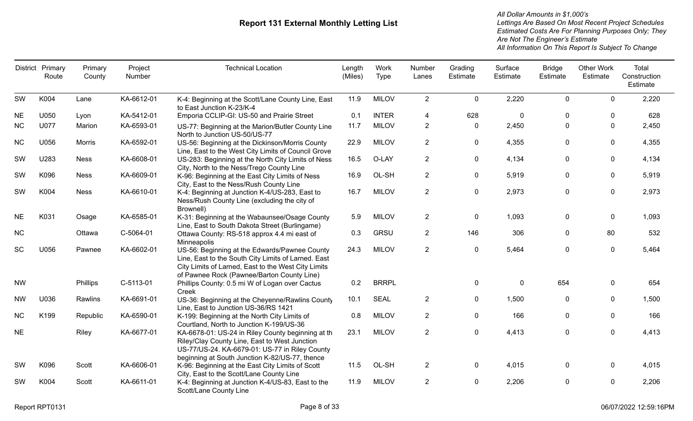|           | District Primary<br>Route | Primary<br>County | Project<br>Number | <b>Technical Location</b>                                                                                                                                                                                 | Length<br>(Miles) | Work<br>Type | Number<br>Lanes | Grading<br>Estimate | Surface<br>Estimate | <b>Bridge</b><br>Estimate | <b>Other Work</b><br>Estimate | Total<br>Construction<br>Estimate |
|-----------|---------------------------|-------------------|-------------------|-----------------------------------------------------------------------------------------------------------------------------------------------------------------------------------------------------------|-------------------|--------------|-----------------|---------------------|---------------------|---------------------------|-------------------------------|-----------------------------------|
| SW        | K004                      | Lane              | KA-6612-01        | K-4: Beginning at the Scott/Lane County Line, East<br>to East Junction K-23/K-4                                                                                                                           | 11.9              | <b>MILOV</b> | $\overline{2}$  | $\mathbf 0$         | 2,220               | $\mathbf 0$               | $\mathbf 0$                   | 2,220                             |
| <b>NE</b> | U050                      | Lyon              | KA-5412-01        | Emporia CCLIP-GI: US-50 and Prairie Street                                                                                                                                                                | 0.1               | <b>INTER</b> | 4               | 628                 | $\mathbf 0$         | $\Omega$                  | $\Omega$                      | 628                               |
| <b>NC</b> | U077                      | Marion            | KA-6593-01        | US-77: Beginning at the Marion/Butler County Line<br>North to Junction US-50/US-77                                                                                                                        | 11.7              | <b>MILOV</b> | $\overline{2}$  | $\mathbf{0}$        | 2,450               | $\mathbf{0}$              | $\mathbf{0}$                  | 2,450                             |
| <b>NC</b> | U056                      | Morris            | KA-6592-01        | US-56: Beginning at the Dickinson/Morris County<br>Line, East to the West City Limits of Council Grove                                                                                                    | 22.9              | <b>MILOV</b> | $\overline{2}$  | 0                   | 4,355               | 0                         | 0                             | 4,355                             |
| SW        | U283                      | <b>Ness</b>       | KA-6608-01        | US-283: Beginning at the North City Limits of Ness<br>City, North to the Ness/Trego County Line                                                                                                           | 16.5              | O-LAY        | $\overline{2}$  | 0                   | 4,134               | $\pmb{0}$                 | $\pmb{0}$                     | 4,134                             |
| SW        | K096                      | <b>Ness</b>       | KA-6609-01        | K-96: Beginning at the East City Limits of Ness<br>City, East to the Ness/Rush County Line                                                                                                                | 16.9              | OL-SH        | $\overline{2}$  | 0                   | 5,919               | 0                         | 0                             | 5,919                             |
| SW        | K004                      | <b>Ness</b>       | KA-6610-01        | K-4: Beginning at Junction K-4/US-283, East to<br>Ness/Rush County Line (excluding the city of<br>Brownell)                                                                                               | 16.7              | <b>MILOV</b> | $\overline{2}$  | $\mathbf 0$         | 2,973               | $\pmb{0}$                 | $\mathbf 0$                   | 2,973                             |
| <b>NE</b> | K031                      | Osage             | KA-6585-01        | K-31: Beginning at the Wabaunsee/Osage County<br>Line, East to South Dakota Street (Burlingame)                                                                                                           | 5.9               | <b>MILOV</b> | $\overline{2}$  | $\pmb{0}$           | 1,093               | $\pmb{0}$                 | $\mathbf 0$                   | 1,093                             |
| <b>NC</b> |                           | Ottawa            | C-5064-01         | Ottawa County: RS-518 approx 4.4 mi east of<br>Minneapolis                                                                                                                                                | 0.3               | <b>GRSU</b>  | $\overline{2}$  | 146                 | 306                 | 0                         | 80                            | 532                               |
| SC        | U056                      | Pawnee            | KA-6602-01        | US-56: Beginning at the Edwards/Pawnee County<br>Line, East to the South City Limits of Larned. East<br>City Limits of Larned, East to the West City Limits<br>of Pawnee Rock (Pawnee/Barton County Line) | 24.3              | <b>MILOV</b> | $\overline{2}$  | $\mathbf 0$         | 5,464               | $\mathbf 0$               | $\mathbf 0$                   | 5,464                             |
| <b>NW</b> |                           | Phillips          | C-5113-01         | Phillips County: 0.5 mi W of Logan over Cactus<br>Creek                                                                                                                                                   | 0.2               | <b>BRRPL</b> |                 | 0                   | 0                   | 654                       | 0                             | 654                               |
| <b>NW</b> | U036                      | Rawlins           | KA-6691-01        | US-36: Beginning at the Cheyenne/Rawlins County<br>Line, East to Junction US-36/RS 1421                                                                                                                   | 10.1              | <b>SEAL</b>  | $\overline{2}$  | $\mathbf 0$         | 1,500               | $\mathbf 0$               | $\mathbf 0$                   | 1,500                             |
| <b>NC</b> | K199                      | Republic          | KA-6590-01        | K-199: Beginning at the North City Limits of<br>Courtland, North to Junction K-199/US-36                                                                                                                  | 0.8               | <b>MILOV</b> | $\overline{2}$  | $\mathbf 0$         | 166                 | $\Omega$                  | $\mathbf{0}$                  | 166                               |
| <b>NE</b> |                           | Riley             | KA-6677-01        | KA-6678-01: US-24 in Riley County beginning at th<br>Riley/Clay County Line, East to West Junction<br>US-77/US-24. KA-6679-01: US-77 in Riley County<br>beginning at South Junction K-82/US-77, thence    | 23.1              | <b>MILOV</b> | $\overline{2}$  | $\pmb{0}$           | 4,413               | $\mathbf 0$               | $\mathbf 0$                   | 4,413                             |
| <b>SW</b> | K096                      | Scott             | KA-6606-01        | K-96: Beginning at the East City Limits of Scott<br>City, East to the Scott/Lane County Line                                                                                                              | 11.5              | OL-SH        | $\overline{2}$  | 0                   | 4,015               | $\Omega$                  | $\mathbf{0}$                  | 4,015                             |
| SW        | K004                      | Scott             | KA-6611-01        | K-4: Beginning at Junction K-4/US-83, East to the<br>Scott/Lane County Line                                                                                                                               | 11.9              | <b>MILOV</b> | $\overline{2}$  | 0                   | 2,206               | 0                         | 0                             | 2,206                             |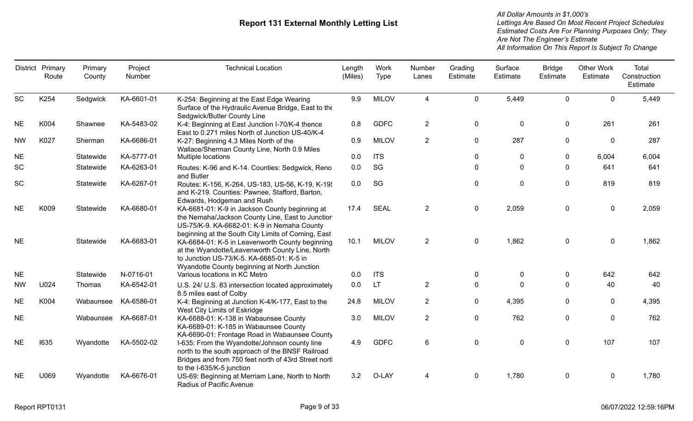|           | District Primary<br>Route | Primary<br>County | Project<br>Number | <b>Technical Location</b>                                                                                                                                                                                | Length<br>(Miles) | Work<br>Type | Number<br>Lanes | Grading<br>Estimate | Surface<br>Estimate | <b>Bridge</b><br>Estimate | <b>Other Work</b><br>Estimate | Total<br>Construction<br>Estimate |
|-----------|---------------------------|-------------------|-------------------|----------------------------------------------------------------------------------------------------------------------------------------------------------------------------------------------------------|-------------------|--------------|-----------------|---------------------|---------------------|---------------------------|-------------------------------|-----------------------------------|
| SC        | K254                      | Sedgwick          | KA-6601-01        | K-254: Beginning at the East Edge Wearing<br>Surface of the Hydraulic Avenue Bridge, East to the<br>Sedgwick/Butler County Line                                                                          | 9.9               | <b>MILOV</b> | 4               | $\mathbf 0$         | 5,449               | $\Omega$                  | $\Omega$                      | 5,449                             |
| <b>NE</b> | K004                      | Shawnee           | KA-5483-02        | K-4: Beginning at East Junction I-70/K-4 thence<br>East to 0.271 miles North of Junction US-40/K-4                                                                                                       | 0.8               | <b>GDFC</b>  | $\overline{2}$  | $\mathbf 0$         | 0                   | $\mathbf 0$               | 261                           | 261                               |
| <b>NW</b> | K027                      | Sherman           | KA-6686-01        | K-27: Beginning 4.3 Miles North of the<br>Wallace/Sherman County Line, North 0.9 Miles                                                                                                                   | 0.9               | <b>MILOV</b> | $\overline{2}$  | $\pmb{0}$           | 287                 | $\pmb{0}$                 | 0                             | 287                               |
| <b>NE</b> |                           | Statewide         | KA-5777-01        | Multiple locations                                                                                                                                                                                       | 0.0               | <b>ITS</b>   |                 | 0                   | $\mathbf{0}$        | $\boldsymbol{0}$          | 6,004                         | 6,004                             |
| <b>SC</b> |                           | Statewide         | KA-6263-01        | Routes: K-96 and K-14. Counties: Sedgwick, Reno<br>and Butler                                                                                                                                            | 0.0               | SG           |                 | 0                   | 0                   | 0                         | 641                           | 641                               |
| <b>SC</b> |                           | Statewide         | KA-6267-01        | Routes: K-156, K-264, US-183, US-56, K-19, K-19,<br>and K-219. Counties: Pawnee, Stafford, Barton,<br>Edwards, Hodgeman and Rush                                                                         | 0.0               | SG           |                 | $\boldsymbol{0}$    | 0                   | $\boldsymbol{0}$          | 819                           | 819                               |
| <b>NE</b> | K009                      | Statewide         | KA-6680-01        | KA-6681-01: K-9 in Jackson County beginning at<br>the Nemaha/Jackson County Line, East to Junction<br>US-75/K-9. KA-6682-01: K-9 in Nemaha County<br>beginning at the South City Limits of Corning, East | 17.4              | <b>SEAL</b>  | $\overline{2}$  | 0                   | 2,059               | 0                         | 0                             | 2,059                             |
| <b>NE</b> |                           | Statewide         | KA-6683-01        | KA-6684-01: K-5 in Leavenworth County beginning<br>at the Wyandotte/Leavenworth County Line, North<br>to Junction US-73/K-5. KA-6685-01: K-5 in<br>Wyandotte County beginning at North Junction          | 10.1              | <b>MILOV</b> | $\overline{2}$  | 0                   | 1,862               | 0                         | $\mathbf 0$                   | 1,862                             |
| <b>NE</b> |                           | Statewide         | N-0716-01         | Various locations in KC Metro                                                                                                                                                                            | 0.0               | <b>ITS</b>   |                 | 0                   | 0                   | 0                         | 642                           | 642                               |
| <b>NW</b> | U024                      | Thomas            | KA-6542-01        | U.S. 24/ U.S. 83 intersection located approximately<br>8.5 miles east of Colby                                                                                                                           | 0.0               | <b>LT</b>    | $\overline{2}$  | $\mathbf{0}$        | 0                   | $\Omega$                  | 40                            | 40                                |
| <b>NE</b> | K004                      | Wabaunsee         | KA-6586-01        | K-4: Beginning at Junction K-4/K-177, East to the<br>West City Limits of Eskridge                                                                                                                        | 24.8              | <b>MILOV</b> | $\overline{2}$  | 0                   | 4,395               | $\Omega$                  | $\mathbf{0}$                  | 4,395                             |
| <b>NE</b> |                           | Wabaunsee         | KA-6687-01        | KA-6688-01: K-138 in Wabaunsee County<br>KA-6689-01: K-185 in Wabaunsee County<br>KA-6690-01: Frontage Road in Wabaunsee County                                                                          | 3.0               | <b>MILOV</b> | $\overline{2}$  | $\mathbf 0$         | 762                 | $\mathbf 0$               | $\mathbf{0}$                  | 762                               |
| <b>NE</b> | 1635                      | Wyandotte         | KA-5502-02        | I-635: From the Wyandotte/Johnson county line<br>north to the south approach of the BNSF Railroad<br>Bridges and from 750 feet north of 43rd Street nortl<br>to the I-635/K-5 junction                   | 4.9               | <b>GDFC</b>  | 6               | $\boldsymbol{0}$    | 0                   | $\boldsymbol{0}$          | 107                           | 107                               |
| <b>NE</b> | U069                      | Wyandotte         | KA-6676-01        | US-69: Beginning at Merriam Lane, North to North<br>Radius of Pacific Avenue                                                                                                                             | 3.2               | O-LAY        | 4               | $\Omega$            | 1,780               | $\mathbf{0}$              | $\mathbf{0}$                  | 1,780                             |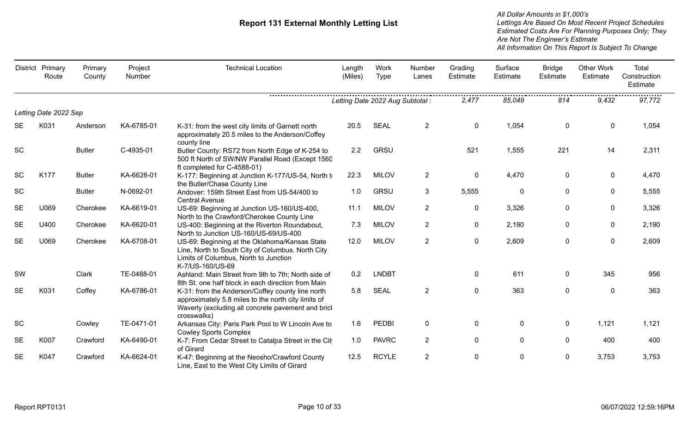|           | District Primary<br>Route | Primary<br>County | Project<br>Number | <b>Technical Location</b>                                                                                                                                                    | Length<br>(Miles)                | Work<br><b>Type</b> | Number<br>Lanes | Grading<br>Estimate | Surface<br>Estimate | <b>Bridge</b><br>Estimate | <b>Other Work</b><br>Estimate | Total<br>Construction<br>Estimate |
|-----------|---------------------------|-------------------|-------------------|------------------------------------------------------------------------------------------------------------------------------------------------------------------------------|----------------------------------|---------------------|-----------------|---------------------|---------------------|---------------------------|-------------------------------|-----------------------------------|
|           |                           |                   |                   |                                                                                                                                                                              | Letting Date 2022 Aug Subtotal : |                     |                 | 2,477               | 85,049              | 814                       | 9,432                         | .<br>97,772                       |
|           | Letting Date 2022 Sep     |                   |                   |                                                                                                                                                                              |                                  |                     |                 |                     |                     |                           |                               |                                   |
| <b>SE</b> | K031                      | Anderson          | KA-6785-01        | K-31: from the west city limits of Garnett north<br>approximately 20.5 miles to the Anderson/Coffey<br>county line                                                           | 20.5                             | <b>SEAL</b>         | $\overline{2}$  | $\mathbf 0$         | 1,054               | 0                         | $\mathbf 0$                   | 1,054                             |
| <b>SC</b> |                           | <b>Butler</b>     | C-4935-01         | Butler County: RS72 from North Edge of K-254 to<br>500 ft North of SW/NW Parallel Road (Except 1560<br>ft completed for C-4588-01)                                           | 2.2                              | GRSU                |                 | 521                 | 1,555               | 221                       | 14                            | 2,311                             |
| <b>SC</b> | K177                      | <b>Butler</b>     | KA-6628-01        | K-177: Beginning at Junction K-177/US-54, North to<br>the Butler/Chase County Line                                                                                           | 22.3                             | <b>MILOV</b>        | $\overline{2}$  | 0                   | 4,470               | 0                         | $\mathbf 0$                   | 4,470                             |
| SC        |                           | <b>Butler</b>     | N-0692-01         | Andover: 159th Street East from US-54/400 to<br><b>Central Avenue</b>                                                                                                        | 1.0                              | GRSU                | $\mathbf{3}$    | 5,555               | $\mathbf 0$         | 0                         | $\mathbf 0$                   | 5,555                             |
| <b>SE</b> | U069                      | Cherokee          | KA-6619-01        | US-69: Beginning at Junction US-160/US-400,<br>North to the Crawford/Cherokee County Line                                                                                    | 11.1                             | <b>MILOV</b>        | $\overline{2}$  | $\mathbf 0$         | 3,326               | 0                         | $\mathbf 0$                   | 3,326                             |
| <b>SE</b> | U400                      | Cherokee          | KA-6620-01        | US-400: Beginning at the Riverton Roundabout,<br>North to Junction US-160/US-69/US-400                                                                                       | 7.3                              | <b>MILOV</b>        | $\overline{2}$  | $\mathbf 0$         | 2,190               | 0                         | $\pmb{0}$                     | 2,190                             |
| <b>SE</b> | U069                      | Cherokee          | KA-6708-01        | US-69: Beginning at the Oklahoma/Kansas State<br>Line, North to South City of Columbus. North City<br>Limits of Columbus, North to Junction<br>K-7/US-160/US-69              | 12.0                             | <b>MILOV</b>        | $\overline{2}$  | 0                   | 2,609               | 0                         | $\mathbf 0$                   | 2,609                             |
| SW        |                           | Clark             | TE-0488-01        | Ashland: Main Street from 9th to 7th; North side of<br>8th St. one half block in each direction from Main                                                                    | 0.2                              | <b>LNDBT</b>        |                 | $\pmb{0}$           | 611                 | 0                         | 345                           | 956                               |
| <b>SE</b> | K031                      | Coffey            | KA-6786-01        | K-31: from the Anderson/Coffey county line north<br>approximately 5.8 miles to the north city limits of<br>Waverly (excluding all concrete pavement and brick<br>crosswalks) | 5.8                              | <b>SEAL</b>         | $\overline{2}$  | $\mathbf 0$         | 363                 | $\mathbf 0$               | $\mathbf 0$                   | 363                               |
| <b>SC</b> |                           | Cowley            | TE-0471-01        | Arkansas City: Paris Park Pool to W Lincoln Ave to<br><b>Cowley Sports Complex</b>                                                                                           | 1.6                              | <b>PEDBI</b>        | $\mathbf 0$     | $\pmb{0}$           | $\pmb{0}$           | 0                         | 1,121                         | 1,121                             |
| <b>SE</b> | K007                      | Crawford          | KA-6490-01        | K-7: From Cedar Street to Catalpa Street in the Cit<br>of Girard                                                                                                             | 1.0                              | <b>PAVRC</b>        | $\overline{2}$  | 0                   | 0                   | 0                         | 400                           | 400                               |
| <b>SE</b> | K047                      | Crawford          | KA-6624-01        | K-47: Beginning at the Neosho/Crawford County<br>Line, East to the West City Limits of Girard                                                                                | 12.5                             | <b>RCYLE</b>        | $\overline{2}$  | 0                   | 0                   | 0                         | 3,753                         | 3,753                             |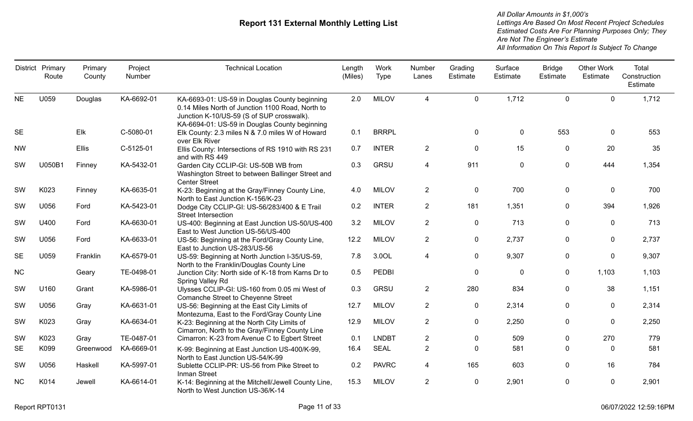|           | District Primary<br>Route | Primary<br>County | Project<br>Number | <b>Technical Location</b>                                                                                                                                                                       | Length<br>(Miles) | Work<br>Type | Number<br>Lanes | Grading<br>Estimate | Surface<br>Estimate | <b>Bridge</b><br>Estimate | <b>Other Work</b><br>Estimate | Total<br>Construction<br>Estimate |
|-----------|---------------------------|-------------------|-------------------|-------------------------------------------------------------------------------------------------------------------------------------------------------------------------------------------------|-------------------|--------------|-----------------|---------------------|---------------------|---------------------------|-------------------------------|-----------------------------------|
| <b>NE</b> | U059                      | Douglas           | KA-6692-01        | KA-6693-01: US-59 in Douglas County beginning<br>0.14 Miles North of Junction 1100 Road, North to<br>Junction K-10/US-59 (S of SUP crosswalk).<br>KA-6694-01: US-59 in Douglas County beginning | 2.0               | <b>MILOV</b> | $\overline{4}$  | $\mathbf 0$         | 1,712               | $\mathbf 0$               | $\mathbf 0$                   | 1,712                             |
| <b>SE</b> |                           | Elk               | C-5080-01         | Elk County: 2.3 miles N & 7.0 miles W of Howard<br>over Elk River                                                                                                                               | 0.1               | <b>BRRPL</b> |                 | $\mathbf 0$         | $\pmb{0}$           | 553                       | $\mathbf{0}$                  | 553                               |
| <b>NW</b> |                           | Ellis             | C-5125-01         | Ellis County: Intersections of RS 1910 with RS 231<br>and with RS 449                                                                                                                           | 0.7               | <b>INTER</b> | $\overline{2}$  | $\mathbf 0$         | 15                  | 0                         | 20                            | 35                                |
| SW        | U050B1                    | Finney            | KA-5432-01        | Garden City CCLIP-GI: US-50B WB from<br>Washington Street to between Ballinger Street and<br><b>Center Street</b>                                                                               | 0.3               | GRSU         | $\overline{4}$  | 911                 | $\mathbf 0$         | $\mathbf 0$               | 444                           | 1,354                             |
| SW        | K023                      | Finney            | KA-6635-01        | K-23: Beginning at the Gray/Finney County Line,<br>North to East Junction K-156/K-23                                                                                                            | 4.0               | <b>MILOV</b> | $\overline{2}$  | $\mathbf 0$         | 700                 | $\mathbf 0$               | $\mathbf 0$                   | 700                               |
| SW        | U056                      | Ford              | KA-5423-01        | Dodge City CCLIP-GI: US-56/283/400 & E Trail<br><b>Street Intersection</b>                                                                                                                      | 0.2               | <b>INTER</b> | $\overline{2}$  | 181                 | 1,351               | $\mathbf 0$               | 394                           | 1,926                             |
| SW        | U400                      | Ford              | KA-6630-01        | US-400: Beginning at East Junction US-50/US-400<br>East to West Junction US-56/US-400                                                                                                           | 3.2               | <b>MILOV</b> | $\overline{2}$  | $\mathbf 0$         | 713                 | $\mathbf 0$               | $\mathbf{0}$                  | 713                               |
| SW        | U056                      | Ford              | KA-6633-01        | US-56: Beginning at the Ford/Gray County Line,<br>East to Junction US-283/US-56                                                                                                                 | 12.2              | <b>MILOV</b> | $\overline{2}$  | $\mathbf 0$         | 2,737               | $\mathbf 0$               | $\mathbf 0$                   | 2,737                             |
| <b>SE</b> | U059                      | Franklin          | KA-6579-01        | US-59: Beginning at North Junction I-35/US-59,<br>North to the Franklin/Douglas County Line                                                                                                     | 7.8               | 3.0OL        | 4               | $\mathbf 0$         | 9,307               | $\mathbf 0$               | 0                             | 9,307                             |
| NC        |                           | Geary             | TE-0498-01        | Junction City: North side of K-18 from Karns Dr to<br>Spring Valley Rd                                                                                                                          | 0.5               | <b>PEDBI</b> |                 | $\mathbf 0$         | $\mathbf 0$         | $\mathbf 0$               | 1,103                         | 1,103                             |
| SW        | U160                      | Grant             | KA-5986-01        | Ulysses CCLIP-GI: US-160 from 0.05 mi West of<br>Comanche Street to Cheyenne Street                                                                                                             | 0.3               | GRSU         | $\overline{2}$  | 280                 | 834                 | $\mathbf{0}$              | 38                            | 1,151                             |
| SW        | U056                      | Gray              | KA-6631-01        | US-56: Beginning at the East City Limits of<br>Montezuma, East to the Ford/Gray County Line                                                                                                     | 12.7              | <b>MILOV</b> | $\overline{2}$  | $\pmb{0}$           | 2,314               | 0                         | $\mathbf 0$                   | 2,314                             |
| SW        | K023                      | Gray              | KA-6634-01        | K-23: Beginning at the North City Limits of<br>Cimarron, North to the Gray/Finney County Line                                                                                                   | 12.9              | <b>MILOV</b> | $\overline{2}$  | $\mathbf 0$         | 2,250               | $\mathbf 0$               | $\mathbf 0$                   | 2,250                             |
| SW        | K023                      | Gray              | TE-0487-01        | Cimarron: K-23 from Avenue C to Egbert Street                                                                                                                                                   | 0.1               | <b>LNDBT</b> | $\overline{2}$  | $\mathbf{0}$        | 509                 | $\mathbf{0}$              | 270                           | 779                               |
| <b>SE</b> | K099                      | Greenwood         | KA-6669-01        | K-99: Beginning at East Junction US-400/K-99,<br>North to East Junction US-54/K-99                                                                                                              | 16.4              | <b>SEAL</b>  | $\overline{2}$  | $\mathbf{0}$        | 581                 | $\mathbf{0}$              | $\Omega$                      | 581                               |
| SW        | U056                      | Haskell           | KA-5997-01        | Sublette CCLIP-PR: US-56 from Pike Street to<br><b>Inman Street</b>                                                                                                                             | 0.2               | <b>PAVRC</b> | 4               | 165                 | 603                 | $\mathbf 0$               | 16                            | 784                               |
| NC        | K014                      | Jewell            | KA-6614-01        | K-14: Beginning at the Mitchell/Jewell County Line,<br>North to West Junction US-36/K-14                                                                                                        | 15.3              | <b>MILOV</b> | $\overline{2}$  | $\mathbf 0$         | 2,901               | $\mathbf 0$               | $\mathbf 0$                   | 2,901                             |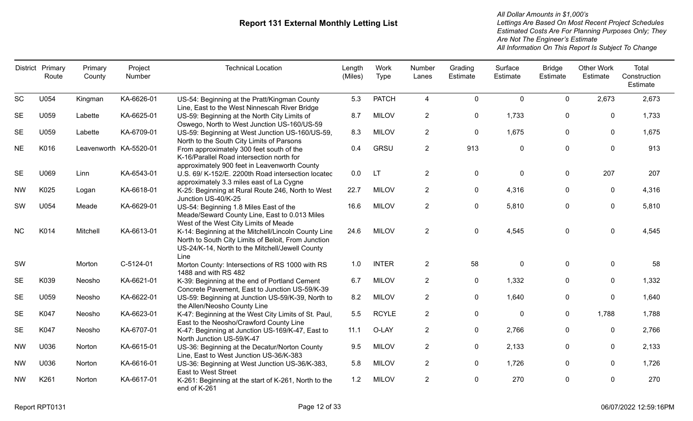|           | District Primary<br>Route | Primary<br>County      | Project<br>Number | <b>Technical Location</b>                                                                                                                                             | Length<br>(Miles) | Work<br>Type | Number<br>Lanes | Grading<br>Estimate | Surface<br>Estimate | <b>Bridge</b><br>Estimate | <b>Other Work</b><br>Estimate | Total<br>Construction<br>Estimate |
|-----------|---------------------------|------------------------|-------------------|-----------------------------------------------------------------------------------------------------------------------------------------------------------------------|-------------------|--------------|-----------------|---------------------|---------------------|---------------------------|-------------------------------|-----------------------------------|
| <b>SC</b> | U054                      | Kingman                | KA-6626-01        | US-54: Beginning at the Pratt/Kingman County<br>Line, East to the West Ninnescah River Bridge                                                                         | 5.3               | <b>PATCH</b> | 4               | $\mathbf 0$         | 0                   | $\mathbf{0}$              | 2,673                         | 2,673                             |
| <b>SE</b> | U059                      | Labette                | KA-6625-01        | US-59: Beginning at the North City Limits of<br>Oswego, North to West Junction US-160/US-59                                                                           | 8.7               | <b>MILOV</b> | $\overline{2}$  | $\mathbf 0$         | 1,733               | 0                         | $\mathbf{0}$                  | 1,733                             |
| <b>SE</b> | U059                      | Labette                | KA-6709-01        | US-59: Beginning at West Junction US-160/US-59,<br>North to the South City Limits of Parsons                                                                          | 8.3               | <b>MILOV</b> | $\overline{c}$  | $\mathbf 0$         | 1,675               | $\mathbf 0$               | 0                             | 1,675                             |
| <b>NE</b> | K016                      | Leavenworth KA-5520-01 |                   | From approximately 300 feet south of the<br>K-16/Parallel Road intersection north for<br>approximately 900 feet in Leavenworth County                                 | 0.4               | GRSU         | $\overline{2}$  | 913                 | 0                   | $\boldsymbol{0}$          | 0                             | 913                               |
| <b>SE</b> | U069                      | Linn                   | KA-6543-01        | U.S. 69/ K-152/E. 2200th Road intersection located<br>approximately 3.3 miles east of La Cygne                                                                        | 0.0               | LT           | $\overline{2}$  | $\mathbf 0$         | 0                   | $\mathbf 0$               | 207                           | 207                               |
| <b>NW</b> | K025                      | Logan                  | KA-6618-01        | K-25: Beginning at Rural Route 246, North to West<br>Junction US-40/K-25                                                                                              | 22.7              | <b>MILOV</b> | $\overline{2}$  | $\mathbf 0$         | 4,316               | $\Omega$                  | $\mathbf{0}$                  | 4,316                             |
| SW        | U054                      | Meade                  | KA-6629-01        | US-54: Beginning 1.8 Miles East of the<br>Meade/Seward County Line, East to 0.013 Miles<br>West of the West City Limits of Meade                                      | 16.6              | <b>MILOV</b> | $\overline{2}$  | $\mathbf 0$         | 5,810               | $\mathbf 0$               | $\mathbf 0$                   | 5,810                             |
| <b>NC</b> | K014                      | Mitchell               | KA-6613-01        | K-14: Beginning at the Mitchell/Lincoln County Line<br>North to South City Limits of Beloit, From Junction<br>US-24/K-14, North to the Mitchell/Jewell County<br>Line | 24.6              | <b>MILOV</b> | $\overline{2}$  | $\mathbf 0$         | 4,545               | $\mathbf 0$               | $\mathbf 0$                   | 4,545                             |
| SW        |                           | Morton                 | C-5124-01         | Morton County: Intersections of RS 1000 with RS<br>1488 and with RS 482                                                                                               | 1.0               | <b>INTER</b> | $\overline{2}$  | 58                  | 0                   | 0                         | 0                             | 58                                |
| <b>SE</b> | K039                      | Neosho                 | KA-6621-01        | K-39: Beginning at the end of Portland Cement<br>Concrete Pavement, East to Junction US-59/K-39                                                                       | 6.7               | <b>MILOV</b> | $\overline{2}$  | 0                   | 1,332               | $\mathbf{0}$              | $\mathbf{0}$                  | 1,332                             |
| <b>SE</b> | U059                      | Neosho                 | KA-6622-01        | US-59: Beginning at Junction US-59/K-39, North to<br>the Allen/Neosho County Line                                                                                     | 8.2               | <b>MILOV</b> | $\overline{2}$  | $\mathbf 0$         | 1,640               | $\mathbf 0$               | 0                             | 1,640                             |
| <b>SE</b> | K047                      | Neosho                 | KA-6623-01        | K-47: Beginning at the West City Limits of St. Paul,<br>East to the Neosho/Crawford County Line                                                                       | 5.5               | <b>RCYLE</b> | $\overline{2}$  | $\mathbf 0$         | 0                   | 0                         | 1,788                         | 1,788                             |
| <b>SE</b> | K047                      | Neosho                 | KA-6707-01        | K-47: Beginning at Junction US-169/K-47, East to<br>North Junction US-59/K-47                                                                                         | 11.1              | O-LAY        | $\overline{2}$  | $\mathbf 0$         | 2,766               | $\mathbf 0$               | $\mathbf{0}$                  | 2,766                             |
| <b>NW</b> | U036                      | Norton                 | KA-6615-01        | US-36: Beginning at the Decatur/Norton County<br>Line, East to West Junction US-36/K-383                                                                              | 9.5               | <b>MILOV</b> | $\overline{2}$  | $\mathbf 0$         | 2,133               | $\mathbf{0}$              | $\mathbf{0}$                  | 2,133                             |
| <b>NW</b> | U036                      | Norton                 | KA-6616-01        | US-36: Beginning at West Junction US-36/K-383,<br><b>East to West Street</b>                                                                                          | 5.8               | <b>MILOV</b> | $\overline{2}$  | $\mathbf 0$         | 1,726               | $\mathbf 0$               | $\mathbf 0$                   | 1,726                             |
| <b>NW</b> | K261                      | Norton                 | KA-6617-01        | K-261: Beginning at the start of K-261, North to the<br>end of K-261                                                                                                  | 1.2               | <b>MILOV</b> | $\overline{2}$  | 0                   | 270                 | 0                         | 0                             | 270                               |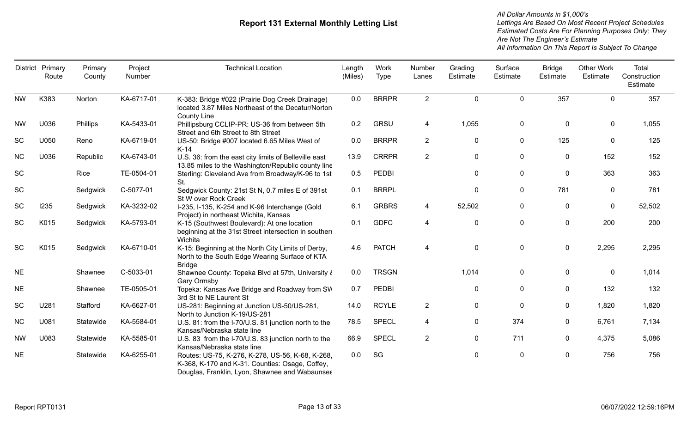|           | District Primary<br>Route | Primary<br>County | Project<br>Number | <b>Technical Location</b>                                                                                                                             | Length<br>(Miles) | Work<br><b>Type</b> | Number<br>Lanes | Grading<br>Estimate | Surface<br>Estimate | <b>Bridge</b><br>Estimate | Other Work<br>Estimate | Total<br>Construction<br>Estimate |
|-----------|---------------------------|-------------------|-------------------|-------------------------------------------------------------------------------------------------------------------------------------------------------|-------------------|---------------------|-----------------|---------------------|---------------------|---------------------------|------------------------|-----------------------------------|
| <b>NW</b> | K383                      | Norton            | KA-6717-01        | K-383: Bridge #022 (Prairie Dog Creek Drainage)<br>located 3.87 Miles Northeast of the Decatur/Norton<br><b>County Line</b>                           | 0.0               | <b>BRRPR</b>        | $\overline{2}$  | $\mathbf{0}$        | $\mathbf{0}$        | 357                       | $\mathbf{0}$           | 357                               |
| <b>NW</b> | U036                      | Phillips          | KA-5433-01        | Phillipsburg CCLIP-PR: US-36 from between 5th<br>Street and 6th Street to 8th Street                                                                  | 0.2               | <b>GRSU</b>         | 4               | 1,055               | $\mathbf 0$         | 0                         | 0                      | 1,055                             |
| SC        | U050                      | Reno              | KA-6719-01        | US-50: Bridge #007 located 6.65 Miles West of<br>$K-14$                                                                                               | 0.0               | <b>BRRPR</b>        | 2               | 0                   | $\mathbf 0$         | 125                       | 0                      | 125                               |
| <b>NC</b> | U036                      | Republic          | KA-6743-01        | U.S. 36: from the east city limits of Belleville east<br>13.85 miles to the Washington/Republic county line                                           | 13.9              | <b>CRRPR</b>        | $\overline{2}$  | $\mathbf 0$         | $\mathbf 0$         | 0                         | 152                    | 152                               |
| <b>SC</b> |                           | Rice              | TE-0504-01        | Sterling: Cleveland Ave from Broadway/K-96 to 1st<br>St.                                                                                              | 0.5               | <b>PEDBI</b>        |                 | 0                   | $\mathbf 0$         | 0                         | 363                    | 363                               |
| SC        |                           | Sedgwick          | C-5077-01         | Sedgwick County: 21st St N, 0.7 miles E of 391st<br>St W over Rock Creek                                                                              | 0.1               | <b>BRRPL</b>        |                 | 0                   | $\mathbf 0$         | 781                       | $\mathbf{0}$           | 781                               |
| SC        | 1235                      | Sedgwick          | KA-3232-02        | I-235, I-135, K-254 and K-96 Interchange (Gold<br>Project) in northeast Wichita, Kansas                                                               | 6.1               | <b>GRBRS</b>        | 4               | 52,502              | $\mathbf 0$         | 0                         | $\mathbf 0$            | 52,502                            |
| SC        | K015                      | Sedgwick          | KA-5793-01        | K-15 (Southwest Boulevard): At one location<br>beginning at the 31st Street intersection in southern<br>Wichita                                       | 0.1               | <b>GDFC</b>         | 4               | 0                   | 0                   | $\mathbf 0$               | 200                    | 200                               |
| SC        | K015                      | Sedgwick          | KA-6710-01        | K-15: Beginning at the North City Limits of Derby,<br>North to the South Edge Wearing Surface of KTA<br><b>Bridge</b>                                 | 4.6               | <b>PATCH</b>        | 4               | 0                   | $\mathbf 0$         | $\mathbf 0$               | 2,295                  | 2,295                             |
| <b>NE</b> |                           | Shawnee           | C-5033-01         | Shawnee County: Topeka Blvd at 57th, University &<br>Gary Ormsby                                                                                      | 0.0               | <b>TRSGN</b>        |                 | 1,014               | $\mathbf 0$         | $\mathbf 0$               | 0                      | 1,014                             |
| <b>NE</b> |                           | Shawnee           | TE-0505-01        | Topeka: Kansas Ave Bridge and Roadway from SW<br>3rd St to NE Laurent St                                                                              | 0.7               | <b>PEDBI</b>        |                 | $\mathbf 0$         | 0                   | $\mathbf 0$               | 132                    | 132                               |
| SC        | U281                      | Stafford          | KA-6627-01        | US-281: Beginning at Junction US-50/US-281,<br>North to Junction K-19/US-281                                                                          | 14.0              | <b>RCYLE</b>        | $\overline{2}$  | 0                   | $\mathbf 0$         | $\mathbf 0$               | 1,820                  | 1,820                             |
| <b>NC</b> | U081                      | Statewide         | KA-5584-01        | U.S. 81: from the I-70/U.S. 81 junction north to the<br>Kansas/Nebraska state line                                                                    | 78.5              | <b>SPECL</b>        | 4               | 0                   | 374                 | 0                         | 6,761                  | 7,134                             |
| <b>NW</b> | U083                      | Statewide         | KA-5585-01        | U.S. 83 from the I-70/U.S. 83 junction north to the<br>Kansas/Nebraska state line                                                                     | 66.9              | <b>SPECL</b>        | $\overline{2}$  | 0                   | 711                 | $\mathbf 0$               | 4,375                  | 5,086                             |
| <b>NE</b> |                           | Statewide         | KA-6255-01        | Routes: US-75, K-276, K-278, US-56, K-68, K-268,<br>K-368, K-170 and K-31. Counties: Osage, Coffey,<br>Douglas, Franklin, Lyon, Shawnee and Wabaunsee | 0.0               | SG                  |                 | 0                   | 0                   | 0                         | 756                    | 756                               |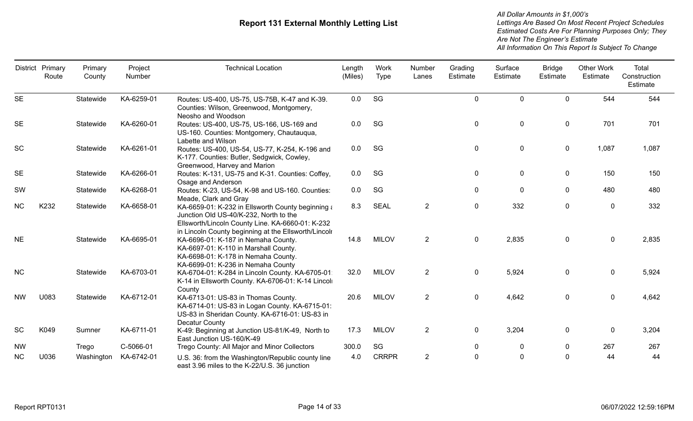|           | District Primary<br>Route | Primary<br>County | Project<br>Number | <b>Technical Location</b>                                                                                                                                                                               | Length<br>(Miles) | Work<br>Type | Number<br>Lanes | Grading<br>Estimate | Surface<br>Estimate | <b>Bridge</b><br>Estimate | <b>Other Work</b><br>Estimate | Total<br>Construction<br>Estimate |
|-----------|---------------------------|-------------------|-------------------|---------------------------------------------------------------------------------------------------------------------------------------------------------------------------------------------------------|-------------------|--------------|-----------------|---------------------|---------------------|---------------------------|-------------------------------|-----------------------------------|
| <b>SE</b> |                           | Statewide         | KA-6259-01        | Routes: US-400, US-75, US-75B, K-47 and K-39.<br>Counties: Wilson, Greenwood, Montgomery,<br>Neosho and Woodson                                                                                         | 0.0               | SG           |                 | $\mathbf 0$         | $\Omega$            | $\mathbf 0$               | 544                           | 544                               |
| <b>SE</b> |                           | Statewide         | KA-6260-01        | Routes: US-400, US-75, US-166, US-169 and<br>US-160. Counties: Montgomery, Chautauqua,<br>Labette and Wilson                                                                                            | 0.0               | SG           |                 | $\mathbf 0$         | $\mathbf 0$         | $\mathbf 0$               | 701                           | 701                               |
| <b>SC</b> |                           | Statewide         | KA-6261-01        | Routes: US-400, US-54, US-77, K-254, K-196 and<br>K-177. Counties: Butler, Sedgwick, Cowley,<br>Greenwood, Harvey and Marion                                                                            | 0.0               | SG           |                 | $\mathbf 0$         | $\mathbf 0$         | $\mathbf 0$               | 1,087                         | 1,087                             |
| <b>SE</b> |                           | Statewide         | KA-6266-01        | Routes: K-131, US-75 and K-31. Counties: Coffey,<br>Osage and Anderson                                                                                                                                  | 0.0               | SG           |                 | $\mathbf 0$         | $\mathbf 0$         | $\mathbf 0$               | 150                           | 150                               |
| SW        |                           | Statewide         | KA-6268-01        | Routes: K-23, US-54, K-98 and US-160. Counties:<br>Meade, Clark and Gray                                                                                                                                | 0.0               | SG           |                 | $\mathbf 0$         | $\mathbf{0}$        | $\mathbf 0$               | 480                           | 480                               |
| <b>NC</b> | K232                      | Statewide         | KA-6658-01        | KA-6659-01: K-232 in Ellsworth County beginning a<br>Junction Old US-40/K-232, North to the<br>Ellsworth/Lincoln County Line. KA-6660-01: K-232<br>in Lincoln County beginning at the Ellsworth/Lincolr | 8.3               | <b>SEAL</b>  | $\overline{2}$  | $\mathbf 0$         | 332                 | $\mathbf 0$               | $\mathbf 0$                   | 332                               |
| <b>NE</b> |                           | Statewide         | KA-6695-01        | KA-6696-01: K-187 in Nemaha County.<br>KA-6697-01: K-110 in Marshall County.<br>KA-6698-01: K-178 in Nemaha County.<br>KA-6699-01: K-236 in Nemaha County                                               | 14.8              | <b>MILOV</b> | $\overline{2}$  | $\mathbf 0$         | 2,835               | $\mathbf 0$               | $\Omega$                      | 2,835                             |
| <b>NC</b> |                           | Statewide         | KA-6703-01        | KA-6704-01: K-284 in Lincoln County. KA-6705-01:<br>K-14 in Ellsworth County. KA-6706-01: K-14 Lincoli<br>County                                                                                        | 32.0              | <b>MILOV</b> | $\overline{2}$  | $\mathbf 0$         | 5,924               | 0                         | $\mathbf 0$                   | 5,924                             |
| <b>NW</b> | U083                      | Statewide         | KA-6712-01        | KA-6713-01: US-83 in Thomas County.<br>KA-6714-01: US-83 in Logan County. KA-6715-01:<br>US-83 in Sheridan County. KA-6716-01: US-83 in<br>Decatur County                                               | 20.6              | <b>MILOV</b> | $\overline{2}$  | $\mathbf 0$         | 4,642               | 0                         | $\mathbf 0$                   | 4,642                             |
| SC        | K049                      | Sumner            | KA-6711-01        | K-49: Beginning at Junction US-81/K-49, North to<br>East Junction US-160/K-49                                                                                                                           | 17.3              | <b>MILOV</b> | $\overline{2}$  | $\mathbf 0$         | 3,204               | 0                         | 0                             | 3,204                             |
| <b>NW</b> |                           | Trego             | C-5066-01         | Trego County: All Major and Minor Collectors                                                                                                                                                            | 300.0             | SG           |                 | 0                   | 0                   | 0                         | 267                           | 267                               |
| <b>NC</b> | U036                      | Washington        | KA-6742-01        | U.S. 36: from the Washington/Republic county line<br>east 3.96 miles to the K-22/U.S. 36 junction                                                                                                       | 4.0               | <b>CRRPR</b> | $\overline{2}$  | $\mathbf 0$         | 0                   | 0                         | 44                            | 44                                |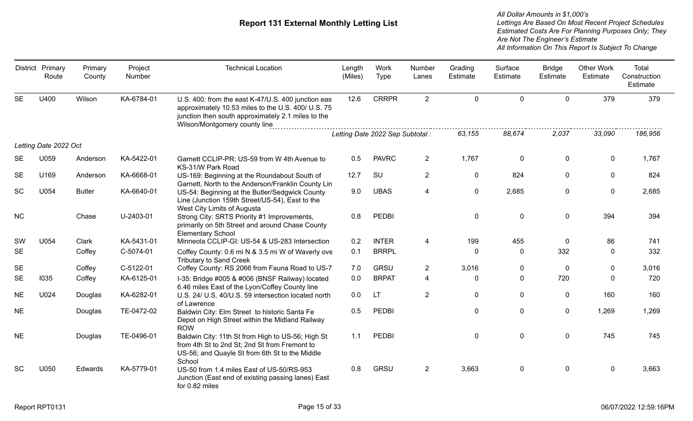|           | District Primary<br>Route | Primary<br>County | Project<br>Number | <b>Technical Location</b>                                                                                                                                                                       | Length<br>(Miles) | Work<br><b>Type</b>              | Number<br>Lanes | Grading<br>Estimate | Surface<br>Estimate | <b>Bridge</b><br>Estimate | <b>Other Work</b><br>Estimate | <b>Total</b><br>Construction<br>Estimate |
|-----------|---------------------------|-------------------|-------------------|-------------------------------------------------------------------------------------------------------------------------------------------------------------------------------------------------|-------------------|----------------------------------|-----------------|---------------------|---------------------|---------------------------|-------------------------------|------------------------------------------|
| <b>SE</b> | U400                      | Wilson            | KA-6784-01        | U.S. 400: from the east K-47/U.S. 400 junction eas<br>approximately 10.53 miles to the U.S. 400/ U.S. 75<br>junction then south approximately 2.1 miles to the<br>Wilson/Montgomery county line | 12.6              | <b>CRRPR</b>                     | $\overline{2}$  | $\mathbf 0$         | $\Omega$            | $\mathbf 0$               | 379                           | 379                                      |
|           |                           |                   |                   |                                                                                                                                                                                                 |                   | Letting Date 2022 Sep Subtotal : |                 | 63,155              | 88,674              | 2,037                     | 33,090                        | 186,956                                  |
|           | Letting Date 2022 Oct     |                   |                   |                                                                                                                                                                                                 |                   |                                  |                 |                     |                     |                           |                               |                                          |
| SE        | U059                      | Anderson          | KA-5422-01        | Garnett CCLIP-PR: US-59 from W 4th Avenue to<br>KS-31/W Park Road                                                                                                                               | 0.5               | <b>PAVRC</b>                     | $\overline{2}$  | 1,767               | $\pmb{0}$           | $\mathbf 0$               | $\mathbf 0$                   | 1,767                                    |
| <b>SE</b> | U169                      | Anderson          | KA-6668-01        | US-169: Beginning at the Roundabout South of<br>Garnett, North to the Anderson/Franklin County Lin                                                                                              | 12.7              | SU                               | $\overline{2}$  | $\mathbf 0$         | 824                 | $\mathbf 0$               | $\mathbf 0$                   | 824                                      |
| <b>SC</b> | U054                      | <b>Butler</b>     | KA-6640-01        | US-54: Beginning at the Butler/Sedgwick County<br>Line (Junction 159th Street/US-54), East to the<br>West City Limits of Augusta                                                                | 9.0               | <b>UBAS</b>                      | 4               | $\mathbf 0$         | 2,685               | $\mathbf 0$               | $\mathbf 0$                   | 2,685                                    |
| <b>NC</b> |                           | Chase             | U-2403-01         | Strong City: SRTS Priority #1 Improvements,<br>primarily on 5th Street and around Chase County<br><b>Elementary School</b>                                                                      | 0.8               | <b>PEDBI</b>                     |                 | $\mathbf 0$         | $\mathbf 0$         | $\mathbf 0$               | 394                           | 394                                      |
| SW        | U054                      | Clark             | KA-5431-01        | Minneola CCLIP-GI: US-54 & US-283 Intersection                                                                                                                                                  | 0.2               | <b>INTER</b>                     | 4               | 199                 | 455                 | $\mathbf 0$               | 86                            | 741                                      |
| <b>SE</b> |                           | Coffey            | C-5074-01         | Coffey County: 0.6 mi N & 3.5 mi W of Waverly ove<br><b>Tributary to Sand Creek</b>                                                                                                             | 0.1               | <b>BRRPL</b>                     |                 | $\mathbf 0$         | 0                   | 332                       | $\mathbf{0}$                  | 332                                      |
| <b>SE</b> |                           | Coffey            | C-5122-01         | Coffey County: RS 2066 from Fauna Road to US-7                                                                                                                                                  | 7.0               | <b>GRSU</b>                      | $\overline{2}$  | 3,016               | 0                   | $\mathbf 0$               | 0                             | 3,016                                    |
| <b>SE</b> | 1035                      | Coffey            | KA-6125-01        | I-35: Bridge #005 & #006 (BNSF Railway) located<br>6.46 miles East of the Lyon/Coffey County line                                                                                               | 0.0               | <b>BRPAT</b>                     | 4               | $\mathbf 0$         | $\mathbf 0$         | 720                       | $\mathbf 0$                   | 720                                      |
| <b>NE</b> | U024                      | Douglas           | KA-6282-01        | U.S. 24/ U.S. 40/U.S. 59 intersection located north<br>of Lawrence                                                                                                                              | 0.0               | LT.                              | $\overline{2}$  | $\mathbf 0$         | $\mathbf{0}$        | $\mathbf 0$               | 160                           | 160                                      |
| <b>NE</b> |                           | Douglas           | TE-0472-02        | Baldwin City: Elm Street to historic Santa Fe<br>Depot on High Street within the Midland Railway<br><b>ROW</b>                                                                                  | 0.5               | <b>PEDBI</b>                     |                 | $\mathbf 0$         | $\mathbf 0$         | $\mathbf 0$               | 1,269                         | 1,269                                    |
| <b>NE</b> |                           | Douglas           | TE-0496-01        | Baldwin City: 11th St from High to US-56; High St<br>from 4th St to 2nd St; 2nd St from Fremont to<br>US-56; and Quayle St from 6th St to the Middle<br>School                                  | 1.1               | <b>PEDBI</b>                     |                 | $\mathbf 0$         | $\mathbf 0$         | $\mathbf 0$               | 745                           | 745                                      |
| <b>SC</b> | U050                      | Edwards           | KA-5779-01        | US-50 from 1.4 miles East of US-50/RS-953<br>Junction (East end of existing passing lanes) East<br>for 0.82 miles                                                                               | 0.8               | <b>GRSU</b>                      | $\overline{2}$  | 3,663               | $\pmb{0}$           | $\mathbf 0$               | $\mathbf 0$                   | 3,663                                    |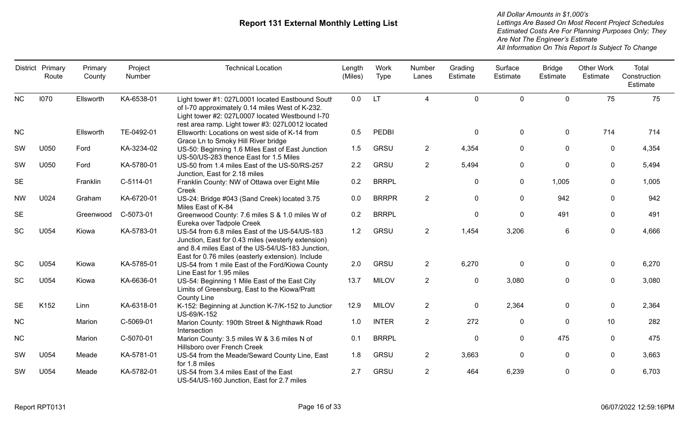|           | District Primary<br>Route | Primary<br>County | Project<br>Number | <b>Technical Location</b>                                                                                                                                                                                    | Length<br>(Miles) | Work<br><b>Type</b> | Number<br>Lanes         | Grading<br>Estimate | Surface<br>Estimate | <b>Bridge</b><br>Estimate | <b>Other Work</b><br>Estimate | <b>Total</b><br>Construction<br>Estimate |
|-----------|---------------------------|-------------------|-------------------|--------------------------------------------------------------------------------------------------------------------------------------------------------------------------------------------------------------|-------------------|---------------------|-------------------------|---------------------|---------------------|---------------------------|-------------------------------|------------------------------------------|
| NC        | 1070                      | Ellsworth         | KA-6538-01        | Light tower #1: 027L0001 located Eastbound South<br>of I-70 approximately 0.14 miles West of K-232.<br>Light tower #2: 027L0007 located Westbound I-70<br>rest area ramp. Light tower #3: 027L0012 located   | 0.0               | <b>LT</b>           | $\overline{\mathbf{4}}$ | $\mathbf{0}$        | $\mathbf 0$         | $\mathbf 0$               | 75                            | 75                                       |
| NC        |                           | Ellsworth         | TE-0492-01        | Ellsworth: Locations on west side of K-14 from<br>Grace Ln to Smoky Hill River bridge                                                                                                                        | 0.5               | PEDBI               |                         | $\mathbf 0$         | 0                   | 0                         | 714                           | 714                                      |
| SW        | U050                      | Ford              | KA-3234-02        | US-50: Beginning 1.6 Miles East of East Junction<br>US-50/US-283 thence East for 1.5 Miles                                                                                                                   | 1.5               | GRSU                | $\overline{2}$          | 4,354               | $\mathbf 0$         | $\mathbf 0$               | $\mathbf 0$                   | 4,354                                    |
| SW        | U050                      | Ford              | KA-5780-01        | US-50 from 1.4 miles East of the US-50/RS-257<br>Junction, East for 2.18 miles                                                                                                                               | 2.2               | GRSU                | $\overline{2}$          | 5,494               | $\pmb{0}$           | $\mathbf 0$               | $\mathbf 0$                   | 5,494                                    |
| <b>SE</b> |                           | Franklin          | C-5114-01         | Franklin County: NW of Ottawa over Eight Mile<br>Creek                                                                                                                                                       | 0.2               | <b>BRRPL</b>        |                         | $\pmb{0}$           | $\pmb{0}$           | 1,005                     | 0                             | 1,005                                    |
| <b>NW</b> | U024                      | Graham            | KA-6720-01        | US-24: Bridge #043 (Sand Creek) located 3.75<br>Miles East of K-84                                                                                                                                           | 0.0               | <b>BRRPR</b>        | $\overline{2}$          | $\mathbf 0$         | $\mathbf 0$         | 942                       | $\mathbf{0}$                  | 942                                      |
| <b>SE</b> |                           | Greenwood         | C-5073-01         | Greenwood County: 7.6 miles S & 1.0 miles W of<br>Eureka over Tadpole Creek                                                                                                                                  | 0.2               | <b>BRRPL</b>        |                         | $\mathbf 0$         | $\mathbf 0$         | 491                       | $\mathbf{0}$                  | 491                                      |
| SC        | U054                      | Kiowa             | KA-5783-01        | US-54 from 6.8 miles East of the US-54/US-183<br>Junction, East for 0.43 miles (westerly extension)<br>and 8.4 miles East of the US-54/US-183 Junction,<br>East for 0.76 miles (easterly extension). Include | 1.2               | <b>GRSU</b>         | $\overline{2}$          | 1,454               | 3,206               | $6\phantom{1}6$           | $\mathbf 0$                   | 4,666                                    |
| SC        | U054                      | Kiowa             | KA-5785-01        | US-54 from 1 mile East of the Ford/Kiowa County<br>Line East for 1.95 miles                                                                                                                                  | 2.0               | GRSU                | $\overline{2}$          | 6,270               | $\mathbf 0$         | $\mathbf 0$               | $\mathbf 0$                   | 6,270                                    |
| <b>SC</b> | U054                      | Kiowa             | KA-6636-01        | US-54: Beginning 1 Mile East of the East City<br>Limits of Greensburg, East to the Kiowa/Pratt<br><b>County Line</b>                                                                                         | 13.7              | <b>MILOV</b>        | $\overline{2}$          | $\mathbf 0$         | 3,080               | $\mathbf 0$               | $\mathbf 0$                   | 3,080                                    |
| <b>SE</b> | K152                      | Linn              | KA-6318-01        | K-152: Beginning at Junction K-7/K-152 to Junctior<br>US-69/K-152                                                                                                                                            | 12.9              | <b>MILOV</b>        | $\overline{2}$          | $\mathbf 0$         | 2,364               | $\mathbf{0}$              | $\mathbf{0}$                  | 2,364                                    |
| <b>NC</b> |                           | Marion            | C-5069-01         | Marion County: 190th Street & Nighthawk Road<br>Intersection                                                                                                                                                 | 1.0               | <b>INTER</b>        | $\overline{2}$          | 272                 | 0                   | $\mathbf 0$               | 10                            | 282                                      |
| NC        |                           | Marion            | C-5070-01         | Marion County: 3.5 miles W & 3.6 miles N of<br>Hillsboro over French Creek                                                                                                                                   | 0.1               | <b>BRRPL</b>        |                         | $\mathbf{0}$        | $\Omega$            | 475                       | $\mathbf{0}$                  | 475                                      |
| SW        | U054                      | Meade             | KA-5781-01        | US-54 from the Meade/Seward County Line, East<br>for 1.8 miles                                                                                                                                               | 1.8               | GRSU                | $\overline{2}$          | 3,663               | $\mathbf 0$         | 0                         | $\mathbf{0}$                  | 3,663                                    |
| SW        | U054                      | Meade             | KA-5782-01        | US-54 from 3.4 miles East of the East<br>US-54/US-160 Junction, East for 2.7 miles                                                                                                                           | 2.7               | GRSU                | $\overline{2}$          | 464                 | 6,239               | 0                         | 0                             | 6,703                                    |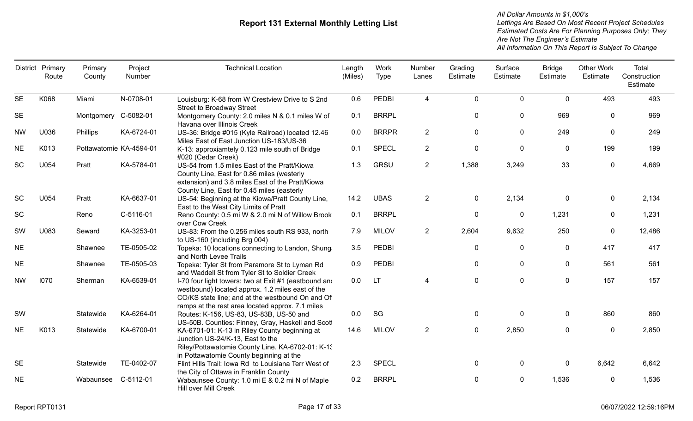| District  | Primary<br>Route | Primary<br>County       | Project<br>Number | <b>Technical Location</b>                                                                                                                                                                                         | Length<br>(Miles) | Work<br><b>Type</b> | Number<br>Lanes | Grading<br>Estimate | Surface<br>Estimate | <b>Bridge</b><br>Estimate | <b>Other Work</b><br>Estimate | Total<br>Construction<br>Estimate |
|-----------|------------------|-------------------------|-------------------|-------------------------------------------------------------------------------------------------------------------------------------------------------------------------------------------------------------------|-------------------|---------------------|-----------------|---------------------|---------------------|---------------------------|-------------------------------|-----------------------------------|
| <b>SE</b> | K068             | Miami                   | N-0708-01         | Louisburg: K-68 from W Crestview Drive to S 2nd<br><b>Street to Broadway Street</b>                                                                                                                               | 0.6               | <b>PEDBI</b>        | $\overline{4}$  | $\mathbf 0$         | 0                   | $\mathbf 0$               | 493                           | 493                               |
| <b>SE</b> |                  | Montgomery C-5082-01    |                   | Montgomery County: 2.0 miles N & 0.1 miles W of<br>Havana over Illinois Creek                                                                                                                                     | 0.1               | <b>BRRPL</b>        |                 | $\mathbf 0$         | 0                   | 969                       | $\Omega$                      | 969                               |
| <b>NW</b> | U036             | Phillips                | KA-6724-01        | US-36: Bridge #015 (Kyle Railroad) located 12.46<br>Miles East of East Junction US-183/US-36                                                                                                                      | 0.0               | <b>BRRPR</b>        | $\overline{2}$  | $\mathbf 0$         | 0                   | 249                       | 0                             | 249                               |
| <b>NE</b> | K013             | Pottawatomie KA-4594-01 |                   | K-13: approxiamtely 0.123 mile south of Bridge<br>#020 (Cedar Creek)                                                                                                                                              | 0.1               | <b>SPECL</b>        | $\overline{2}$  | $\pmb{0}$           | 0                   | $\mathbf 0$               | 199                           | 199                               |
| SC        | U054             | Pratt                   | KA-5784-01        | US-54 from 1.5 miles East of the Pratt/Kiowa<br>County Line, East for 0.86 miles (westerly<br>extension) and 3.8 miles East of the Pratt/Kiowa<br>County Line, East for 0.45 miles (easterly                      | 1.3               | <b>GRSU</b>         | $\overline{2}$  | 1,388               | 3,249               | 33                        | $\mathbf 0$                   | 4,669                             |
| <b>SC</b> | U054             | Pratt                   | KA-6637-01        | US-54: Beginning at the Kiowa/Pratt County Line,<br>East to the West City Limits of Pratt                                                                                                                         | 14.2              | <b>UBAS</b>         | $\overline{2}$  | $\mathbf 0$         | 2,134               | $\pmb{0}$                 | $\mathbf 0$                   | 2,134                             |
| <b>SC</b> |                  | Reno                    | C-5116-01         | Reno County: 0.5 mi W & 2.0 mi N of Willow Brook<br>over Cow Creek                                                                                                                                                | 0.1               | <b>BRRPL</b>        |                 | $\mathbf 0$         | 0                   | 1,231                     | $\mathbf{0}$                  | 1,231                             |
| SW        | U083             | Seward                  | KA-3253-01        | US-83: From the 0.256 miles south RS 933, north<br>to US-160 (including Brg 004)                                                                                                                                  | 7.9               | <b>MILOV</b>        | $\overline{2}$  | 2,604               | 9,632               | 250                       | $\mathbf 0$                   | 12,486                            |
| <b>NE</b> |                  | Shawnee                 | TE-0505-02        | Topeka: 10 locations connecting to Landon, Shung:<br>and North Levee Trails                                                                                                                                       | 3.5               | <b>PEDBI</b>        |                 | $\pmb{0}$           | 0                   | $\pmb{0}$                 | 417                           | 417                               |
| <b>NE</b> |                  | Shawnee                 | TE-0505-03        | Topeka: Tyler St from Paramore St to Lyman Rd<br>and Waddell St from Tyler St to Soldier Creek                                                                                                                    | 0.9               | <b>PEDBI</b>        |                 | $\mathbf 0$         | 0                   | 0                         | 561                           | 561                               |
| <b>NW</b> | 1070             | Sherman                 | KA-6539-01        | I-70 four light towers: two at Exit #1 (eastbound and<br>westbound) located approx. 1.2 miles east of the<br>CO/KS state line; and at the westbound On and Of<br>ramps at the rest area located approx. 7.1 miles | 0.0               | <b>LT</b>           | 4               | $\mathbf 0$         | 0                   | $\pmb{0}$                 | 157                           | 157                               |
| SW        |                  | Statewide               | KA-6264-01        | Routes: K-156, US-83, US-83B, US-50 and<br>US-50B. Counties: Finney, Gray, Haskell and Scott                                                                                                                      | 0.0               | SG                  |                 | $\pmb{0}$           | 0                   | $\mathbf 0$               | 860                           | 860                               |
| <b>NE</b> | K013             | Statewide               | KA-6700-01        | KA-6701-01: K-13 in Riley County beginning at<br>Junction US-24/K-13, East to the<br>Riley/Pottawatomie County Line. KA-6702-01: K-13<br>in Pottawatomie County beginning at the                                  | 14.6              | <b>MILOV</b>        | $\overline{2}$  | $\mathbf 0$         | 2,850               | $\mathbf 0$               | $\mathbf 0$                   | 2,850                             |
| <b>SE</b> |                  | Statewide               | TE-0402-07        | Flint Hills Trail: Iowa Rd to Louisiana Terr West of<br>the City of Ottawa in Franklin County                                                                                                                     | 2.3               | <b>SPECL</b>        |                 | $\pmb{0}$           | 0                   | $\mathbf 0$               | 6,642                         | 6,642                             |
| <b>NE</b> |                  | Wabaunsee               | C-5112-01         | Wabaunsee County: 1.0 mi E & 0.2 mi N of Maple<br>Hill over Mill Creek                                                                                                                                            | 0.2               | <b>BRRPL</b>        |                 | $\mathbf 0$         | 0                   | 1,536                     | $\mathbf 0$                   | 1,536                             |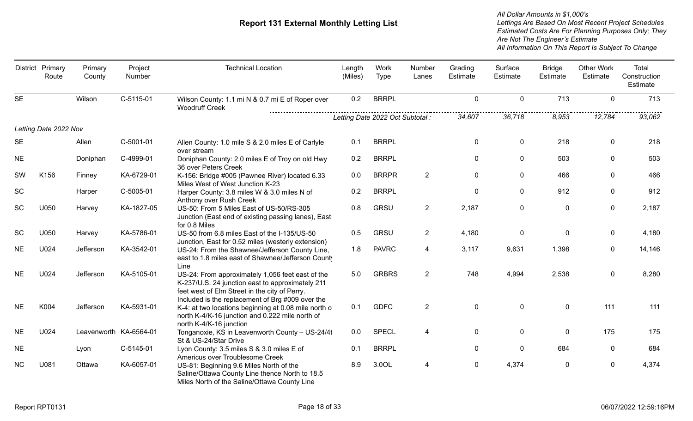|           | District Primary<br>Route | Primary<br>County      | Project<br>Number | <b>Technical Location</b>                                                                                                                                                                                 | Length<br>(Miles)                | Work<br>Type | Number<br>Lanes | Grading<br>Estimate | Surface<br>Estimate | <b>Bridge</b><br>Estimate | <b>Other Work</b><br>Estimate | Total<br>Construction<br>Estimate |
|-----------|---------------------------|------------------------|-------------------|-----------------------------------------------------------------------------------------------------------------------------------------------------------------------------------------------------------|----------------------------------|--------------|-----------------|---------------------|---------------------|---------------------------|-------------------------------|-----------------------------------|
| <b>SE</b> |                           | Wilson                 | C-5115-01         | Wilson County: 1.1 mi N & 0.7 mi E of Roper over<br><b>Woodruff Creek</b>                                                                                                                                 | 0.2                              | <b>BRRPL</b> |                 | $\mathbf{0}$        | $\mathbf 0$         | 713                       | $\mathbf{0}$                  | 713                               |
|           |                           |                        |                   |                                                                                                                                                                                                           | Letting Date 2022 Oct Subtotal : |              |                 | 34,607              | 36,718              | 8,953                     | 12,784                        | 93,062                            |
|           | Letting Date 2022 Nov     |                        |                   |                                                                                                                                                                                                           |                                  |              |                 |                     |                     |                           |                               |                                   |
| <b>SE</b> |                           | Allen                  | C-5001-01         | Allen County: 1.0 mile S & 2.0 miles E of Carlyle<br>over stream                                                                                                                                          | 0.1                              | <b>BRRPL</b> |                 | $\mathbf 0$         | $\mathbf 0$         | 218                       | $\mathbf 0$                   | 218                               |
| <b>NE</b> |                           | Doniphan               | C-4999-01         | Doniphan County: 2.0 miles E of Troy on old Hwy<br>36 over Peters Creek                                                                                                                                   | 0.2                              | <b>BRRPL</b> |                 | $\mathbf{0}$        | $\mathbf 0$         | 503                       | $\mathbf{0}$                  | 503                               |
| SW        | K156                      | Finney                 | KA-6729-01        | K-156: Bridge #005 (Pawnee River) located 6.33<br>Miles West of West Junction K-23                                                                                                                        | 0.0                              | <b>BRRPR</b> | $\overline{2}$  | $\mathbf 0$         | $\mathbf 0$         | 466                       | $\Omega$                      | 466                               |
| SC        |                           | Harper                 | C-5005-01         | Harper County: 3.8 miles W & 3.0 miles N of<br>Anthony over Rush Creek                                                                                                                                    | 0.2                              | <b>BRRPL</b> |                 | $\mathbf 0$         | 0                   | 912                       | 0                             | 912                               |
| SC        | U050                      | Harvey                 | KA-1827-05        | US-50: From 5 Miles East of US-50/RS-305<br>Junction (East end of existing passing lanes), East<br>for 0.8 Miles                                                                                          | 0.8                              | GRSU         | $\overline{2}$  | 2,187               | $\pmb{0}$           | $\pmb{0}$                 | 0                             | 2,187                             |
| <b>SC</b> | U050                      | Harvey                 | KA-5786-01        | US-50 from 6.8 miles East of the I-135/US-50<br>Junction, East for 0.52 miles (westerly extension)                                                                                                        | 0.5                              | <b>GRSU</b>  | $\overline{2}$  | 4,180               | $\mathbf 0$         | $\mathbf 0$               | $\mathbf 0$                   | 4,180                             |
| <b>NE</b> | U024                      | Jefferson              | KA-3542-01        | US-24: From the Shawnee/Jefferson County Line,<br>east to 1.8 miles east of Shawnee/Jefferson County<br>Line                                                                                              | 1.8                              | <b>PAVRC</b> | $\overline{4}$  | 3,117               | 9,631               | 1,398                     | $\mathbf 0$                   | 14,146                            |
| <b>NE</b> | U024                      | Jefferson              | KA-5105-01        | US-24: From approximately 1,056 feet east of the<br>K-237/U.S. 24 junction east to approximately 211<br>feet west of Elm Street in the city of Perry.<br>Included is the replacement of Brg #009 over the | 5.0                              | <b>GRBRS</b> | $\overline{2}$  | 748                 | 4,994               | 2,538                     | 0                             | 8,280                             |
| <b>NE</b> | K004                      | Jefferson              | KA-5931-01        | K-4: at two locations beginning at 0.08 mile north of<br>north K-4/K-16 junction and 0.222 mile north of<br>north K-4/K-16 junction                                                                       | 0.1                              | <b>GDFC</b>  | $\overline{2}$  | $\mathbf 0$         | $\mathbf 0$         | $\mathbf 0$               | 111                           | 111                               |
| <b>NE</b> | U024                      | Leavenworth KA-6564-01 |                   | Tonganoxie, KS in Leavenworth County - US-24/4t<br>St & US-24/Star Drive                                                                                                                                  | 0.0                              | <b>SPECL</b> | 4               | $\mathbf 0$         | $\mathbf 0$         | $\mathbf{0}$              | 175                           | 175                               |
| <b>NE</b> |                           | Lyon                   | C-5145-01         | Lyon County: 3.5 miles S & 3.0 miles E of<br>Americus over Troublesome Creek                                                                                                                              | 0.1                              | <b>BRRPL</b> |                 | $\mathbf{0}$        | $\mathbf 0$         | 684                       | $\Omega$                      | 684                               |
| <b>NC</b> | U081                      | Ottawa                 | KA-6057-01        | US-81: Beginning 9.6 Miles North of the<br>Saline/Ottawa County Line thence North to 18.5<br>Miles North of the Saline/Ottawa County Line                                                                 | 8.9                              | 3.0OL        | 4               | $\mathbf 0$         | 4,374               | 0                         | 0                             | 4,374                             |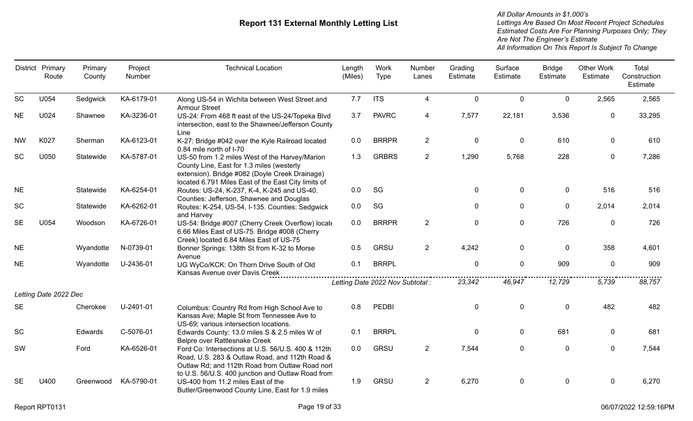|           | District Primary<br>Route | Primary<br>County | Project<br>Number | <b>Technical Location</b>                                                                                                                                                                                    | Length<br>(Miles) | Work<br>Type                     | Number<br>Lanes | Grading<br>Estimate | Surface<br>Estimate | <b>Bridge</b><br>Estimate | <b>Other Work</b><br>Estimate | Total<br>Construction<br>Estimate |
|-----------|---------------------------|-------------------|-------------------|--------------------------------------------------------------------------------------------------------------------------------------------------------------------------------------------------------------|-------------------|----------------------------------|-----------------|---------------------|---------------------|---------------------------|-------------------------------|-----------------------------------|
| <b>SC</b> | U054                      | Sedgwick          | KA-6179-01        | Along US-54 in Wichita between West Street and<br><b>Armour Street</b>                                                                                                                                       | 7.7               | <b>ITS</b>                       | 4               | $\mathbf{0}$        | $\mathbf 0$         | $\mathbf{0}$              | 2,565                         | 2,565                             |
| <b>NE</b> | U024                      | Shawnee           | KA-3236-01        | US-24: From 468 ft east of the US-24/Topeka Blvd<br>intersection, east to the Shawnee/Jefferson County<br>Line                                                                                               | 3.7               | <b>PAVRC</b>                     | 4               | 7,577               | 22,181              | 3,536                     | 0                             | 33,295                            |
| <b>NW</b> | K027                      | Sherman           | KA-6123-01        | K-27: Bridge #042 over the Kyle Railroad located<br>0.84 mile north of I-70                                                                                                                                  | 0.0               | <b>BRRPR</b>                     | $\overline{2}$  | $\mathbf 0$         | $\mathbf 0$         | 610                       | $\mathbf{0}$                  | 610                               |
| SC        | U050                      | Statewide         | KA-5787-01        | US-50 from 1.2 miles West of the Harvey/Marion<br>County Line, East for 1.3 miles (westerly<br>extension). Bridge #082 (Doyle Creek Drainage)<br>located 6.791 Miles East of the East City limits of         | 1.3               | <b>GRBRS</b>                     | $\overline{2}$  | 1,290               | 5,768               | 228                       | $\mathbf 0$                   | 7,286                             |
| <b>NE</b> |                           | Statewide         | KA-6254-01        | Routes: US-24, K-237, K-4, K-245 and US-40.<br>Counties: Jefferson, Shawnee and Douglas                                                                                                                      | 0.0               | SG                               |                 | $\mathbf 0$         | $\mathbf 0$         | 0                         | 516                           | 516                               |
| SC        |                           | Statewide         | KA-6262-01        | Routes: K-254, US-54, I-135. Counties: Sedgwick<br>and Harvey                                                                                                                                                | 0.0               | SG                               |                 | $\mathbf{0}$        | $\mathbf 0$         | $\mathbf{0}$              | 2,014                         | 2,014                             |
| <b>SE</b> | U054                      | Woodson           | KA-6726-01        | US-54: Bridge #007 (Cherry Creek Overflow) locate<br>6.66 Miles East of US-75. Bridge #008 (Cherry<br>Creek) located 6.84 Miles East of US-75                                                                | 0.0               | <b>BRRPR</b>                     | $2^{\circ}$     | $\mathbf 0$         | $\mathbf 0$         | 726                       | $\mathbf{0}$                  | 726                               |
| <b>NE</b> |                           | Wyandotte         | N-0739-01         | Bonner Springs: 138th St from K-32 to Morse<br>Avenue                                                                                                                                                        | 0.5               | <b>GRSU</b>                      | $\overline{2}$  | 4,242               | $\mathbf 0$         | $\mathbf{0}$              | 358                           | 4,601                             |
| <b>NE</b> |                           | Wyandotte         | U-2436-01         | UG WyCo/KCK: On Thorn Drive South of Old<br>Kansas Avenue over Davis Creek                                                                                                                                   | 0.1               | <b>BRRPL</b>                     |                 | $\mathbf 0$         | $\mathbf 0$         | 909                       | 0                             | 909                               |
|           |                           |                   |                   |                                                                                                                                                                                                              |                   | Letting Date 2022 Nov Subtotal : |                 | 23,342              | 46,947              | 12,729                    | 5,739                         | 88,757                            |
|           | Letting Date 2022 Dec     |                   |                   |                                                                                                                                                                                                              |                   |                                  |                 |                     |                     |                           |                               |                                   |
| <b>SE</b> |                           | Cherokee          | U-2401-01         | Columbus: Country Rd from High School Ave to<br>Kansas Ave; Maple St from Tennessee Ave to<br>US-69; various intersection locations.                                                                         | 0.8               | <b>PEDBI</b>                     |                 | $\mathbf 0$         | $\mathbf 0$         | 0                         | 482                           | 482                               |
| <b>SC</b> |                           | Edwards           | C-5076-01         | Edwards County: 13.0 miles S & 2.5 miles W of<br>Belpre over Rattlesnake Creek                                                                                                                               | 0.1               | <b>BRRPL</b>                     |                 | $\mathbf 0$         | $\mathbf 0$         | 681                       | $\mathbf 0$                   | 681                               |
| SW        |                           | Ford              | KA-6526-01        | Ford Co: Intersections at U.S. 56/U.S. 400 & 112th<br>Road, U.S. 283 & Outlaw Road, and 112th Road &<br>Outlaw Rd; and 112th Road from Outlaw Road nort<br>to U.S. 56/U.S. 400 junction and Outlaw Road from | 0.0               | <b>GRSU</b>                      | $\overline{2}$  | 7,544               | $\mathbf 0$         | $\mathbf 0$               | $\mathbf 0$                   | 7,544                             |
| <b>SE</b> | U400                      | Greenwood         | KA-5790-01        | US-400 from 11.2 miles East of the<br>Butler/Greenwood County Line, East for 1.9 miles                                                                                                                       | 1.9               | <b>GRSU</b>                      | $\overline{2}$  | 6,270               | $\mathbf{0}$        | $\mathbf 0$               | $\Omega$                      | 6,270                             |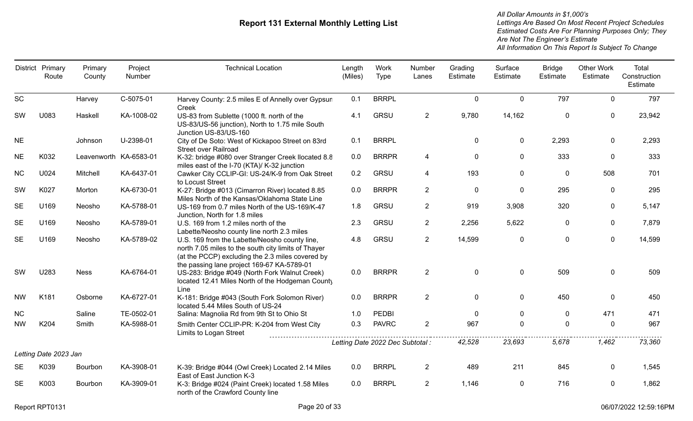|           | District Primary<br>Route | Primary<br>County      | Project<br>Number | <b>Technical Location</b>                                                                                                                                                                              | Length<br>(Miles) | Work<br>Type                     | Number<br>Lanes | Grading<br>Estimate | Surface<br>Estimate | <b>Bridge</b><br>Estimate | <b>Other Work</b><br>Estimate | Total<br>Construction<br>Estimate |
|-----------|---------------------------|------------------------|-------------------|--------------------------------------------------------------------------------------------------------------------------------------------------------------------------------------------------------|-------------------|----------------------------------|-----------------|---------------------|---------------------|---------------------------|-------------------------------|-----------------------------------|
| <b>SC</b> |                           | Harvey                 | C-5075-01         | Harvey County: 2.5 miles E of Annelly over Gypsun<br>Creek                                                                                                                                             | 0.1               | <b>BRRPL</b>                     |                 | $\mathbf 0$         | $\mathbf 0$         | 797                       | $\Omega$                      | 797                               |
| <b>SW</b> | U083                      | Haskell                | KA-1008-02        | US-83 from Sublette (1000 ft. north of the<br>US-83/US-56 junction), North to 1.75 mile South<br>Junction US-83/US-160                                                                                 | 4.1               | <b>GRSU</b>                      | $\overline{2}$  | 9,780               | 14,162              | $\mathbf 0$               | 0                             | 23,942                            |
| <b>NE</b> |                           | Johnson                | U-2398-01         | City of De Soto: West of Kickapoo Street on 83rd<br><b>Street over Railroad</b>                                                                                                                        | 0.1               | <b>BRRPL</b>                     |                 | $\mathbf 0$         | $\mathbf 0$         | 2,293                     | $\mathbf{0}$                  | 2,293                             |
| <b>NE</b> | K032                      | Leavenworth KA-6583-01 |                   | K-32: bridge #080 over Stranger Creek Ilocated 8.8<br>miles east of the I-70 (KTA)/ K-32 junction                                                                                                      | $0.0\,$           | <b>BRRPR</b>                     | 4               | $\mathbf 0$         | $\mathbf 0$         | 333                       | $\mathbf{0}$                  | 333                               |
| <b>NC</b> | U024                      | Mitchell               | KA-6437-01        | Cawker City CCLIP-GI: US-24/K-9 from Oak Street<br>to Locust Street                                                                                                                                    | 0.2               | <b>GRSU</b>                      | 4               | 193                 | $\mathbf 0$         | $\mathbf 0$               | 508                           | 701                               |
| SW        | K027                      | Morton                 | KA-6730-01        | K-27: Bridge #013 (Cimarron River) located 8.85<br>Miles North of the Kansas/Oklahoma State Line                                                                                                       | 0.0               | <b>BRRPR</b>                     | $\overline{2}$  | 0                   | $\mathbf 0$         | 295                       | $\Omega$                      | 295                               |
| <b>SE</b> | U169                      | Neosho                 | KA-5788-01        | US-169 from 0.7 miles North of the US-169/K-47<br>Junction, North for 1.8 miles                                                                                                                        | 1.8               | <b>GRSU</b>                      | $\overline{2}$  | 919                 | 3,908               | 320                       | $\mathbf{0}$                  | 5,147                             |
| <b>SE</b> | U169                      | Neosho                 | KA-5789-01        | U.S. 169 from 1.2 miles north of the<br>Labette/Neosho county line north 2.3 miles                                                                                                                     | 2.3               | <b>GRSU</b>                      | $\overline{2}$  | 2,256               | 5,622               | $\mathbf 0$               | $\mathbf 0$                   | 7,879                             |
| <b>SE</b> | U169                      | Neosho                 | KA-5789-02        | U.S. 169 from the Labette/Neosho county line,<br>north 7.05 miles to the south city limits of Thayer<br>(at the PCCP) excluding the 2.3 miles covered by<br>the passing lane project 169-67 KA-5789-01 | 4.8               | <b>GRSU</b>                      | $2^{\circ}$     | 14,599              | $\mathbf 0$         | $\mathbf 0$               | $\mathbf 0$                   | 14,599                            |
| <b>SW</b> | U283                      | <b>Ness</b>            | KA-6764-01        | US-283: Bridge #049 (North Fork Walnut Creek)<br>located 12.41 Miles North of the Hodgeman County<br>Line                                                                                              | 0.0               | <b>BRRPR</b>                     | $\overline{2}$  | $\mathbf 0$         | $\mathbf 0$         | 509                       | $\mathbf 0$                   | 509                               |
| <b>NW</b> | K181                      | Osborne                | KA-6727-01        | K-181: Bridge #043 (South Fork Solomon River)<br>located 5.44 Miles South of US-24                                                                                                                     | 0.0               | <b>BRRPR</b>                     | $\overline{2}$  | $\overline{0}$      | 0                   | 450                       | $\mathbf{0}$                  | 450                               |
| <b>NC</b> |                           | Saline                 | TE-0502-01        | Salina: Magnolia Rd from 9th St to Ohio St                                                                                                                                                             | 1.0               | <b>PEDBI</b>                     |                 | 0                   | $\mathbf{0}$        | $\mathbf 0$               | 471                           | 471                               |
| <b>NW</b> | K204                      | Smith                  | KA-5988-01        | Smith Center CCLIP-PR: K-204 from West City<br>Limits to Logan Street                                                                                                                                  | 0.3               | <b>PAVRC</b>                     | $\overline{2}$  | 967                 | $\Omega$            | $\mathbf 0$               | $\mathbf{0}$                  | 967                               |
|           |                           |                        |                   |                                                                                                                                                                                                        |                   | Letting Date 2022 Dec Subtotal : |                 | 42,528              | 23,693              | 5,678                     | 1,462                         | 73,360                            |
|           | Letting Date 2023 Jan     |                        |                   |                                                                                                                                                                                                        |                   |                                  |                 |                     |                     |                           |                               |                                   |
| <b>SE</b> | K039                      | Bourbon                | KA-3908-01        | K-39: Bridge #044 (Owl Creek) Located 2.14 Miles<br>East of East Junction K-3                                                                                                                          | 0.0               | <b>BRRPL</b>                     | $\overline{2}$  | 489                 | 211                 | 845                       | $\mathbf{0}$                  | 1,545                             |
| <b>SE</b> | K003                      | Bourbon                | KA-3909-01        | K-3: Bridge #024 (Paint Creek) located 1.58 Miles<br>north of the Crawford County line                                                                                                                 | 0.0               | <b>BRRPL</b>                     | $\overline{2}$  | 1,146               | $\mathbf 0$         | 716                       | 0                             | 1,862                             |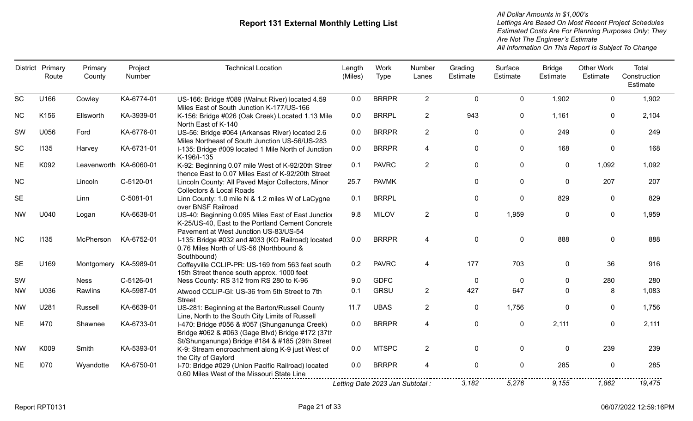|           | District Primary<br>Route | Primary<br>County      | Project<br>Number | <b>Technical Location</b>                                                                                                                            | Length<br>(Miles) | Work<br>Type                     | Number<br>Lanes | Grading<br>Estimate | Surface<br>Estimate | <b>Bridge</b><br>Estimate | <b>Other Work</b><br>Estimate | Total<br>Construction<br>Estimate |
|-----------|---------------------------|------------------------|-------------------|------------------------------------------------------------------------------------------------------------------------------------------------------|-------------------|----------------------------------|-----------------|---------------------|---------------------|---------------------------|-------------------------------|-----------------------------------|
| <b>SC</b> | U166                      | Cowley                 | KA-6774-01        | US-166: Bridge #089 (Walnut River) located 4.59<br>Miles East of South Junction K-177/US-166                                                         | 0.0               | <b>BRRPR</b>                     | $\overline{2}$  | $\mathbf 0$         | 0                   | 1,902                     | $\mathbf 0$                   | 1,902                             |
| <b>NC</b> | K156                      | Ellsworth              | KA-3939-01        | K-156: Bridge #026 (Oak Creek) Located 1.13 Mile<br>North East of K-140                                                                              | 0.0               | <b>BRRPL</b>                     | $\overline{2}$  | 943                 | 0                   | 1,161                     | $\mathbf{0}$                  | 2,104                             |
| SW        | U056                      | Ford                   | KA-6776-01        | US-56: Bridge #064 (Arkansas River) located 2.6<br>Miles Northeast of South Junction US-56/US-283                                                    | 0.0               | <b>BRRPR</b>                     | $\overline{2}$  | 0                   | 0                   | 249                       | $\Omega$                      | 249                               |
| SC        | 1135                      | Harvey                 | KA-6731-01        | I-135: Bridge #009 located 1 Mile North of Junction<br>K-196/I-135                                                                                   | 0.0               | <b>BRRPR</b>                     | 4               | $\mathbf 0$         | 0                   | 168                       | 0                             | 168                               |
| <b>NE</b> | K092                      | Leavenworth KA-6060-01 |                   | K-92: Beginning 0.07 mile West of K-92/20th Street<br>thence East to 0.07 Miles East of K-92/20th Street                                             | 0.1               | <b>PAVRC</b>                     | $\overline{2}$  | 0                   | 0                   | $\mathbf 0$               | 1,092                         | 1,092                             |
| <b>NC</b> |                           | Lincoln                | C-5120-01         | Lincoln County: All Paved Major Collectors, Minor<br><b>Collectors &amp; Local Roads</b>                                                             | 25.7              | <b>PAVMK</b>                     |                 | 0                   | 0                   | 0                         | 207                           | 207                               |
| <b>SE</b> |                           | Linn                   | C-5081-01         | Linn County: 1.0 mile N & 1.2 miles W of LaCygne<br>over BNSF Railroad                                                                               | 0.1               | <b>BRRPL</b>                     |                 | $\mathbf 0$         | 0                   | 829                       | 0                             | 829                               |
| <b>NW</b> | U040                      | Logan                  | KA-6638-01        | US-40: Beginning 0.095 Miles East of East Junction<br>K-25/US-40, East to the Portland Cement Concrete<br>Pavement at West Junction US-83/US-54      | 9.8               | <b>MILOV</b>                     | $\overline{2}$  | 0                   | 1,959               | $\mathbf{0}$              | $\mathbf{0}$                  | 1,959                             |
| <b>NC</b> | 1135                      | McPherson              | KA-6752-01        | I-135: Bridge #032 and #033 (KO Railroad) located<br>0.76 Miles North of US-56 (Northbound &<br>Southbound)                                          | 0.0               | <b>BRRPR</b>                     | 4               | $\mathbf 0$         | 0                   | 888                       | $\mathbf{0}$                  | 888                               |
| <b>SE</b> | U169                      | Montgomery KA-5989-01  |                   | Coffeyville CCLIP-PR: US-169 from 563 feet south<br>15th Street thence south approx. 1000 feet                                                       | 0.2               | <b>PAVRC</b>                     | 4               | 177                 | 703                 | $\mathbf{0}$              | 36                            | 916                               |
| SW        |                           | Ness                   | C-5126-01         | Ness County: RS 312 from RS 280 to K-96                                                                                                              | 9.0               | <b>GDFC</b>                      |                 | 0                   | 0                   | $\mathbf{0}$              | 280                           | 280                               |
| <b>NW</b> | U036                      | Rawlins                | KA-5987-01        | Atwood CCLIP-GI: US-36 from 5th Street to 7th<br><b>Street</b>                                                                                       | 0.1               | <b>GRSU</b>                      | $\overline{2}$  | 427                 | 647                 | $\Omega$                  | 8                             | 1,083                             |
| <b>NW</b> | U281                      | Russell                | KA-6639-01        | US-281: Beginning at the Barton/Russell County<br>Line, North to the South City Limits of Russell                                                    | 11.7              | <b>UBAS</b>                      | $\overline{2}$  | 0                   | 1,756               | $\mathbf{0}$              | $\mathbf{0}$                  | 1,756                             |
| <b>NE</b> | 1470                      | Shawnee                | KA-6733-01        | I-470: Bridge #056 & #057 (Shunganunga Creek)<br>Bridge #062 & #063 (Gage Blvd) Bridge #172 (37th<br>St/Shunganunga) Bridge #184 & #185 (29th Street | 0.0               | <b>BRRPR</b>                     | 4               | $\mathbf{0}$        | 0                   | 2,111                     | $\mathbf{0}$                  | 2,111                             |
| NW        | K009                      | Smith                  | KA-5393-01        | K-9: Stream encroachment along K-9 just West of<br>the City of Gaylord                                                                               | 0.0               | <b>MTSPC</b>                     | $\overline{2}$  | 0                   | 0                   | 0                         | 239                           | 239                               |
| <b>NE</b> | 1070                      | Wyandotte              | KA-6750-01        | I-70: Bridge #029 (Union Pacific Railroad) located<br>0.60 Miles West of the Missouri State Line                                                     | 0.0               | <b>BRRPR</b>                     | 4               | $\mathbf 0$         | 0                   | 285                       | $\mathbf{0}$                  | 285                               |
|           |                           |                        |                   |                                                                                                                                                      |                   | Letting Date 2023 Jan Subtotal : |                 | 3,182               | 5,276               | 9,155                     | 1,862                         | 19,475                            |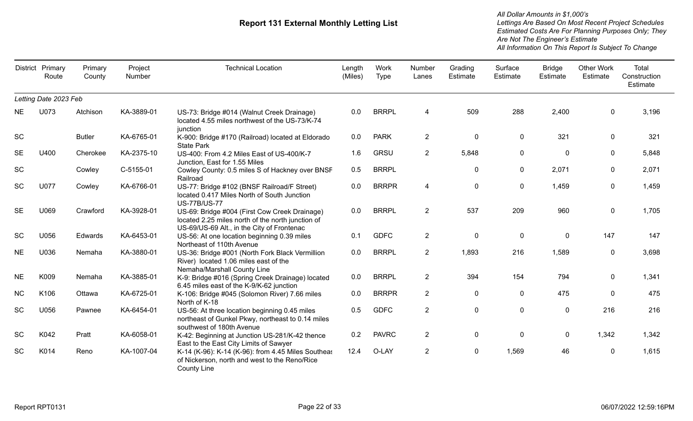|           | District Primary<br>Route | Primary<br>County | Project<br>Number | <b>Technical Location</b>                                                                                                                        | Length<br>(Miles) | Work<br><b>Type</b> | Number<br>Lanes | Grading<br>Estimate | Surface<br>Estimate | <b>Bridge</b><br>Estimate | <b>Other Work</b><br>Estimate | Total<br>Construction<br>Estimate |
|-----------|---------------------------|-------------------|-------------------|--------------------------------------------------------------------------------------------------------------------------------------------------|-------------------|---------------------|-----------------|---------------------|---------------------|---------------------------|-------------------------------|-----------------------------------|
|           | Letting Date 2023 Feb     |                   |                   |                                                                                                                                                  |                   |                     |                 |                     |                     |                           |                               |                                   |
| <b>NE</b> | U073                      | Atchison          | KA-3889-01        | US-73: Bridge #014 (Walnut Creek Drainage)<br>located 4.55 miles northwest of the US-73/K-74<br>junction                                         | 0.0               | <b>BRRPL</b>        | 4               | 509                 | 288                 | 2,400                     | 0                             | 3,196                             |
| <b>SC</b> |                           | <b>Butler</b>     | KA-6765-01        | K-900: Bridge #170 (Railroad) located at Eldorado<br><b>State Park</b>                                                                           | 0.0               | <b>PARK</b>         | $\overline{2}$  | $\mathbf 0$         | 0                   | 321                       | 0                             | 321                               |
| <b>SE</b> | U400                      | Cherokee          | KA-2375-10        | US-400: From 4.2 Miles East of US-400/K-7<br>Junction, East for 1.55 Miles                                                                       | 1.6               | <b>GRSU</b>         | $2^{\circ}$     | 5,848               | $\mathbf{0}$        | $\mathbf{0}$              | 0                             | 5,848                             |
| <b>SC</b> |                           | Cowley            | C-5155-01         | Cowley County: 0.5 miles S of Hackney over BNSF<br>Railroad                                                                                      | 0.5               | <b>BRRPL</b>        |                 | 0                   | $\mathbf 0$         | 2,071                     | 0                             | 2,071                             |
| <b>SC</b> | U077                      | Cowley            | KA-6766-01        | US-77: Bridge #102 (BNSF Railroad/F Street)<br>located 0.417 Miles North of South Junction<br><b>US-77B/US-77</b>                                | 0.0               | <b>BRRPR</b>        | 4               | $\mathbf 0$         | 0                   | 1,459                     | 0                             | 1,459                             |
| <b>SE</b> | U069                      | Crawford          | KA-3928-01        | US-69: Bridge #004 (First Cow Creek Drainage)<br>located 2.25 miles north of the north junction of<br>US-69/US-69 Alt., in the City of Frontenac | 0.0               | <b>BRRPL</b>        | $2^{\circ}$     | 537                 | 209                 | 960                       | 0                             | 1,705                             |
| <b>SC</b> | U056                      | Edwards           | KA-6453-01        | US-56: At one location beginning 0.39 miles<br>Northeast of 110th Avenue                                                                         | 0.1               | <b>GDFC</b>         | $\overline{2}$  | $\pmb{0}$           | $\mathbf 0$         | $\mathbf 0$               | 147                           | 147                               |
| <b>NE</b> | U036                      | Nemaha            | KA-3880-01        | US-36: Bridge #001 (North Fork Black Vermillion<br>River) located 1.06 miles east of the<br>Nemaha/Marshall County Line                          | 0.0               | <b>BRRPL</b>        | $\overline{2}$  | 1,893               | 216                 | 1,589                     | 0                             | 3,698                             |
| <b>NE</b> | K009                      | Nemaha            | KA-3885-01        | K-9: Bridge #016 (Spring Creek Drainage) located<br>6.45 miles east of the K-9/K-62 junction                                                     | 0.0               | <b>BRRPL</b>        | $\overline{2}$  | 394                 | 154                 | 794                       | 0                             | 1,341                             |
| <b>NC</b> | K106                      | Ottawa            | KA-6725-01        | K-106: Bridge #045 (Solomon River) 7.66 miles<br>North of K-18                                                                                   | 0.0               | <b>BRRPR</b>        | $\overline{2}$  | $\mathbf 0$         | 0                   | 475                       | 0                             | 475                               |
| SC        | U056                      | Pawnee            | KA-6454-01        | US-56: At three location beginning 0.45 miles<br>northeast of Gunkel Pkwy, northeast to 0.14 miles<br>southwest of 180th Avenue                  | 0.5               | <b>GDFC</b>         | $\overline{2}$  | $\pmb{0}$           | $\mathbf 0$         | $\mathbf 0$               | 216                           | 216                               |
| <b>SC</b> | K042                      | Pratt             | KA-6058-01        | K-42: Beginning at Junction US-281/K-42 thence<br>East to the East City Limits of Sawyer                                                         | 0.2               | <b>PAVRC</b>        | $\overline{2}$  | $\pmb{0}$           | $\mathbf 0$         | $\mathbf 0$               | 1,342                         | 1,342                             |
| SC        | K014                      | Reno              | KA-1007-04        | K-14 (K-96): K-14 (K-96): from 4.45 Miles Southeas<br>of Nickerson, north and west to the Reno/Rice<br><b>County Line</b>                        | 12.4              | O-LAY               | $\overline{2}$  | $\mathbf 0$         | 1,569               | 46                        | 0                             | 1,615                             |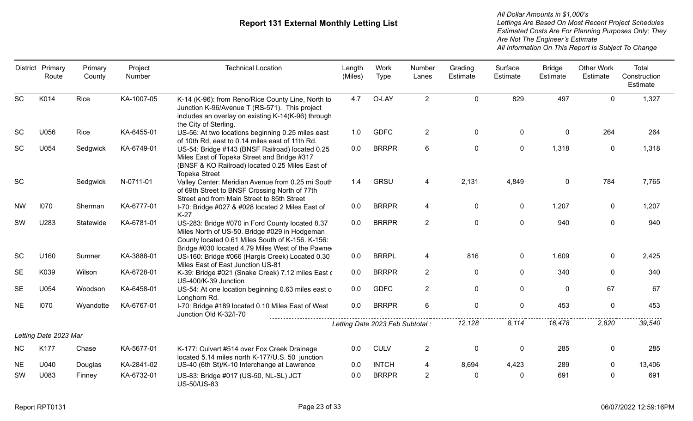|           | District Primary<br>Route | Primary<br>County | Project<br>Number | <b>Technical Location</b>                                                                                                                                                                                 | Length<br>(Miles) | Work<br><b>Type</b>              | Number<br>Lanes | Grading<br>Estimate | Surface<br>Estimate | <b>Bridge</b><br>Estimate | <b>Other Work</b><br>Estimate | Total<br>Construction<br>Estimate |
|-----------|---------------------------|-------------------|-------------------|-----------------------------------------------------------------------------------------------------------------------------------------------------------------------------------------------------------|-------------------|----------------------------------|-----------------|---------------------|---------------------|---------------------------|-------------------------------|-----------------------------------|
| <b>SC</b> | K014                      | Rice              | KA-1007-05        | K-14 (K-96): from Reno/Rice County Line, North to<br>Junction K-96/Avenue T (RS-571). This project<br>includes an overlay on existing K-14(K-96) through<br>the City of Sterling.                         | 4.7               | O-LAY                            | $\overline{2}$  | $\mathbf 0$         | 829                 | 497                       | $\mathbf 0$                   | 1,327                             |
| <b>SC</b> | U056                      | Rice              | KA-6455-01        | US-56: At two locations beginning 0.25 miles east<br>of 10th Rd, east to 0.14 miles east of 11th Rd.                                                                                                      | 1.0               | <b>GDFC</b>                      | $\overline{2}$  | $\mathbf 0$         | 0                   | $\mathbf 0$               | 264                           | 264                               |
| SC        | U054                      | Sedgwick          | KA-6749-01        | US-54: Bridge #143 (BNSF Railroad) located 0.25<br>Miles East of Topeka Street and Bridge #317<br>(BNSF & KO Railroad) located 0.25 Miles East of<br><b>Topeka Street</b>                                 | 0.0               | <b>BRRPR</b>                     | 6               | $\mathbf 0$         | $\pmb{0}$           | 1,318                     | $\mathbf 0$                   | 1,318                             |
| <b>SC</b> |                           | Sedgwick          | N-0711-01         | Valley Center: Meridian Avenue from 0.25 mi South<br>of 69th Street to BNSF Crossing North of 77th<br>Street and from Main Street to 85th Street                                                          | 1.4               | <b>GRSU</b>                      | 4               | 2,131               | 4,849               | $\mathbf 0$               | 784                           | 7,765                             |
| <b>NW</b> | 1070                      | Sherman           | KA-6777-01        | I-70: Bridge #027 & #028 located 2 Miles East of<br>$K-27$                                                                                                                                                | 0.0               | <b>BRRPR</b>                     | 4               | $\mathbf 0$         | 0                   | 1,207                     | $\mathbf 0$                   | 1,207                             |
| SW        | U283                      | Statewide         | KA-6781-01        | US-283: Bridge #070 in Ford County located 8.37<br>Miles North of US-50. Bridge #029 in Hodgeman<br>County located 0.61 Miles South of K-156. K-156:<br>Bridge #030 located 4.79 Miles West of the Pawner | 0.0               | <b>BRRPR</b>                     | $\overline{2}$  | $\mathbf 0$         | $\mathbf 0$         | 940                       | $\mathbf 0$                   | 940                               |
| <b>SC</b> | U160                      | Sumner            | KA-3888-01        | US-160: Bridge #066 (Hargis Creek) Located 0.30<br>Miles East of East Junction US-81                                                                                                                      | 0.0               | <b>BRRPL</b>                     | 4               | 816                 | $\mathbf 0$         | 1,609                     | 0                             | 2,425                             |
| <b>SE</b> | K039                      | Wilson            | KA-6728-01        | K-39: Bridge #021 (Snake Creek) 7.12 miles East o<br>US-400/K-39 Junction                                                                                                                                 | 0.0               | <b>BRRPR</b>                     | $\overline{2}$  | $\mathbf 0$         | $\mathbf 0$         | 340                       | $\Omega$                      | 340                               |
| <b>SE</b> | U054                      | Woodson           | KA-6458-01        | US-54: At one location beginning 0.63 miles east o<br>Longhorn Rd.                                                                                                                                        | 0.0               | <b>GDFC</b>                      | $\overline{2}$  | $\mathbf 0$         | 0                   | $\mathbf 0$               | 67                            | 67                                |
| <b>NE</b> | 1070                      | Wyandotte         | KA-6767-01        | I-70: Bridge #189 located 0.10 Miles East of West<br>Junction Old K-32/I-70                                                                                                                               | 0.0               | <b>BRRPR</b>                     | 6               | $\mathbf 0$         | $\pmb{0}$           | 453                       | $\mathbf 0$                   | 453                               |
|           | Letting Date 2023 Mar     |                   |                   |                                                                                                                                                                                                           |                   | Letting Date 2023 Feb Subtotal : |                 | 12,128              | 8.114               | 16,478                    | 2,820                         | 39,540                            |
| <b>NC</b> | K177                      | Chase             | KA-5677-01        | K-177: Culvert #514 over Fox Creek Drainage<br>located 5.14 miles north K-177/U.S. 50 junction                                                                                                            | 0.0               | <b>CULV</b>                      | $\overline{2}$  | $\mathbf 0$         | $\mathbf 0$         | 285                       | 0                             | 285                               |
| <b>NE</b> | U040                      | Douglas           | KA-2841-02        | US-40 (6th St)/K-10 Interchange at Lawrence                                                                                                                                                               | 0.0               | <b>INTCH</b>                     | 4               | 8,694               | 4,423               | 289                       | 0                             | 13,406                            |
| SW        | U083                      | Finney            | KA-6732-01        | US-83: Bridge #017 (US-50, NL-SL) JCT<br><b>US-50/US-83</b>                                                                                                                                               | 0.0               | <b>BRRPR</b>                     | $\overline{2}$  | $\mathbf{0}$        | $\mathbf 0$         | 691                       | $\mathbf{0}$                  | 691                               |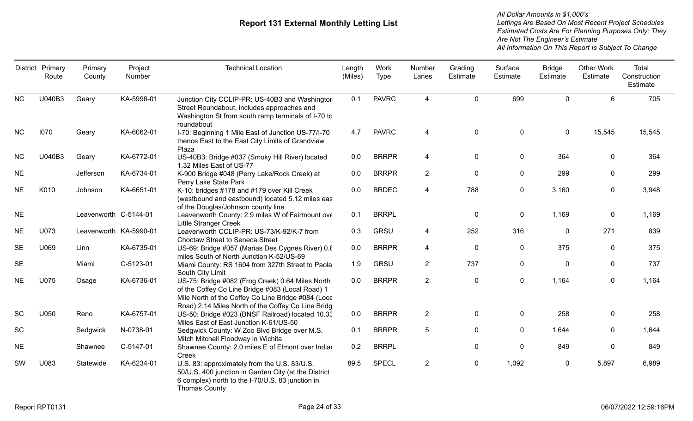|           | District Primary<br>Route | Primary<br>County      | Project<br>Number | <b>Technical Location</b>                                                                                                                                                                                        | Length<br>(Miles) | Work<br><b>Type</b> | Number<br>Lanes | Grading<br>Estimate | Surface<br>Estimate | <b>Bridge</b><br>Estimate | <b>Other Work</b><br>Estimate | Total<br>Construction<br>Estimate |
|-----------|---------------------------|------------------------|-------------------|------------------------------------------------------------------------------------------------------------------------------------------------------------------------------------------------------------------|-------------------|---------------------|-----------------|---------------------|---------------------|---------------------------|-------------------------------|-----------------------------------|
| <b>NC</b> | U040B3                    | Geary                  | KA-5996-01        | Junction City CCLIP-PR: US-40B3 and Washingtor<br>Street Roundabout, includes approaches and<br>Washington St from south ramp terminals of I-70 to<br>roundabout                                                 | 0.1               | <b>PAVRC</b>        | 4               | $\mathbf 0$         | 699                 | $\mathbf 0$               | 6                             | 705                               |
| <b>NC</b> | 1070                      | Geary                  | KA-6062-01        | I-70: Beginning 1 Mile East of Junction US-77/I-70<br>thence East to the East City Limits of Grandview<br>Plaza                                                                                                  | 4.7               | <b>PAVRC</b>        | 4               | $\mathbf 0$         | $\pmb{0}$           | $\mathbf 0$               | 15,545                        | 15,545                            |
| <b>NC</b> | U040B3                    | Geary                  | KA-6772-01        | US-40B3: Bridge #037 (Smoky Hill River) located<br>1.32 Miles East of US-77                                                                                                                                      | 0.0               | <b>BRRPR</b>        | 4               | $\mathbf 0$         | $\mathbf 0$         | 364                       | $\mathbf 0$                   | 364                               |
| <b>NE</b> |                           | Jefferson              | KA-6734-01        | K-900 Bridge #048 (Perry Lake/Rock Creek) at<br>Perry Lake State Park                                                                                                                                            | 0.0               | <b>BRRPR</b>        | $2^{\circ}$     | $\mathbf 0$         | $\mathbf 0$         | 299                       | $\mathbf 0$                   | 299                               |
| NE        | K010                      | Johnson                | KA-6651-01        | K-10: bridges #178 and #179 over Kill Creek<br>(westbound and eastbound) located 5.12 miles eas<br>of the Douglas/Johnson county line                                                                            | 0.0               | <b>BRDEC</b>        | 4               | 788                 | $\mathbf 0$         | 3,160                     | $\mathbf 0$                   | 3,948                             |
| <b>NE</b> |                           | Leavenworth C-5144-01  |                   | Leavenworth County: 2.9 miles W of Fairmount ove<br><b>Little Stranger Creek</b>                                                                                                                                 | 0.1               | <b>BRRPL</b>        |                 | $\mathbf 0$         | $\pmb{0}$           | 1,169                     | $\mathbf 0$                   | 1,169                             |
| <b>NE</b> | U073                      | Leavenworth KA-5990-01 |                   | Leavenworth CCLIP-PR: US-73/K-92/K-7 from<br><b>Choctaw Street to Seneca Street</b>                                                                                                                              | 0.3               | <b>GRSU</b>         | 4               | 252                 | 316                 | $\mathbf 0$               | 271                           | 839                               |
| <b>SE</b> | U069                      | Linn                   | KA-6735-01        | US-69: Bridge #057 (Marias Des Cygnes River) 0.8<br>miles South of North Junction K-52/US-69                                                                                                                     | 0.0               | <b>BRRPR</b>        | 4               | $\pmb{0}$           | $\pmb{0}$           | 375                       | $\mathbf 0$                   | 375                               |
| <b>SE</b> |                           | Miami                  | C-5123-01         | Miami County: RS 1604 from 327th Street to Paola<br>South City Limit                                                                                                                                             | 1.9               | <b>GRSU</b>         | $\overline{2}$  | 737                 | $\mathbf 0$         | $\mathbf 0$               | 0                             | 737                               |
| <b>NE</b> | U075                      | Osage                  | KA-6736-01        | US-75: Bridge #082 (Frog Creek) 0.64 Miles North<br>of the Coffey Co Line Bridge #083 (Local Road) 1<br>Mile North of the Coffey Co Line Bridge #084 (Loca<br>Road) 2.14 Miles North of the Coffey Co Line Bridg | 0.0               | <b>BRRPR</b>        | $\overline{2}$  | $\mathbf 0$         | $\mathbf 0$         | 1,164                     | $\mathbf 0$                   | 1,164                             |
| <b>SC</b> | U050                      | Reno                   | KA-6757-01        | US-50: Bridge #023 (BNSF Railroad) located 10.33<br>Miles East of East Junction K-61/US-50                                                                                                                       | 0.0               | <b>BRRPR</b>        | $\overline{2}$  | $\mathbf 0$         | $\mathbf 0$         | 258                       | $\mathbf 0$                   | 258                               |
| SC        |                           | Sedgwick               | N-0738-01         | Sedgwick County: W Zoo Blvd Bridge over M.S.<br>Mitch Mitchell Floodway in Wichita                                                                                                                               | 0.1               | <b>BRRPR</b>        | 5               | $\mathbf 0$         | $\mathbf 0$         | 1,644                     | 0                             | 1,644                             |
| <b>NE</b> |                           | Shawnee                | C-5147-01         | Shawnee County: 2.0 miles E of Elmont over Indiar<br>Creek                                                                                                                                                       | 0.2               | <b>BRRPL</b>        |                 | $\mathbf 0$         | $\mathbf 0$         | 849                       | $\mathbf{0}$                  | 849                               |
| <b>SW</b> | U083                      | Statewide              | KA-6234-01        | U.S. 83: approximately from the U.S. 83/U.S.<br>50/U.S. 400 junction in Garden City (at the District<br>6 complex) north to the I-70/U.S. 83 junction in<br><b>Thomas County</b>                                 | 89.5              | <b>SPECL</b>        | $\overline{2}$  | $\boldsymbol{0}$    | 1,092               | $\mathbf 0$               | 5,897                         | 6,989                             |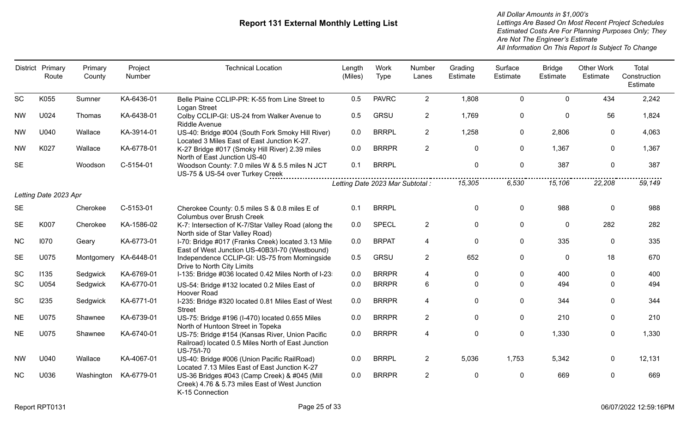|           | District Primary<br>Route | Primary<br>County | Project<br>Number | <b>Technical Location</b>                                                                                           | Length<br>(Miles) | Work<br>Type                         | Number<br>Lanes | Grading<br>Estimate | Surface<br>Estimate | <b>Bridge</b><br>Estimate | Other Work<br>Estimate | Total<br>Construction<br>Estimate |
|-----------|---------------------------|-------------------|-------------------|---------------------------------------------------------------------------------------------------------------------|-------------------|--------------------------------------|-----------------|---------------------|---------------------|---------------------------|------------------------|-----------------------------------|
| <b>SC</b> | K055                      | Sumner            | KA-6436-01        | Belle Plaine CCLIP-PR: K-55 from Line Street to<br>Logan Street                                                     | 0.5               | <b>PAVRC</b>                         | $2^{\circ}$     | 1,808               | $\mathbf{0}$        | $\Omega$                  | 434                    | 2,242                             |
| <b>NW</b> | U024                      | Thomas            | KA-6438-01        | Colby CCLIP-GI: US-24 from Walker Avenue to<br>Riddle Avenue                                                        | 0.5               | <b>GRSU</b>                          | $\mathbf{2}$    | 1,769               | 0                   | $\mathbf 0$               | 56                     | 1,824                             |
| <b>NW</b> | U040                      | Wallace           | KA-3914-01        | US-40: Bridge #004 (South Fork Smoky Hill River)<br>Located 3 Miles East of East Junction K-27.                     | 0.0               | <b>BRRPL</b>                         | $\overline{2}$  | 1,258               | $\mathbf{0}$        | 2,806                     | 0                      | 4,063                             |
| <b>NW</b> | K027                      | Wallace           | KA-6778-01        | K-27 Bridge #017 (Smoky Hill River) 2.39 miles<br>North of East Junction US-40                                      | 0.0               | <b>BRRPR</b>                         | $\overline{2}$  | $\Omega$            | 0                   | 1,367                     | 0                      | 1,367                             |
| <b>SE</b> |                           | Woodson           | C-5154-01         | Woodson County: 7.0 miles W & 5.5 miles N JCT<br>US-75 & US-54 over Turkey Creek                                    | 0.1               | <b>BRRPL</b>                         |                 | $\mathbf{0}$        | $\mathbf 0$         | 387                       | $\mathbf 0$            | 387                               |
|           |                           |                   |                   |                                                                                                                     |                   | <br>Letting Date 2023 Mar Subtotal : |                 | 15,305              | 6,530               | 15,106                    | 22,208                 | 59,149                            |
|           | Letting Date 2023 Apr     |                   |                   |                                                                                                                     |                   |                                      |                 |                     |                     |                           |                        |                                   |
| <b>SE</b> |                           | Cherokee          | C-5153-01         | Cherokee County: 0.5 miles S & 0.8 miles E of<br>Columbus over Brush Creek                                          | 0.1               | <b>BRRPL</b>                         |                 | $\Omega$            | $\Omega$            | 988                       | $\mathbf{0}$           | 988                               |
| <b>SE</b> | K007                      | Cherokee          | KA-1586-02        | K-7: Intersection of K-7/Star Valley Road (along the<br>North side of Star Valley Road)                             | 0.0               | <b>SPECL</b>                         | $\overline{2}$  | $\mathbf{0}$        | $\Omega$            | $\mathbf{0}$              | 282                    | 282                               |
| <b>NC</b> | 1070                      | Geary             | KA-6773-01        | I-70: Bridge #017 (Franks Creek) located 3.13 Mile<br>East of West Junction US-40B3/I-70 (Westbound)                | 0.0               | <b>BRPAT</b>                         | 4               | 0                   | $\mathbf{0}$        | 335                       | 0                      | 335                               |
| <b>SE</b> | U075                      | Montgomery        | KA-6448-01        | Independence CCLIP-GI: US-75 from Morningside<br>Drive to North City Limits                                         | 0.5               | <b>GRSU</b>                          | $\overline{2}$  | 652                 | 0                   | $\mathbf 0$               | 18                     | 670                               |
| SC        | 1135                      | Sedgwick          | KA-6769-01        | I-135: Bridge #036 located 0.42 Miles North of I-23                                                                 | 0.0               | <b>BRRPR</b>                         | 4               | $\Omega$            | 0                   | 400                       | 0                      | 400                               |
| SC        | U054                      | Sedgwick          | KA-6770-01        | US-54: Bridge #132 located 0.2 Miles East of<br>Hoover Road                                                         | 0.0               | <b>BRRPR</b>                         | 6               | $\Omega$            | $\Omega$            | 494                       | 0                      | 494                               |
| SC        | 1235                      | Sedgwick          | KA-6771-01        | I-235: Bridge #320 located 0.81 Miles East of West<br><b>Street</b>                                                 | 0.0               | <b>BRRPR</b>                         | 4               | $\mathbf{0}$        | 0                   | 344                       | $\mathbf{0}$           | 344                               |
| <b>NE</b> | U075                      | Shawnee           | KA-6739-01        | US-75: Bridge #196 (I-470) located 0.655 Miles<br>North of Huntoon Street in Topeka                                 | 0.0               | <b>BRRPR</b>                         | $\overline{2}$  | $\Omega$            | $\Omega$            | 210                       | 0                      | 210                               |
| <b>NE</b> | U075                      | Shawnee           | KA-6740-01        | US-75: Bridge #154 (Kansas River, Union Pacific<br>Railroad) located 0.5 Miles North of East Junction<br>US-75/I-70 | 0.0               | <b>BRRPR</b>                         | 4               | $\mathbf 0$         | 0                   | 1,330                     | $\mathbf 0$            | 1,330                             |
| <b>NW</b> | U040                      | Wallace           | KA-4067-01        | US-40: Bridge #006 (Union Pacific RailRoad)<br>Located 7.13 Miles East of East Junction K-27                        | 0.0               | <b>BRRPL</b>                         | $\overline{2}$  | 5,036               | 1,753               | 5,342                     | 0                      | 12,131                            |
| <b>NC</b> | U036                      | Washington        | KA-6779-01        | US-36 Bridges #043 (Camp Creek) & #045 (Mill<br>Creek) 4.76 & 5.73 miles East of West Junction<br>K-15 Connection   | 0.0               | <b>BRRPR</b>                         | $\overline{2}$  | $\mathbf{0}$        | $\mathbf{0}$        | 669                       | $\mathbf{0}$           | 669                               |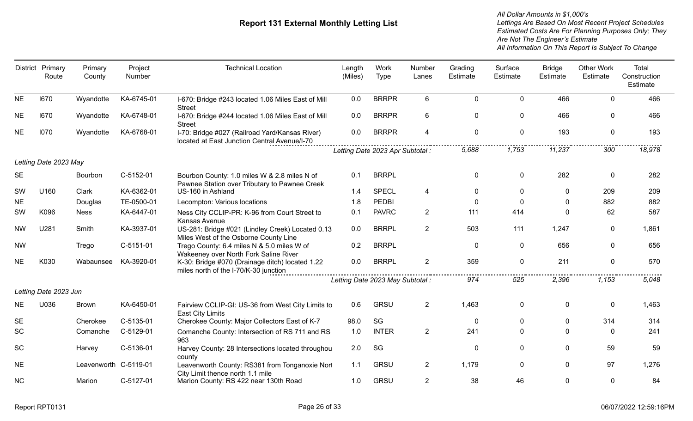|           | District Primary<br>Route | Primary<br>County     | Project<br>Number | <b>Technical Location</b>                                                                      | Length<br>(Miles) | Work<br><b>Type</b>              | Number<br>Lanes | Grading<br>Estimate | Surface<br>Estimate | <b>Bridge</b><br>Estimate | <b>Other Work</b><br>Estimate | Total<br>Construction<br>Estimate |
|-----------|---------------------------|-----------------------|-------------------|------------------------------------------------------------------------------------------------|-------------------|----------------------------------|-----------------|---------------------|---------------------|---------------------------|-------------------------------|-----------------------------------|
| <b>NE</b> | 1670                      | Wyandotte             | KA-6745-01        | I-670: Bridge #243 located 1.06 Miles East of Mill<br><b>Street</b>                            | 0.0               | <b>BRRPR</b>                     | 6               | $\mathbf 0$         | 0                   | 466                       | $\mathbf{0}$                  | 466                               |
| <b>NE</b> | 1670                      | Wyandotte             | KA-6748-01        | I-670: Bridge #244 located 1.06 Miles East of Mill<br><b>Street</b>                            | 0.0               | <b>BRRPR</b>                     | 6               | $\mathbf 0$         | $\mathbf{0}$        | 466                       | $\Omega$                      | 466                               |
| <b>NE</b> | 1070                      | Wyandotte             | KA-6768-01        | I-70: Bridge #027 (Railroad Yard/Kansas River)<br>located at East Junction Central Avenue/I-70 | 0.0               | <b>BRRPR</b>                     | 4               | $\boldsymbol{0}$    | $\mathbf 0$         | 193                       | $\mathbf 0$                   | 193                               |
|           |                           |                       |                   |                                                                                                |                   | Letting Date 2023 Apr Subtotal : |                 | 5,688               | 1,753               | 11,237                    | 300                           | 18,978                            |
|           | Letting Date 2023 May     |                       |                   |                                                                                                |                   |                                  |                 |                     |                     |                           |                               |                                   |
| <b>SE</b> |                           | Bourbon               | C-5152-01         | Bourbon County: 1.0 miles W & 2.8 miles N of<br>Pawnee Station over Tributary to Pawnee Creek  | 0.1               | <b>BRRPL</b>                     |                 | $\mathbf 0$         | $\mathbf 0$         | 282                       | $\mathbf 0$                   | 282                               |
| SW        | U160                      | Clark                 | KA-6362-01        | US-160 in Ashland                                                                              | 1.4               | <b>SPECL</b>                     | 4               | $\mathbf 0$         | $\mathbf{0}$        | $\mathbf 0$               | 209                           | 209                               |
| <b>NE</b> |                           | Douglas               | TE-0500-01        | Lecompton: Various locations                                                                   | 1.8               | PEDBI                            |                 | $\mathbf 0$         | $\mathbf{0}$        | $\mathbf 0$               | 882                           | 882                               |
| SW        | K096                      | <b>Ness</b>           | KA-6447-01        | Ness City CCLIP-PR: K-96 from Court Street to<br>Kansas Avenue                                 | 0.1               | <b>PAVRC</b>                     | $\overline{2}$  | 111                 | 414                 | $\mathbf{0}$              | 62                            | 587                               |
| <b>NW</b> | U281                      | Smith                 | KA-3937-01        | US-281: Bridge #021 (Lindley Creek) Located 0.13<br>Miles West of the Osborne County Line      | 0.0               | <b>BRRPL</b>                     | $\overline{2}$  | 503                 | 111                 | 1,247                     | $\mathbf{0}$                  | 1,861                             |
| <b>NW</b> |                           | Trego                 | C-5151-01         | Trego County: 6.4 miles N & 5.0 miles W of<br>Wakeeney over North Fork Saline River            | 0.2               | <b>BRRPL</b>                     |                 | $\mathbf 0$         | $\mathbf 0$         | 656                       | 0                             | 656                               |
| <b>NE</b> | K030                      | Wabaunsee             | KA-3920-01        | K-30: Bridge #070 (Drainage ditch) located 1.22<br>miles north of the I-70/K-30 junction       | 0.0               | <b>BRRPL</b>                     | $\overline{2}$  | 359                 | $\mathbf 0$         | 211                       | $\mathbf 0$                   | 570                               |
|           |                           |                       |                   |                                                                                                |                   | Letting Date 2023 May Subtotal : |                 | 974                 | 525                 | 2,396                     | 1,153                         | 5,048                             |
|           | Letting Date 2023 Jun     |                       |                   |                                                                                                |                   |                                  |                 |                     |                     |                           |                               |                                   |
| <b>NE</b> | U036                      | <b>Brown</b>          | KA-6450-01        | Fairview CCLIP-GI: US-36 from West City Limits to<br><b>East City Limits</b>                   | 0.6               | <b>GRSU</b>                      | $\overline{2}$  | 1,463               | 0                   | $\mathbf 0$               | 0                             | 1,463                             |
| <b>SE</b> |                           | Cherokee              | C-5135-01         | Cherokee County: Major Collectors East of K-7                                                  | 98.0              | SG                               |                 | $\mathbf 0$         | $\mathbf{0}$        | $\mathbf 0$               | 314                           | 314                               |
| <b>SC</b> |                           | Comanche              | C-5129-01         | Comanche County: Intersection of RS 711 and RS<br>963                                          | 1.0               | <b>INTER</b>                     | $\overline{2}$  | 241                 | $\Omega$            | $\mathbf 0$               | $\Omega$                      | 241                               |
| <b>SC</b> |                           | Harvey                | C-5136-01         | Harvey County: 28 Intersections located throughou<br>county                                    | 2.0               | SG                               |                 | $\mathbf 0$         | 0                   | $\mathbf 0$               | 59                            | 59                                |
| <b>NE</b> |                           | Leavenworth C-5119-01 |                   | Leavenworth County: RS381 from Tonganoxie Nort<br>City Limit thence north 1.1 mile             | 1.1               | <b>GRSU</b>                      | $\overline{2}$  | 1,179               | $\mathbf{0}$        | $\mathbf 0$               | 97                            | 1,276                             |
| <b>NC</b> |                           | Marion                | C-5127-01         | Marion County: RS 422 near 130th Road                                                          | 1.0               | <b>GRSU</b>                      | $\overline{2}$  | 38                  | 46                  | $\mathbf{0}$              | $\mathbf 0$                   | 84                                |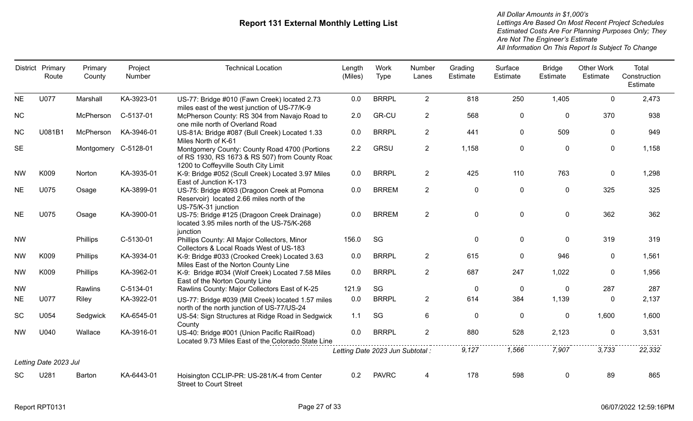| District  | Primary<br>Route      | Primary<br>County    | Project<br>Number | <b>Technical Location</b>                                                                                                               | Length<br>(Miles) | Work<br>Type                     | Number<br>Lanes | Grading<br>Estimate | Surface<br>Estimate | <b>Bridge</b><br>Estimate | <b>Other Work</b><br>Estimate | Total<br>Construction<br>Estimate |
|-----------|-----------------------|----------------------|-------------------|-----------------------------------------------------------------------------------------------------------------------------------------|-------------------|----------------------------------|-----------------|---------------------|---------------------|---------------------------|-------------------------------|-----------------------------------|
| <b>NE</b> | U077                  | Marshall             | KA-3923-01        | US-77: Bridge #010 (Fawn Creek) located 2.73<br>miles east of the west junction of US-77/K-9                                            | 0.0               | <b>BRRPL</b>                     | $\overline{2}$  | 818                 | 250                 | 1,405                     | $\mathbf 0$                   | 2,473                             |
| <b>NC</b> |                       | McPherson            | C-5137-01         | McPherson County: RS 304 from Navajo Road to<br>one mile north of Overland Road                                                         | 2.0               | <b>GR-CU</b>                     | $\overline{2}$  | 568                 | 0                   | $\mathbf 0$               | 370                           | 938                               |
| <b>NC</b> | U081B1                | McPherson            | KA-3946-01        | US-81A: Bridge #087 (Bull Creek) Located 1.33<br>Miles North of K-61                                                                    | 0.0               | <b>BRRPL</b>                     | $\overline{2}$  | 441                 | $\mathbf 0$         | 509                       | 0                             | 949                               |
| <b>SE</b> |                       | Montgomery C-5128-01 |                   | Montgomery County: County Road 4700 (Portions<br>of RS 1930, RS 1673 & RS 507) from County Roac<br>1200 to Coffeyville South City Limit | 2.2               | <b>GRSU</b>                      | $\overline{2}$  | 1,158               | $\mathbf 0$         | $\mathbf 0$               | $\mathbf 0$                   | 1,158                             |
| <b>NW</b> | K009                  | Norton               | KA-3935-01        | K-9: Bridge #052 (Scull Creek) Located 3.97 Miles<br>East of Junction K-173                                                             | 0.0               | <b>BRRPL</b>                     | $\overline{2}$  | 425                 | 110                 | 763                       | $\mathbf 0$                   | 1,298                             |
| <b>NE</b> | U075                  | Osage                | KA-3899-01        | US-75: Bridge #093 (Dragoon Creek at Pomona<br>Reservoir) located 2.66 miles north of the<br>US-75/K-31 junction                        | 0.0               | <b>BRREM</b>                     | $2^{\circ}$     | $\mathbf 0$         | $\mathbf 0$         | $\mathbf 0$               | 325                           | 325                               |
| <b>NE</b> | U075                  | Osage                | KA-3900-01        | US-75: Bridge #125 (Dragoon Creek Drainage)<br>located 3.95 miles north of the US-75/K-268<br>junction                                  | 0.0               | <b>BRREM</b>                     | $\overline{2}$  | $\mathbf 0$         | $\mathbf 0$         | $\mathbf 0$               | 362                           | 362                               |
| <b>NW</b> |                       | Phillips             | C-5130-01         | Phillips County: All Major Collectors, Minor<br>Collectors & Local Roads West of US-183                                                 | 156.0             | SG                               |                 | $\mathbf 0$         | $\mathbf 0$         | $\mathbf{0}$              | 319                           | 319                               |
| <b>NW</b> | K009                  | Phillips             | KA-3934-01        | K-9: Bridge #033 (Crooked Creek) Located 3.63<br>Miles East of the Norton County Line                                                   | 0.0               | <b>BRRPL</b>                     | $2^{\circ}$     | 615                 | $\mathbf{0}$        | 946                       | $\mathbf{0}$                  | 1,561                             |
| <b>NW</b> | K009                  | Phillips             | KA-3962-01        | K-9: Bridge #034 (Wolf Creek) Located 7.58 Miles<br>East of the Norton County Line                                                      | 0.0               | <b>BRRPL</b>                     | $\overline{2}$  | 687                 | 247                 | 1,022                     | 0                             | 1,956                             |
| <b>NW</b> |                       | Rawlins              | C-5134-01         | Rawlins County: Major Collectors East of K-25                                                                                           | 121.9             | SG                               |                 | $\mathbf 0$         | $\overline{0}$      | $\mathbf{0}$              | 287                           | 287                               |
| <b>NE</b> | U077                  | Riley                | KA-3922-01        | US-77: Bridge #039 (Mill Creek) located 1.57 miles<br>north of the north junction of US-77/US-24                                        | 0.0               | <b>BRRPL</b>                     | $\overline{2}$  | 614                 | 384                 | 1,139                     | $\mathbf{0}$                  | 2,137                             |
| SC        | U054                  | Sedgwick             | KA-6545-01        | US-54: Sign Structures at Ridge Road in Sedgwick<br>County                                                                              | 1.1               | SG                               | 6               | $\mathbf 0$         | $\mathbf 0$         | $\mathbf 0$               | 1,600                         | 1,600                             |
| <b>NW</b> | U040                  | Wallace              | KA-3916-01        | US-40: Bridge #001 (Union Pacific RailRoad)<br>Located 9.73 Miles East of the Colorado State Line                                       | 0.0               | <b>BRRPL</b>                     | $\overline{2}$  | 880                 | 528                 | 2,123                     | 0                             | 3,531                             |
|           |                       |                      |                   |                                                                                                                                         |                   | Letting Date 2023 Jun Subtotal : |                 | 9,127               | 1,566               | 7,907                     | 3,733                         | 22,332                            |
|           | Letting Date 2023 Jul |                      |                   |                                                                                                                                         |                   |                                  |                 |                     |                     |                           |                               |                                   |
| <b>SC</b> | U281                  | Barton               | KA-6443-01        | Hoisington CCLIP-PR: US-281/K-4 from Center<br><b>Street to Court Street</b>                                                            | 0.2               | <b>PAVRC</b>                     | 4               | 178                 | 598                 | $\mathbf{0}$              | 89                            | 865                               |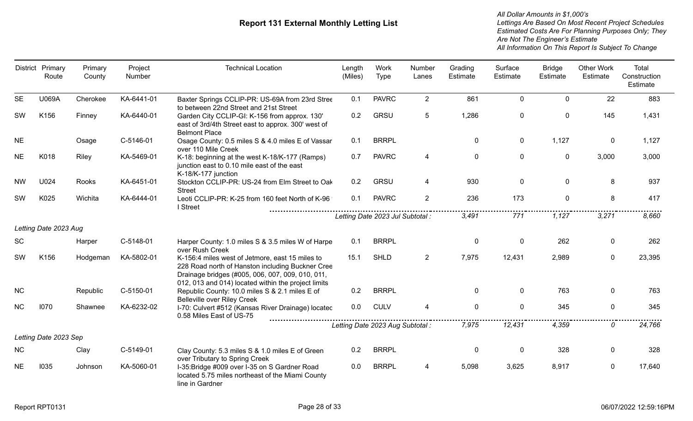|           | District Primary<br>Route | Primary<br>County | Project<br>Number | <b>Technical Location</b>                                                                                                                                                                                      | Length<br>(Miles) | Work<br><b>Type</b>              | Number<br>Lanes | Grading<br>Estimate | Surface<br>Estimate | <b>Bridge</b><br>Estimate | <b>Other Work</b><br>Estimate | Total<br>Construction<br>Estimate |
|-----------|---------------------------|-------------------|-------------------|----------------------------------------------------------------------------------------------------------------------------------------------------------------------------------------------------------------|-------------------|----------------------------------|-----------------|---------------------|---------------------|---------------------------|-------------------------------|-----------------------------------|
| <b>SE</b> | U069A                     | Cherokee          | KA-6441-01        | Baxter Springs CCLIP-PR: US-69A from 23rd Stree<br>to between 22nd Street and 21st Street                                                                                                                      | 0.1               | <b>PAVRC</b>                     | $\overline{2}$  | 861                 | $\mathbf 0$         | $\mathbf 0$               | 22                            | 883                               |
| <b>SW</b> | K156                      | Finney            | KA-6440-01        | Garden City CCLIP-GI: K-156 from approx. 130'<br>east of 3rd/4th Street east to approx. 300' west of<br><b>Belmont Place</b>                                                                                   | 0.2               | <b>GRSU</b>                      | 5               | 1,286               | $\mathbf 0$         | $\mathbf 0$               | 145                           | 1,431                             |
| <b>NE</b> |                           | Osage             | C-5146-01         | Osage County: 0.5 miles S & 4.0 miles E of Vassar<br>over 110 Mile Creek                                                                                                                                       | 0.1               | <b>BRRPL</b>                     |                 | $\mathbf 0$         | $\mathbf 0$         | 1,127                     | $\mathbf 0$                   | 1,127                             |
| <b>NE</b> | K018                      | Riley             | KA-5469-01        | K-18: beginning at the west K-18/K-177 (Ramps)<br>junction east to 0.10 mile east of the east<br>K-18/K-177 junction                                                                                           | 0.7               | <b>PAVRC</b>                     | 4               | $\mathbf 0$         | $\mathbf 0$         | $\mathbf 0$               | 3,000                         | 3,000                             |
| <b>NW</b> | U024                      | Rooks             | KA-6451-01        | Stockton CCLIP-PR: US-24 from Elm Street to Oak<br><b>Street</b>                                                                                                                                               | 0.2               | GRSU                             | 4               | 930                 | $\mathbf 0$         | $\mathbf 0$               | 8                             | 937                               |
| SW        | K025                      | Wichita           | KA-6444-01        | Leoti CCLIP-PR: K-25 from 160 feet North of K-96<br>I Street                                                                                                                                                   | 0.1               | <b>PAVRC</b>                     | 2               | 236                 | 173                 | $\mathbf 0$               | 8                             | 417                               |
|           |                           |                   |                   |                                                                                                                                                                                                                |                   | Letting Date 2023 Jul Subtotal : |                 | 3,491               | 771                 | 1.127                     | 3,271                         | 8,660                             |
|           | Letting Date 2023 Aug     |                   |                   |                                                                                                                                                                                                                |                   |                                  |                 |                     |                     |                           |                               |                                   |
| <b>SC</b> |                           | Harper            | C-5148-01         | Harper County: 1.0 miles S & 3.5 miles W of Harpe<br>over Rush Creek                                                                                                                                           | 0.1               | <b>BRRPL</b>                     |                 | $\mathbf 0$         | $\mathbf 0$         | 262                       | $\mathbf 0$                   | 262                               |
| <b>SW</b> | K156                      | Hodgeman          | KA-5802-01        | K-156:4 miles west of Jetmore, east 15 miles to<br>228 Road north of Hanston including Buckner Cree<br>Drainage bridges (#005, 006, 007, 009, 010, 011,<br>012, 013 and 014) located within the project limits | 15.1              | <b>SHLD</b>                      | $\overline{2}$  | 7,975               | 12,431              | 2,989                     | $\mathbf 0$                   | 23,395                            |
| <b>NC</b> |                           | Republic          | C-5150-01         | Republic County: 10.0 miles S & 2.1 miles E of<br><b>Belleville over Riley Creek</b>                                                                                                                           | 0.2               | <b>BRRPL</b>                     |                 | $\overline{0}$      | $\mathbf{0}$        | 763                       | $\mathbf{0}$                  | 763                               |
| <b>NC</b> | 1070                      | Shawnee           | KA-6232-02        | I-70: Culvert #512 (Kansas River Drainage) locatec<br>0.58 Miles East of US-75                                                                                                                                 | 0.0               | <b>CULV</b>                      | 4               | $\mathbf 0$         | $\mathbf 0$         | 345                       | $\mathbf 0$                   | 345                               |
|           |                           |                   |                   |                                                                                                                                                                                                                |                   | Letting Date 2023 Aug Subtotal : |                 | 7,975               | 12,431              | 4,359                     | 0                             | 24,766                            |
|           | Letting Date 2023 Sep     |                   |                   |                                                                                                                                                                                                                |                   |                                  |                 |                     |                     |                           |                               |                                   |
| <b>NC</b> |                           | Clay              | C-5149-01         | Clay County: 5.3 miles S & 1.0 miles E of Green<br>over Tributary to Spring Creek                                                                                                                              | 0.2               | <b>BRRPL</b>                     |                 | $\mathbf 0$         | $\pmb{0}$           | 328                       | $\mathbf 0$                   | 328                               |
| <b>NE</b> | 1035                      | Johnson           | KA-5060-01        | I-35: Bridge #009 over I-35 on S Gardner Road<br>located 5.75 miles northeast of the Miami County<br>line in Gardner                                                                                           | 0.0               | <b>BRRPL</b>                     | 4               | 5,098               | 3,625               | 8,917                     | $\mathbf{0}$                  | 17,640                            |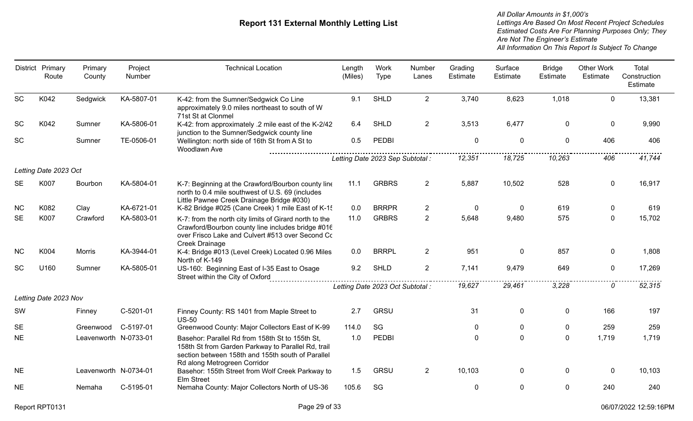|           | District Primary<br>Route | Primary<br>County     | Project<br>Number | <b>Technical Location</b>                                                                                                                                                                  | Length<br>(Miles) | Work<br>Type                     | Number<br>Lanes | Grading<br>Estimate | Surface<br>Estimate | <b>Bridge</b><br>Estimate | <b>Other Work</b><br>Estimate | Total<br>Construction<br>Estimate |
|-----------|---------------------------|-----------------------|-------------------|--------------------------------------------------------------------------------------------------------------------------------------------------------------------------------------------|-------------------|----------------------------------|-----------------|---------------------|---------------------|---------------------------|-------------------------------|-----------------------------------|
| <b>SC</b> | K042                      | Sedgwick              | KA-5807-01        | K-42: from the Sumner/Sedgwick Co Line<br>approximately 9.0 miles northeast to south of W<br>71st St at Clonmel                                                                            | 9.1               | <b>SHLD</b>                      | $\overline{2}$  | 3,740               | 8,623               | 1,018                     | $\mathbf 0$                   | 13,381                            |
| SC        | K042                      | Sumner                | KA-5806-01        | K-42: from approximately .2 mile east of the K-2/42<br>junction to the Sumner/Sedgwick county line                                                                                         | 6.4               | <b>SHLD</b>                      | $\overline{2}$  | 3,513               | 6,477               | 0                         | $\mathbf 0$                   | 9,990                             |
| SC        |                           | Sumner                | TE-0506-01        | Wellington: north side of 16th St from A St to<br>Woodlawn Ave                                                                                                                             | 0.5               | PEDBI                            |                 | $\mathbf 0$         | $\mathbf 0$         | $\mathbf 0$               | 406                           | 406                               |
|           |                           |                       |                   |                                                                                                                                                                                            |                   | Letting Date 2023 Sep Subtotal : |                 | 12,351              | 18,725              | 10,263                    | 406                           | 41,744                            |
|           | Letting Date 2023 Oct     |                       |                   |                                                                                                                                                                                            |                   |                                  |                 |                     |                     |                           |                               |                                   |
| <b>SE</b> | K007                      | Bourbon               | KA-5804-01        | K-7: Beginning at the Crawford/Bourbon county line<br>north to 0.4 mile southwest of U.S. 69 (includes<br>Little Pawnee Creek Drainage Bridge #030)                                        | 11.1              | <b>GRBRS</b>                     | $\overline{2}$  | 5,887               | 10,502              | 528                       | $\mathbf 0$                   | 16,917                            |
| <b>NC</b> | K082                      | Clay                  | KA-6721-01        | K-82 Bridge #025 (Cane Creek) 1 mile East of K-15                                                                                                                                          | 0.0               | <b>BRRPR</b>                     | $\overline{2}$  | 0                   | $\mathbf 0$         | 619                       | $\mathbf 0$                   | 619                               |
| <b>SE</b> | K007                      | Crawford              | KA-5803-01        | K-7: from the north city limits of Girard north to the<br>Crawford/Bourbon county line includes bridge #016<br>over Frisco Lake and Culvert #513 over Second Co<br>Creek Drainage          | 11.0              | <b>GRBRS</b>                     | $\overline{2}$  | 5,648               | 9,480               | 575                       | $\mathbf 0$                   | 15,702                            |
| <b>NC</b> | K004                      | <b>Morris</b>         | KA-3944-01        | K-4: Bridge #013 (Level Creek) Located 0.96 Miles<br>North of K-149                                                                                                                        | 0.0               | <b>BRRPL</b>                     | $\overline{2}$  | 951                 | $\mathbf 0$         | 857                       | $\mathbf 0$                   | 1,808                             |
| <b>SC</b> | U160                      | Sumner                | KA-5805-01        | US-160: Beginning East of I-35 East to Osage<br>Street within the City of Oxford                                                                                                           | 9.2               | <b>SHLD</b>                      | $\overline{2}$  | 7,141               | 9,479               | 649                       | $\mathbf 0$                   | 17,269                            |
|           |                           |                       |                   |                                                                                                                                                                                            |                   | Letting Date 2023 Oct Subtotal : |                 | 19,627              | 29,461              | 3,228                     | 0                             | 52,315                            |
|           | Letting Date 2023 Nov     |                       |                   |                                                                                                                                                                                            |                   |                                  |                 |                     |                     |                           |                               |                                   |
| SW        |                           | Finney                | C-5201-01         | Finney County: RS 1401 from Maple Street to<br><b>US-50</b>                                                                                                                                | 2.7               | <b>GRSU</b>                      |                 | 31                  | $\mathbf 0$         | $\mathbf 0$               | 166                           | 197                               |
| <b>SE</b> |                           | Greenwood             | C-5197-01         | Greenwood County: Major Collectors East of K-99                                                                                                                                            | 114.0             | SG                               |                 | 0                   | 0                   | 0                         | 259                           | 259                               |
| <b>NE</b> |                           | Leavenworth N-0733-01 |                   | Basehor: Parallel Rd from 158th St to 155th St,<br>158th St from Garden Parkway to Parallel Rd, trail<br>section between 158th and 155th south of Parallel<br>Rd along Metrogreen Corridor | 1.0               | <b>PEDBI</b>                     |                 | $\mathbf 0$         | $\mathbf 0$         | $\mathbf 0$               | 1,719                         | 1,719                             |
| <b>NE</b> |                           | Leavenworth N-0734-01 |                   | Basehor: 155th Street from Wolf Creek Parkway to<br>Elm Street                                                                                                                             | 1.5               | <b>GRSU</b>                      | $\overline{2}$  | 10,103              | $\mathbf 0$         | $\mathbf{0}$              | $\mathbf 0$                   | 10,103                            |
| <b>NE</b> |                           | Nemaha                | C-5195-01         | Nemaha County: Major Collectors North of US-36                                                                                                                                             | 105.6             | SG                               |                 | $\mathbf{0}$        | $\mathbf 0$         | $\mathbf 0$               | 240                           | 240                               |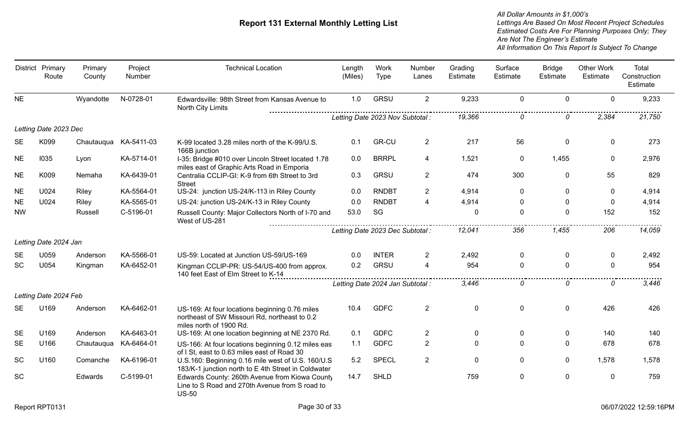|           | District Primary<br>Route | Primary<br>County | Project<br>Number | <b>Technical Location</b>                                                                                                  | Length<br>(Miles) | Work<br>Type                     | Number<br>Lanes | Grading<br>Estimate | Surface<br>Estimate | <b>Bridge</b><br>Estimate | <b>Other Work</b><br>Estimate | Total<br>Construction<br>Estimate |
|-----------|---------------------------|-------------------|-------------------|----------------------------------------------------------------------------------------------------------------------------|-------------------|----------------------------------|-----------------|---------------------|---------------------|---------------------------|-------------------------------|-----------------------------------|
| <b>NE</b> |                           | Wyandotte         | N-0728-01         | Edwardsville: 98th Street from Kansas Avenue to<br>North City Limits                                                       | 1.0               | <b>GRSU</b>                      | $\overline{2}$  | 9,233               | $\mathbf 0$         | $\mathbf 0$               | $\mathbf 0$                   | 9,233                             |
|           |                           |                   |                   |                                                                                                                            |                   | Letting Date 2023 Nov Subtotal : |                 | 19,366              | $\Omega$            | $\Omega$                  | 2,384                         | 21,750                            |
|           | Letting Date 2023 Dec     |                   |                   |                                                                                                                            |                   |                                  |                 |                     |                     |                           |                               |                                   |
| <b>SE</b> | K099                      | Chautauqua        | KA-5411-03        | K-99 located 3.28 miles north of the K-99/U.S.<br>166B junction                                                            | 0.1               | <b>GR-CU</b>                     | $\overline{2}$  | 217                 | 56                  | $\mathbf 0$               | $\mathbf 0$                   | 273                               |
| <b>NE</b> | 1035                      | Lyon              | KA-5714-01        | I-35: Bridge #010 over Lincoln Street located 1.78<br>miles east of Graphic Arts Road in Emporia                           | 0.0               | <b>BRRPL</b>                     | 4               | 1,521               | 0                   | 1,455                     | $\mathbf{0}$                  | 2,976                             |
| <b>NE</b> | K009                      | Nemaha            | KA-6439-01        | Centralia CCLIP-GI: K-9 from 6th Street to 3rd<br><b>Street</b>                                                            | 0.3               | <b>GRSU</b>                      | $\overline{2}$  | 474                 | 300                 | $\Omega$                  | 55                            | 829                               |
| <b>NE</b> | U024                      | Riley             | KA-5564-01        | US-24: junction US-24/K-113 in Riley County                                                                                | 0.0               | <b>RNDBT</b>                     | $\overline{2}$  | 4,914               | $\mathbf 0$         | $\mathbf{0}$              | $\mathbf{0}$                  | 4,914                             |
| <b>NE</b> | U024                      | Riley             | KA-5565-01        | US-24: junction US-24/K-13 in Riley County                                                                                 | 0.0               | <b>RNDBT</b>                     | 4               | 4,914               | $\Omega$            | $\Omega$                  | $\Omega$                      | 4,914                             |
| <b>NW</b> |                           | Russell           | C-5196-01         | Russell County: Major Collectors North of I-70 and<br>West of US-281                                                       | 53.0              | SG                               |                 | $\mathbf 0$         | $\Omega$            | $\mathbf{0}$              | 152                           | 152                               |
|           |                           |                   |                   |                                                                                                                            |                   | Letting Date 2023 Dec Subtotal : |                 | 12,041              | 356                 | 1,455                     | 206                           | 14,059                            |
|           | Letting Date 2024 Jan     |                   |                   |                                                                                                                            |                   |                                  |                 |                     |                     |                           |                               |                                   |
| SE.       | U059                      | Anderson          | KA-5566-01        | US-59: Located at Junction US-59/US-169                                                                                    | 0.0               | <b>INTER</b>                     | $\overline{2}$  | 2,492               | 0                   | 0                         | $\mathbf{0}$                  | 2,492                             |
| <b>SC</b> | U054                      | Kingman           | KA-6452-01        | Kingman CCLIP-PR: US-54/US-400 from approx.<br>140 feet East of Elm Street to K-14                                         | 0.2               | <b>GRSU</b>                      | 4               | 954                 | $\mathbf 0$         | $\mathbf 0$               | $\Omega$                      | 954                               |
|           |                           |                   |                   |                                                                                                                            |                   | Letting Date 2024 Jan Subtotal : |                 | 3,446               | 0                   | 0                         | 0                             | 3,446                             |
|           | Letting Date 2024 Feb     |                   |                   |                                                                                                                            |                   |                                  |                 |                     |                     |                           |                               |                                   |
| <b>SE</b> | U169                      | Anderson          | KA-6462-01        | US-169: At four locations beginning 0.76 miles<br>northeast of SW Missouri Rd, northeast to 0.2<br>miles north of 1900 Rd. | 10.4              | <b>GDFC</b>                      | $\overline{2}$  | $\mathbf 0$         | $\mathbf 0$         | $\mathbf 0$               | 426                           | 426                               |
| <b>SE</b> | U169                      | Anderson          | KA-6463-01        | US-169: At one location beginning at NE 2370 Rd.                                                                           | 0.1               | <b>GDFC</b>                      | $\overline{2}$  | $\mathbf{0}$        | $\Omega$            | $\mathbf{0}$              | 140                           | 140                               |
| <b>SE</b> | U166                      | Chautauqua        | KA-6464-01        | US-166: At four locations beginning 0.12 miles eas<br>of I St, east to 0.63 miles east of Road 30                          | 1.1               | <b>GDFC</b>                      | $\overline{2}$  | $\Omega$            | $\Omega$            | $\mathbf{0}$              | 678                           | 678                               |
| <b>SC</b> | U160                      | Comanche          | KA-6196-01        | U.S.160: Beginning 0.16 mile west of U.S. 160/U.S<br>183/K-1 junction north to E 4th Street in Coldwater                   | 5.2               | <b>SPECL</b>                     | $\overline{2}$  | $\mathbf{0}$        | $\Omega$            | $\mathbf{0}$              | 1,578                         | 1,578                             |
| SC        |                           | Edwards           | C-5199-01         | Edwards County: 260th Avenue from Kiowa County<br>Line to S Road and 270th Avenue from S road to<br><b>US-50</b>           | 14.7              | <b>SHLD</b>                      |                 | 759                 | $\mathbf 0$         | $\mathbf 0$               | $\mathbf 0$                   | 759                               |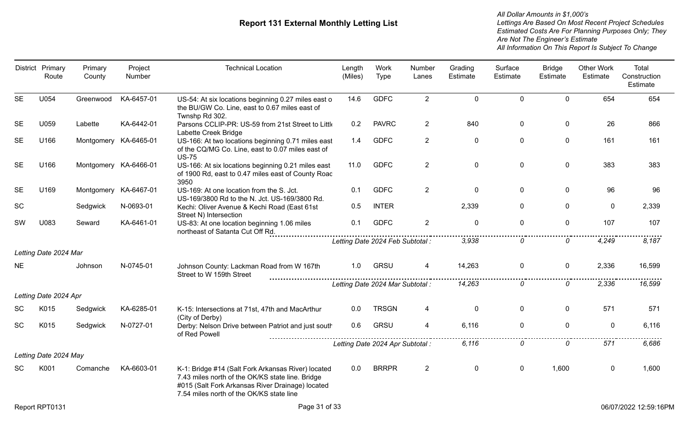|           | District Primary<br>Route | Primary<br>County     | Project<br>Number | <b>Technical Location</b>                                                                                                                                                                              | Length<br>(Miles) | Work<br><b>Type</b>              | Number<br>Lanes | Grading<br>Estimate | Surface<br>Estimate | <b>Bridge</b><br>Estimate | <b>Other Work</b><br>Estimate | Total<br>Construction<br>Estimate |
|-----------|---------------------------|-----------------------|-------------------|--------------------------------------------------------------------------------------------------------------------------------------------------------------------------------------------------------|-------------------|----------------------------------|-----------------|---------------------|---------------------|---------------------------|-------------------------------|-----------------------------------|
| <b>SE</b> | U054                      | Greenwood             | KA-6457-01        | US-54: At six locations beginning 0.27 miles east o<br>the BU/GW Co. Line, east to 0.67 miles east of<br>Twnshp Rd 302.                                                                                | 14.6              | <b>GDFC</b>                      | $\overline{2}$  | $\mathbf 0$         | $\mathbf 0$         | $\mathbf 0$               | 654                           | 654                               |
| <b>SE</b> | U059                      | Labette               | KA-6442-01        | Parsons CCLIP-PR: US-59 from 21st Street to Little<br>Labette Creek Bridge                                                                                                                             | 0.2               | <b>PAVRC</b>                     | $\overline{2}$  | 840                 | 0                   | 0                         | 26                            | 866                               |
| <b>SE</b> | U166                      | Montgomery KA-6465-01 |                   | US-166: At two locations beginning 0.71 miles east<br>of the CQ/MG Co. Line, east to 0.07 miles east of<br><b>US-75</b>                                                                                | 1.4               | <b>GDFC</b>                      | $\overline{2}$  | $\mathbf 0$         | 0                   | $\mathbf 0$               | 161                           | 161                               |
| <b>SE</b> | U166                      | Montgomery            | KA-6466-01        | US-166: At six locations beginning 0.21 miles east<br>of 1900 Rd, east to 0.47 miles east of County Roac<br>3950                                                                                       | 11.0              | <b>GDFC</b>                      | $\overline{2}$  | $\mathbf 0$         | $\mathbf 0$         | $\mathbf 0$               | 383                           | 383                               |
| <b>SE</b> | U169                      | Montgomery            | KA-6467-01        | US-169: At one location from the S. Jct.<br>US-169/3800 Rd to the N. Jct. US-169/3800 Rd.                                                                                                              | 0.1               | <b>GDFC</b>                      | $\overline{2}$  | 0                   | 0                   | $\mathbf 0$               | 96                            | 96                                |
| SC        |                           | Sedgwick              | N-0693-01         | Kechi: Oliver Avenue & Kechi Road (East 61st<br>Street N) Intersection                                                                                                                                 | 0.5               | <b>INTER</b>                     |                 | 2,339               | $\mathbf 0$         | $\mathbf 0$               | 0                             | 2,339                             |
| SW        | U083                      | Seward                | KA-6461-01        | US-83: At one location beginning 1.06 miles<br>northeast of Satanta Cut Off Rd.                                                                                                                        | 0.1               | <b>GDFC</b>                      | $\overline{2}$  | $\mathbf 0$         | $\overline{0}$      | $\mathbf 0$               | 107                           | 107                               |
|           |                           |                       |                   |                                                                                                                                                                                                        |                   | Letting Date 2024 Feb Subtotal : |                 | 3,938               | 0                   | 0                         | 4,249                         | 8,187                             |
|           | Letting Date 2024 Mar     |                       |                   |                                                                                                                                                                                                        |                   |                                  |                 |                     |                     |                           |                               |                                   |
| NE.       |                           | Johnson               | N-0745-01         | Johnson County: Lackman Road from W 167th<br>Street to W 159th Street                                                                                                                                  | 1.0               | <b>GRSU</b>                      |                 | 14,263              | $\mathbf 0$         | $\mathbf{0}$              | 2,336                         | 16,599                            |
|           |                           |                       |                   |                                                                                                                                                                                                        |                   | Letting Date 2024 Mar Subtotal : |                 | 14,263              | 0                   | $\Omega$                  | 2,336                         | 16,599                            |
|           | Letting Date 2024 Apr     |                       |                   |                                                                                                                                                                                                        |                   |                                  |                 |                     |                     |                           |                               |                                   |
| <b>SC</b> | K015                      | Sedgwick              | KA-6285-01        | K-15: Intersections at 71st, 47th and MacArthur<br>(City of Derby)                                                                                                                                     | 0.0               | <b>TRSGN</b>                     | 4               | $\mathbf 0$         | $\mathbf 0$         | $\mathbf 0$               | 571                           | 571                               |
| <b>SC</b> | K015                      | Sedgwick              | N-0727-01         | Derby: Nelson Drive between Patriot and just south<br>of Red Powell                                                                                                                                    | 0.6               | <b>GRSU</b>                      | $\overline{4}$  | 6,116               | $\mathbf 0$         | $\mathbf 0$               | $\mathbf{0}$                  | 6,116                             |
|           |                           |                       |                   |                                                                                                                                                                                                        |                   | Letting Date 2024 Apr Subtotal : |                 | 6.116               | 0                   | 0                         | 571                           | 6,686                             |
|           | Letting Date 2024 May     |                       |                   |                                                                                                                                                                                                        |                   |                                  |                 |                     |                     |                           |                               |                                   |
| SC        | K001                      | Comanche              | KA-6603-01        | K-1: Bridge #14 (Salt Fork Arkansas River) located<br>7.43 miles north of the OK/KS state line. Bridge<br>#015 (Salt Fork Arkansas River Drainage) located<br>7.54 miles north of the OK/KS state line | 0.0               | <b>BRRPR</b>                     | $\overline{2}$  | 0                   | $\mathbf 0$         | 1,600                     | 0                             | 1,600                             |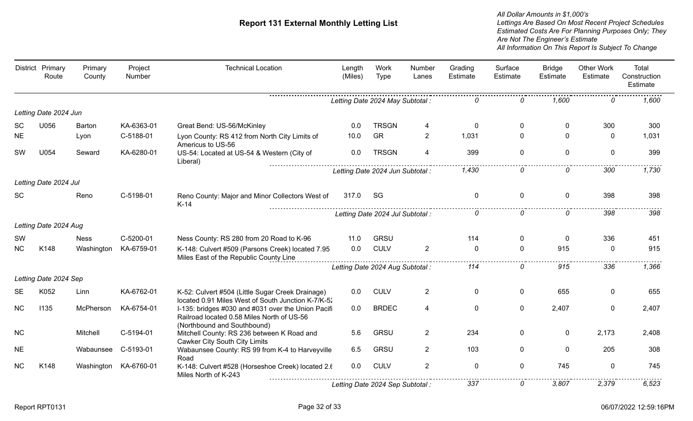|           | District Primary<br>Route | Primary<br>County | Project<br>Number | <b>Technical Location</b>                                                                                                       | Length<br>(Miles) | <b>Work</b><br>Type              | Number<br>Lanes | Grading<br>Estimate | Surface<br>Estimate | <b>Bridge</b><br>Estimate | <b>Other Work</b><br>Estimate | Total<br>Construction<br>Estimate |
|-----------|---------------------------|-------------------|-------------------|---------------------------------------------------------------------------------------------------------------------------------|-------------------|----------------------------------|-----------------|---------------------|---------------------|---------------------------|-------------------------------|-----------------------------------|
|           |                           |                   |                   |                                                                                                                                 |                   | Letting Date 2024 May Subtotal : |                 |                     | n                   | 1.600                     | n                             | .<br>1,600                        |
|           | Letting Date 2024 Jun     |                   |                   |                                                                                                                                 |                   |                                  |                 |                     |                     |                           |                               |                                   |
| <b>SC</b> | U056                      | Barton            | KA-6363-01        | Great Bend: US-56/McKinley                                                                                                      | 0.0               | <b>TRSGN</b>                     | 4               | $\mathbf{0}$        | $\mathbf{0}$        | $\Omega$                  | 300                           | 300                               |
| <b>NE</b> |                           | Lyon              | C-5188-01         | Lyon County: RS 412 from North City Limits of<br>Americus to US-56                                                              | 10.0              | <b>GR</b>                        | $\overline{2}$  | 1,031               | 0                   | $\Omega$                  | $\Omega$                      | 1,031                             |
| SW        | U054                      | Seward            | KA-6280-01        | US-54: Located at US-54 & Western (City of<br>Liberal)                                                                          | 0.0               | <b>TRSGN</b>                     | 4               | 399                 | $\mathbf{0}$        | $\Omega$                  | $\Omega$                      | 399                               |
|           |                           |                   |                   |                                                                                                                                 |                   | Letting Date 2024 Jun Subtotal : |                 | 1,430               | 0                   | 0                         | 300                           | 1,730                             |
|           | Letting Date 2024 Jul     |                   |                   |                                                                                                                                 |                   |                                  |                 |                     |                     |                           |                               |                                   |
| <b>SC</b> |                           | Reno              | C-5198-01         | Reno County: Major and Minor Collectors West of<br>$K-14$                                                                       | 317.0             | SG                               |                 | 0                   | 0                   | $\mathbf{0}$              | 398                           | 398                               |
|           |                           |                   |                   |                                                                                                                                 |                   | Letting Date 2024 Jul Subtotal : |                 | 0                   | 0                   | $\Omega$                  | 398                           | 398                               |
|           | Letting Date 2024 Aug     |                   |                   |                                                                                                                                 |                   |                                  |                 |                     |                     |                           |                               |                                   |
| SW        |                           | <b>Ness</b>       | C-5200-01         | Ness County: RS 280 from 20 Road to K-96                                                                                        | 11.0              | <b>GRSU</b>                      |                 | 114                 | 0                   | $\mathbf{0}$              | 336                           | 451                               |
| <b>NC</b> | K148                      | Washington        | KA-6759-01        | K-148: Culvert #509 (Parsons Creek) located 7.95<br>Miles East of the Republic County Line                                      | 0.0               | <b>CULV</b>                      | $\overline{2}$  | $\Omega$            | $\Omega$            | 915                       | $\Omega$                      | 915                               |
|           |                           |                   |                   |                                                                                                                                 |                   | Letting Date 2024 Aug Subtotal : |                 | 114                 | 0                   | 915                       | 336                           | 1,366                             |
|           | Letting Date 2024 Sep     |                   |                   |                                                                                                                                 |                   |                                  |                 |                     |                     |                           |                               |                                   |
| <b>SE</b> | K052                      | Linn              | KA-6762-01        | K-52: Culvert #504 (Little Sugar Creek Drainage)<br>located 0.91 Miles West of South Junction K-7/K-52                          | 0.0               | <b>CULV</b>                      | $\overline{2}$  | 0                   | 0                   | 655                       | $\mathbf{0}$                  | 655                               |
| <b>NC</b> | 1135                      | McPherson         | KA-6754-01        | I-135: bridges #030 and #031 over the Union Pacifi<br>Railroad located 0.58 Miles North of US-56<br>(Northbound and Southbound) | 0.0               | <b>BRDEC</b>                     | 4               | $\mathbf 0$         | 0                   | 2,407                     | $\mathbf 0$                   | 2,407                             |
| <b>NC</b> |                           | Mitchell          | C-5194-01         | Mitchell County: RS 236 between K Road and<br><b>Cawker City South City Limits</b>                                              | 5.6               | <b>GRSU</b>                      | $\overline{2}$  | 234                 | 0                   | $\mathbf 0$               | 2,173                         | 2,408                             |
| <b>NE</b> |                           | Wabaunsee         | C-5193-01         | Wabaunsee County: RS 99 from K-4 to Harveyville<br>Road                                                                         | 6.5               | <b>GRSU</b>                      | $\overline{2}$  | 103                 | 0                   | $\mathbf 0$               | 205                           | 308                               |
| <b>NC</b> | K148                      | Washington        | KA-6760-01        | K-148: Culvert #528 (Horseshoe Creek) located 2.6<br>Miles North of K-243                                                       | 0.0               | <b>CULV</b>                      | $\overline{2}$  | $\mathbf 0$         | 0                   | 745                       | $\mathbf 0$                   | 745                               |
|           |                           |                   |                   |                                                                                                                                 |                   | Letting Date 2024 Sep Subtotal : |                 | 337                 | 0                   | 3,807                     | 2,379                         | 6,523                             |